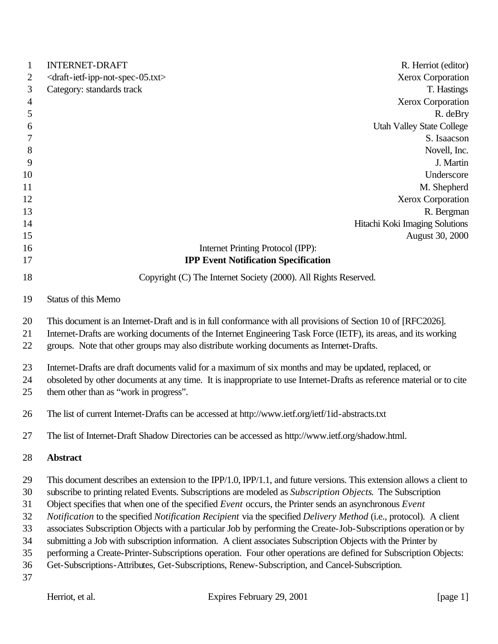| $\mathbf{1}$   | <b>INTERNET-DRAFT</b><br>R. Herriot (editor)                                                                                                                                                                                                                                                                                 |  |
|----------------|------------------------------------------------------------------------------------------------------------------------------------------------------------------------------------------------------------------------------------------------------------------------------------------------------------------------------|--|
| 2              | Xerox Corporation<br><draft-ietf-ipp-not-spec-05.txt></draft-ietf-ipp-not-spec-05.txt>                                                                                                                                                                                                                                       |  |
| 3              | Category: standards track<br>T. Hastings                                                                                                                                                                                                                                                                                     |  |
| $\overline{4}$ | Xerox Corporation                                                                                                                                                                                                                                                                                                            |  |
| 5              | R. deBry                                                                                                                                                                                                                                                                                                                     |  |
| 6              | <b>Utah Valley State College</b>                                                                                                                                                                                                                                                                                             |  |
| 7              | S. Isaacson                                                                                                                                                                                                                                                                                                                  |  |
| 8              | Novell, Inc.                                                                                                                                                                                                                                                                                                                 |  |
| 9              | J. Martin                                                                                                                                                                                                                                                                                                                    |  |
| 10             | Underscore                                                                                                                                                                                                                                                                                                                   |  |
| 11             | M. Shepherd                                                                                                                                                                                                                                                                                                                  |  |
| 12             | Xerox Corporation                                                                                                                                                                                                                                                                                                            |  |
| 13             | R. Bergman                                                                                                                                                                                                                                                                                                                   |  |
| 14             | Hitachi Koki Imaging Solutions                                                                                                                                                                                                                                                                                               |  |
| 15             | August 30, 2000                                                                                                                                                                                                                                                                                                              |  |
| 16             | Internet Printing Protocol (IPP):                                                                                                                                                                                                                                                                                            |  |
| 17             | <b>IPP Event Notification Specification</b>                                                                                                                                                                                                                                                                                  |  |
| 18             | Copyright (C) The Internet Society (2000). All Rights Reserved.                                                                                                                                                                                                                                                              |  |
| 19             | Status of this Memo                                                                                                                                                                                                                                                                                                          |  |
| 20<br>21<br>22 | This document is an Internet-Draft and is in full conformance with all provisions of Section 10 of [RFC2026].<br>Internet-Drafts are working documents of the Internet Engineering Task Force (IETF), its areas, and its working<br>groups. Note that other groups may also distribute working documents as Internet-Drafts. |  |
| 23             | Internet-Drafts are draft documents valid for a maximum of six months and may be updated, replaced, or                                                                                                                                                                                                                       |  |
| 24<br>25       | obsoleted by other documents at any time. It is inappropriate to use Internet-Drafts as reference material or to cite<br>them other than as "work in progress".                                                                                                                                                              |  |
| 26             | The list of current Internet-Drafts can be accessed at http://www.ietf.org/ietf/1id-abstracts.txt                                                                                                                                                                                                                            |  |
| 27             | The list of Internet-Draft Shadow Directories can be accessed as http://www.ietf.org/shadow.html.                                                                                                                                                                                                                            |  |
| 28             | <b>Abstract</b>                                                                                                                                                                                                                                                                                                              |  |
| 29             | This document describes an extension to the IPP/1.0, IPP/1.1, and future versions. This extension allows a client to                                                                                                                                                                                                         |  |
| 30             | subscribe to printing related Events. Subscriptions are modeled as Subscription Objects. The Subscription                                                                                                                                                                                                                    |  |
| 31             | Object specifies that when one of the specified Event occurs, the Printer sends an asynchronous Event                                                                                                                                                                                                                        |  |
| 32             | Notification to the specified Notification Recipient via the specified Delivery Method (i.e., protocol). A client                                                                                                                                                                                                            |  |
| 33             | associates Subscription Objects with a particular Job by performing the Create-Job-Subscriptions operation or by                                                                                                                                                                                                             |  |
| 34             | submitting a Job with subscription information. A client associates Subscription Objects with the Printer by                                                                                                                                                                                                                 |  |
| 35             | performing a Create-Printer-Subscriptions operation. Four other operations are defined for Subscription Objects:                                                                                                                                                                                                             |  |
| 36             | Get-Subscriptions-Attributes, Get-Subscriptions, Renew-Subscription, and Cancel-Subscription.                                                                                                                                                                                                                                |  |
| 37             |                                                                                                                                                                                                                                                                                                                              |  |
|                |                                                                                                                                                                                                                                                                                                                              |  |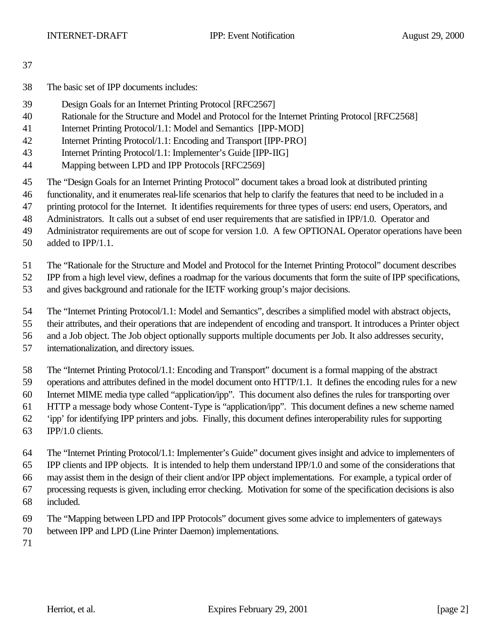- The basic set of IPP documents includes:
- Design Goals for an Internet Printing Protocol [RFC2567]
- Rationale for the Structure and Model and Protocol for the Internet Printing Protocol [RFC2568]
- Internet Printing Protocol/1.1: Model and Semantics [IPP-MOD]
- Internet Printing Protocol/1.1: Encoding and Transport [IPP-PRO]
- Internet Printing Protocol/1.1: Implementer's Guide [IPP-IIG]
- Mapping between LPD and IPP Protocols [RFC2569]
- The "Design Goals for an Internet Printing Protocol" document takes a broad look at distributed printing
- functionality, and it enumerates real-life scenarios that help to clarify the features that need to be included in a
- printing protocol for the Internet. It identifies requirements for three types of users: end users, Operators, and
- Administrators. It calls out a subset of end user requirements that are satisfied in IPP/1.0. Operator and
- Administrator requirements are out of scope for version 1.0. A few OPTIONAL Operator operations have been
- added to IPP/1.1.
- The "Rationale for the Structure and Model and Protocol for the Internet Printing Protocol" document describes

IPP from a high level view, defines a roadmap for the various documents that form the suite of IPP specifications,

- and gives background and rationale for the IETF working group's major decisions.
- The "Internet Printing Protocol/1.1: Model and Semantics", describes a simplified model with abstract objects,
- their attributes, and their operations that are independent of encoding and transport. It introduces a Printer object
- and a Job object. The Job object optionally supports multiple documents per Job. It also addresses security,
- internationalization, and directory issues.
- The "Internet Printing Protocol/1.1: Encoding and Transport" document is a formal mapping of the abstract
- operations and attributes defined in the model document onto HTTP/1.1. It defines the encoding rules for a new
- Internet MIME media type called "application/ipp". This document also defines the rules for transporting over
- HTTP a message body whose Content-Type is "application/ipp". This document defines a new scheme named
- 'ipp' for identifying IPP printers and jobs. Finally, this document defines interoperability rules for supporting
- IPP/1.0 clients.
- The "Internet Printing Protocol/1.1: Implementer's Guide" document gives insight and advice to implementers of IPP clients and IPP objects. It is intended to help them understand IPP/1.0 and some of the considerations that may assist them in the design of their client and/or IPP object implementations. For example, a typical order of processing requests is given, including error checking. Motivation for some of the specification decisions is also
- included.
- The "Mapping between LPD and IPP Protocols" document gives some advice to implementers of gateways
- between IPP and LPD (Line Printer Daemon) implementations.
-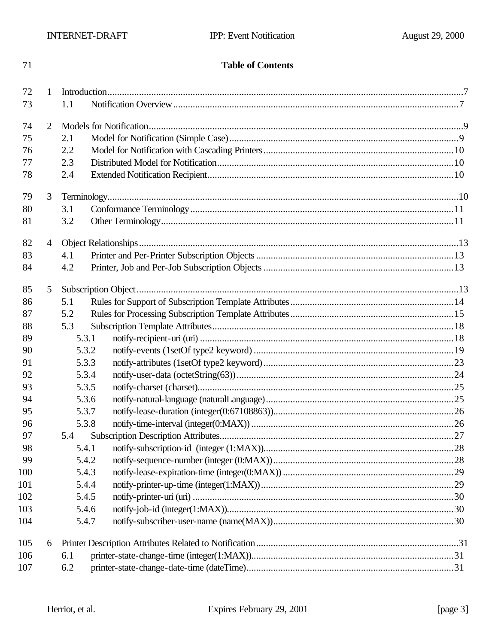#### **Table of Contents**

| 72  | $\mathbf{1}$   |       |                     |  |
|-----|----------------|-------|---------------------|--|
| 73  |                | 1.1   |                     |  |
| 74  | $\overline{2}$ |       |                     |  |
| 75  |                | 2.1   |                     |  |
| 76  |                | 2.2   |                     |  |
| 77  |                | 2.3   |                     |  |
| 78  |                | 2.4   |                     |  |
| 79  | 3              |       |                     |  |
| 80  |                | 3.1   |                     |  |
| 81  |                | 3.2   |                     |  |
| 82  | $\overline{4}$ |       |                     |  |
| 83  |                | 4.1   |                     |  |
| 84  |                | 4.2   |                     |  |
| 85  | 5              |       | Subscription Object |  |
| 86  |                | 5.1   |                     |  |
| 87  |                | 5.2   |                     |  |
| 88  |                | 5.3   |                     |  |
| 89  |                | 5.3.1 |                     |  |
| 90  |                | 5.3.2 |                     |  |
| 91  |                | 5.3.3 |                     |  |
| 92  |                | 5.3.4 |                     |  |
| 93  |                | 5.3.5 |                     |  |
| 94  |                | 5.3.6 |                     |  |
| 95  |                | 5.3.7 |                     |  |
| 96  |                | 5.3.8 |                     |  |
| 97  |                | 5.4   |                     |  |
| 98  |                | 5.4.1 |                     |  |
| 99  |                | 5.4.2 |                     |  |
| 100 |                | 5.4.3 |                     |  |
| 101 |                | 5.4.4 |                     |  |
| 102 |                | 5.4.5 |                     |  |
| 103 |                | 5.4.6 |                     |  |
| 104 |                | 5.4.7 |                     |  |
| 105 | 6              |       |                     |  |
| 106 |                | 6.1   |                     |  |
| 107 |                | 6.2   |                     |  |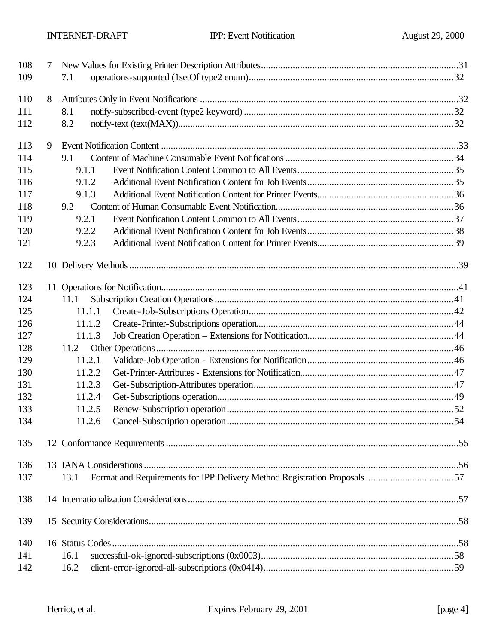| 108 | 7 |        |  |
|-----|---|--------|--|
| 109 |   | 7.1    |  |
| 110 | 8 |        |  |
| 111 |   | 8.1    |  |
| 112 |   | 8.2    |  |
| 113 | 9 |        |  |
| 114 |   | 9.1    |  |
| 115 |   | 9.1.1  |  |
| 116 |   | 9.1.2  |  |
| 117 |   | 9.1.3  |  |
| 118 |   | 9.2    |  |
| 119 |   | 9.2.1  |  |
| 120 |   | 9.2.2  |  |
| 121 |   | 9.2.3  |  |
| 122 |   |        |  |
| 123 |   |        |  |
| 124 |   | 11.1   |  |
| 125 |   | 11.1.1 |  |
| 126 |   | 11.1.2 |  |
| 127 |   | 11.1.3 |  |
| 128 |   | 11.2   |  |
| 129 |   | 11.2.1 |  |
| 130 |   | 11.2.2 |  |
| 131 |   | 11.2.3 |  |
| 132 |   | 11.2.4 |  |
| 133 |   | 11.2.5 |  |
| 134 |   | 11.2.6 |  |
| 135 |   |        |  |
| 136 |   |        |  |
| 137 |   | 13.1   |  |
| 138 |   |        |  |
| 139 |   |        |  |
| 140 |   |        |  |
| 141 |   | 16.1   |  |
| 142 |   | 16.2   |  |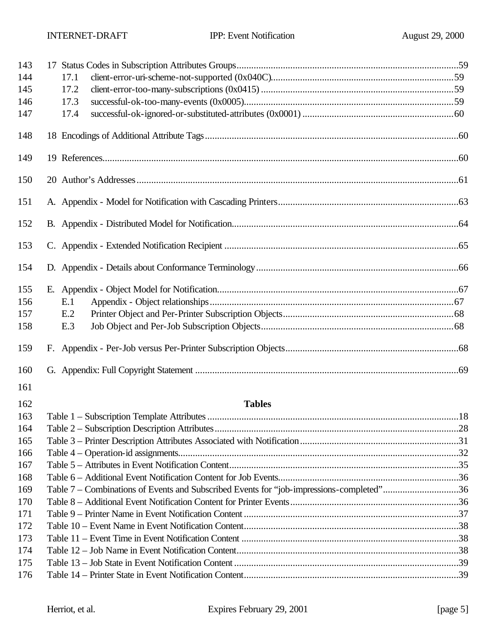| 143 |                                                                                          |  |
|-----|------------------------------------------------------------------------------------------|--|
| 144 | 17.1                                                                                     |  |
| 145 | 17.2                                                                                     |  |
| 146 | 17.3                                                                                     |  |
| 147 | 17.4                                                                                     |  |
| 148 |                                                                                          |  |
| 149 |                                                                                          |  |
| 150 |                                                                                          |  |
| 151 |                                                                                          |  |
| 152 |                                                                                          |  |
| 153 |                                                                                          |  |
| 154 |                                                                                          |  |
| 155 |                                                                                          |  |
| 156 | E.1                                                                                      |  |
| 157 | E.2                                                                                      |  |
| 158 | E.3                                                                                      |  |
| 159 |                                                                                          |  |
| 160 |                                                                                          |  |
| 161 |                                                                                          |  |
| 162 | <b>Tables</b>                                                                            |  |
| 163 |                                                                                          |  |
| 164 |                                                                                          |  |
| 165 |                                                                                          |  |
| 166 |                                                                                          |  |
| 167 |                                                                                          |  |
| 168 |                                                                                          |  |
| 169 | Table 7 – Combinations of Events and Subscribed Events for "job-impressions-completed"36 |  |
| 170 |                                                                                          |  |
| 171 |                                                                                          |  |
| 172 |                                                                                          |  |
| 173 |                                                                                          |  |
| 174 |                                                                                          |  |
| 175 |                                                                                          |  |
| 176 |                                                                                          |  |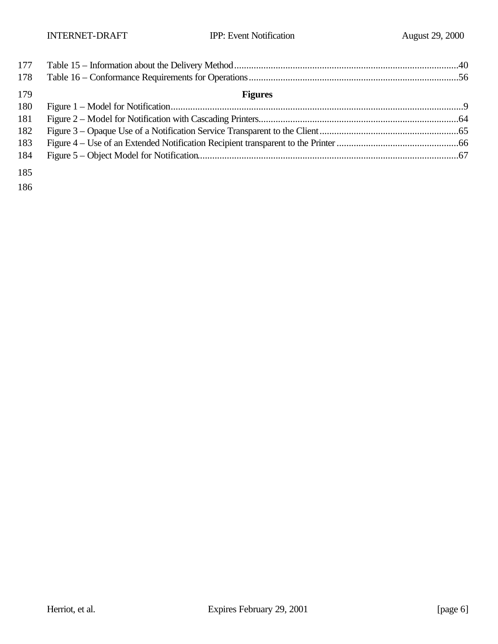| 177 |                |  |
|-----|----------------|--|
| 178 |                |  |
| 179 | <b>Figures</b> |  |
| 180 |                |  |
| 181 |                |  |
| 182 |                |  |
| 183 |                |  |
| 184 |                |  |
| 185 |                |  |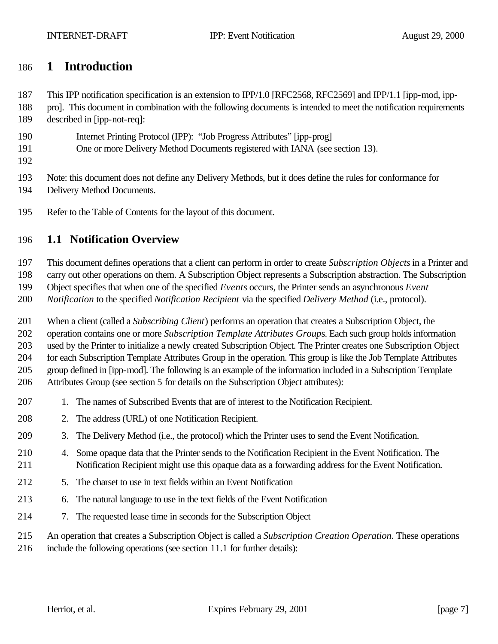## **1 Introduction**

This IPP notification specification is an extension to IPP/1.0 [RFC2568, RFC2569] and IPP/1.1 [ipp-mod, ipp-

- pro]. This document in combination with the following documents is intended to meet the notification requirements
- described in [ipp-not-req]:
- Internet Printing Protocol (IPP): "Job Progress Attributes" [ipp-prog]
- One or more Delivery Method Documents registered with IANA (see section 13).
- 

Note: this document does not define any Delivery Methods, but it does define the rules for conformance for

- Delivery Method Documents.
- Refer to the Table of Contents for the layout of this document.

#### **1.1 Notification Overview**

This document defines operations that a client can perform in order to create *Subscription Objects* in a Printer and

carry out other operations on them. A Subscription Object represents a Subscription abstraction. The Subscription

Object specifies that when one of the specified *Events* occurs, the Printer sends an asynchronous *Event* 

*Notification* to the specified *Notification Recipient* via the specified *Delivery Method* (i.e., protocol).

When a client (called a *Subscribing Client*) performs an operation that creates a Subscription Object, the

operation contains one or more *Subscription Template Attributes Group*s. Each such group holds information

used by the Printer to initialize a newly created Subscription Object. The Printer creates one Subscription Object

 for each Subscription Template Attributes Group in the operation. This group is like the Job Template Attributes group defined in [ipp-mod]. The following is an example of the information included in a Subscription Template

Attributes Group (see section 5 for details on the Subscription Object attributes):

- 1. The names of Subscribed Events that are of interest to the Notification Recipient.
- 2. The address (URL) of one Notification Recipient.
- 3. The Delivery Method (i.e., the protocol) which the Printer uses to send the Event Notification.
- 4. Some opaque data that the Printer sends to the Notification Recipient in the Event Notification. The Notification Recipient might use this opaque data as a forwarding address for the Event Notification.
- 5. The charset to use in text fields within an Event Notification
- 6. The natural language to use in the text fields of the Event Notification
- 7. The requested lease time in seconds for the Subscription Object
- An operation that creates a Subscription Object is called a *Subscription Creation Operation*. These operations
- include the following operations (see section 11.1 for further details):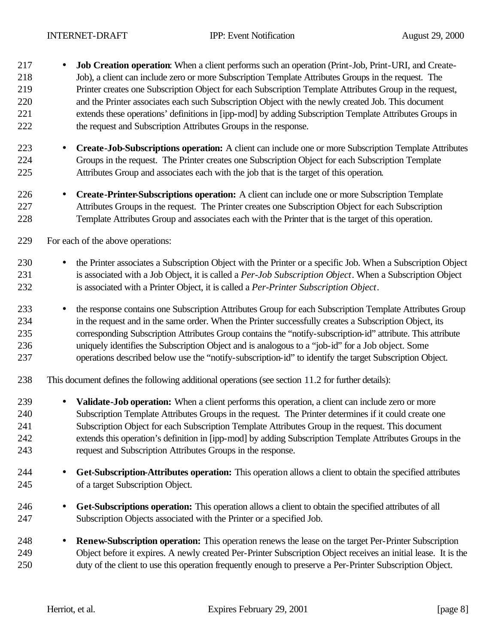- **Job Creation operation**: When a client performs such an operation (Print-Job, Print-URI, and Create- Job), a client can include zero or more Subscription Template Attributes Groups in the request. The Printer creates one Subscription Object for each Subscription Template Attributes Group in the request, and the Printer associates each such Subscription Object with the newly created Job. This document extends these operations' definitions in [ipp-mod] by adding Subscription Template Attributes Groups in the request and Subscription Attributes Groups in the response.
- **Create-Job-Subscriptions operation:** A client can include one or more Subscription Template Attributes Groups in the request. The Printer creates one Subscription Object for each Subscription Template Attributes Group and associates each with the job that is the target of this operation.
- **Create-Printer-Subscriptions operation:** A client can include one or more Subscription Template Attributes Groups in the request. The Printer creates one Subscription Object for each Subscription Template Attributes Group and associates each with the Printer that is the target of this operation.
- For each of the above operations:
- the Printer associates a Subscription Object with the Printer or a specific Job. When a Subscription Object is associated with a Job Object, it is called a *Per-Job Subscription Object*. When a Subscription Object is associated with a Printer Object, it is called a *Per-Printer Subscription Object*.
- the response contains one Subscription Attributes Group for each Subscription Template Attributes Group in the request and in the same order. When the Printer successfully creates a Subscription Object, its corresponding Subscription Attributes Group contains the "notify-subscription-id" attribute. This attribute uniquely identifies the Subscription Object and is analogous to a "job-id" for a Job object. Some operations described below use the "notify-subscription-id" to identify the target Subscription Object.
- This document defines the following additional operations (see section 11.2 for further details):
- **Validate-Job operation:** When a client performs this operation, a client can include zero or more Subscription Template Attributes Groups in the request. The Printer determines if it could create one Subscription Object for each Subscription Template Attributes Group in the request. This document extends this operation's definition in [ipp-mod] by adding Subscription Template Attributes Groups in the request and Subscription Attributes Groups in the response.
- **Get-Subscription-Attributes operation:** This operation allows a client to obtain the specified attributes of a target Subscription Object.
- **Get-Subscriptions operation:** This operation allows a client to obtain the specified attributes of all Subscription Objects associated with the Printer or a specified Job.
- **Renew-Subscription operation:** This operation renews the lease on the target Per-Printer Subscription Object before it expires. A newly created Per-Printer Subscription Object receives an initial lease. It is the duty of the client to use this operation frequently enough to preserve a Per-Printer Subscription Object.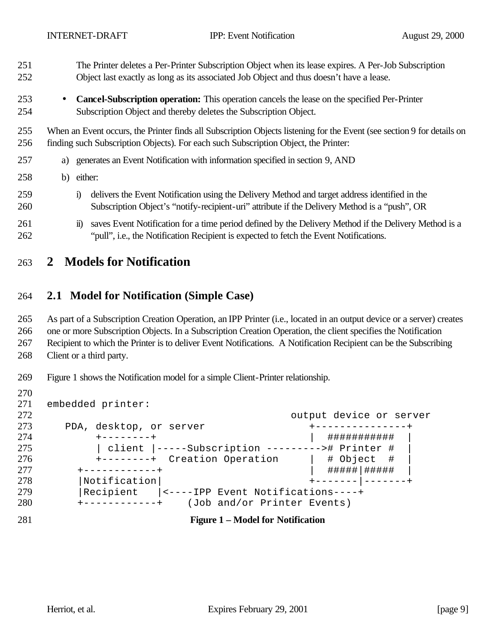- The Printer deletes a Per-Printer Subscription Object when its lease expires. A Per-Job Subscription Object last exactly as long as its associated Job Object and thus doesn't have a lease.
- **Cancel-Subscription operation:** This operation cancels the lease on the specified Per-Printer Subscription Object and thereby deletes the Subscription Object.

 When an Event occurs, the Printer finds all Subscription Objects listening for the Event (see section 9 for details on finding such Subscription Objects). For each such Subscription Object, the Printer:

- a) generates an Event Notification with information specified in section 9, AND
- b) either:
- i) delivers the Event Notification using the Delivery Method and target address identified in the Subscription Object's "notify-recipient-uri" attribute if the Delivery Method is a "push", OR
- 261 ii) saves Event Notification for a time period defined by the Delivery Method if the Delivery Method is a "pull", i.e., the Notification Recipient is expected to fetch the Event Notifications.

#### **2 Models for Notification**

#### **2.1 Model for Notification (Simple Case)**

 As part of a Subscription Creation Operation, an IPP Printer (i.e., located in an output device or a server) creates one or more Subscription Objects. In a Subscription Creation Operation, the client specifies the Notification

Recipient to which the Printer is to deliver Event Notifications. A Notification Recipient can be the Subscribing

Client or a third party.

- Figure 1 shows the Notification model for a simple Client-Printer relationship.
- embedded printer: output device or server 273 PDA, desktop, or server  $+$ ---------------+ +--------+ | ########### | | client |-----Subscription ---------># Printer # | 276 +--------+ Creation Operation | # Object # 277 +-----------+ | ######|###### 278 | Notification | +------- | -------+ |Recipient |<----IPP Event Notifications----+ +------------+ (Job and/or Printer Events) **Figure 1 – Model for Notification**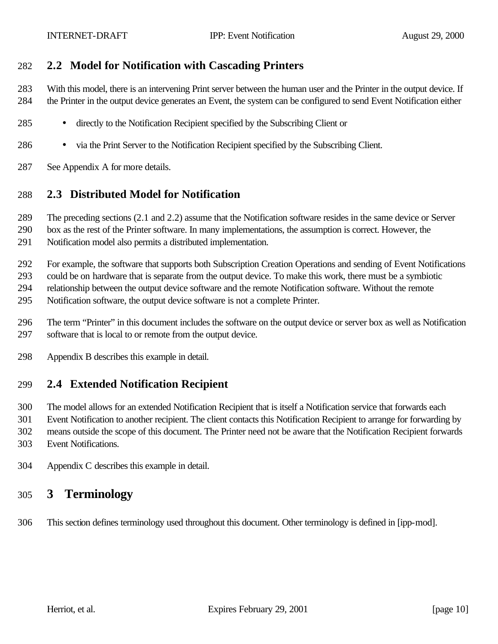#### **2.2 Model for Notification with Cascading Printers**

 With this model, there is an intervening Print server between the human user and the Printer in the output device. If the Printer in the output device generates an Event, the system can be configured to send Event Notification either

- directly to the Notification Recipient specified by the Subscribing Client or
- via the Print Server to the Notification Recipient specified by the Subscribing Client.
- See Appendix A for more details.

#### **2.3 Distributed Model for Notification**

The preceding sections (2.1 and 2.2) assume that the Notification software resides in the same device or Server

- box as the rest of the Printer software. In many implementations, the assumption is correct. However, the Notification model also permits a distributed implementation.
- For example, the software that supports both Subscription Creation Operations and sending of Event Notifications

could be on hardware that is separate from the output device. To make this work, there must be a symbiotic

relationship between the output device software and the remote Notification software. Without the remote

- Notification software, the output device software is not a complete Printer.
- The term "Printer" in this document includes the software on the output device or server box as well as Notification software that is local to or remote from the output device.
- Appendix B describes this example in detail.

## **2.4 Extended Notification Recipient**

 The model allows for an extended Notification Recipient that is itself a Notification service that forwards each Event Notification to another recipient. The client contacts this Notification Recipient to arrange for forwarding by means outside the scope of this document. The Printer need not be aware that the Notification Recipient forwards Event Notifications.

- 
- Appendix C describes this example in detail.

# **3 Terminology**

This section defines terminology used throughout this document. Other terminology is defined in [ipp-mod].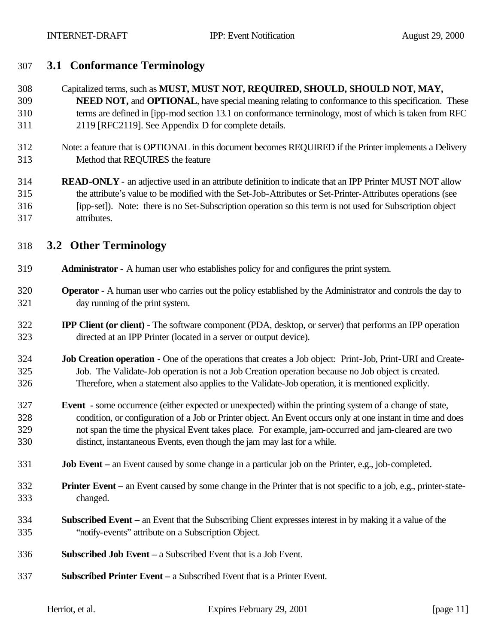## **3.1 Conformance Terminology**

 Capitalized terms, such as **MUST, MUST NOT, REQUIRED, SHOULD, SHOULD NOT, MAY, NEED NOT,** and **OPTIONAL**, have special meaning relating to conformance to this specification. These terms are defined in [ipp-mod section 13.1 on conformance terminology, most of which is taken from RFC 2119 [RFC2119]. See Appendix D for complete details.

- Note: a feature that is OPTIONAL in this document becomes REQUIRED if the Printer implements a Delivery Method that REQUIRES the feature
- **READ-ONLY** an adjective used in an attribute definition to indicate that an IPP Printer MUST NOT allow the attribute's value to be modified with the Set-Job-Attributes or Set-Printer-Attributes operations (see [ipp-set]). Note: there is no Set-Subscription operation so this term is not used for Subscription object attributes.

## **3.2 Other Terminology**

- **Administrator**  A human user who establishes policy for and configures the print system.
- **Operator -** A human user who carries out the policy established by the Administrator and controls the day to day running of the print system.
- **IPP Client (or client) -** The software component (PDA, desktop, or server) that performs an IPP operation directed at an IPP Printer (located in a server or output device).
- **Job Creation operation -** One of the operations that creates a Job object: Print-Job, Print-URI and Create- Job. The Validate-Job operation is not a Job Creation operation because no Job object is created. Therefore, when a statement also applies to the Validate-Job operation, it is mentioned explicitly.
- **Event -** some occurrence (either expected or unexpected) within the printing system of a change of state, condition, or configuration of a Job or Printer object. An Event occurs only at one instant in time and does not span the time the physical Event takes place. For example, jam-occurred and jam-cleared are two distinct, instantaneous Events, even though the jam may last for a while.
- **Job Event –** an Event caused by some change in a particular job on the Printer, e.g., job-completed.
- **Printer Event –** an Event caused by some change in the Printer that is not specific to a job, e.g., printer-state-changed.
- **Subscribed Event –** an Event that the Subscribing Client expresses interest in by making it a value of the "notify-events" attribute on a Subscription Object.
- **Subscribed Job Event –** a Subscribed Event that is a Job Event.
- **Subscribed Printer Event –** a Subscribed Event that is a Printer Event.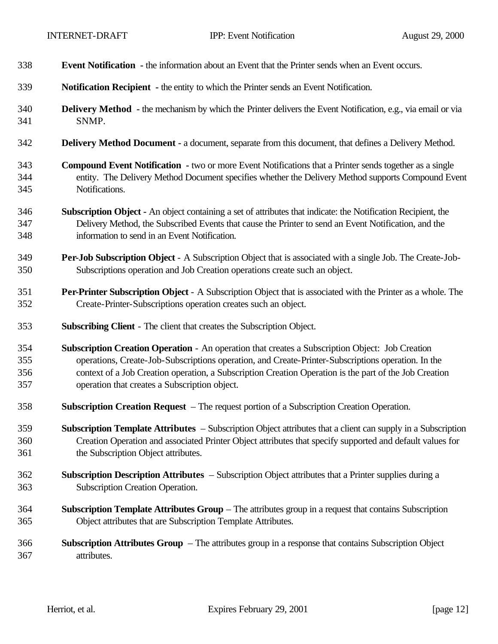| 338 | <b>Event Notification</b> - the information about an Event that the Printer sends when an Event occurs.             |
|-----|---------------------------------------------------------------------------------------------------------------------|
| 339 | Notification Recipient - the entity to which the Printer sends an Event Notification.                               |
| 340 | <b>Delivery Method</b> - the mechanism by which the Printer delivers the Event Notification, e.g., via email or via |
| 341 | SNMP.                                                                                                               |
| 342 | Delivery Method Document - a document, separate from this document, that defines a Delivery Method.                 |
| 343 | <b>Compound Event Notification</b> - two or more Event Notifications that a Printer sends together as a single      |
| 344 | entity. The Delivery Method Document specifies whether the Delivery Method supports Compound Event                  |
| 345 | Notifications.                                                                                                      |
| 346 | Subscription Object - An object containing a set of attributes that indicate: the Notification Recipient, the       |
| 347 | Delivery Method, the Subscribed Events that cause the Printer to send an Event Notification, and the                |
| 348 | information to send in an Event Notification.                                                                       |
| 349 | <b>Per-Job Subscription Object</b> - A Subscription Object that is associated with a single Job. The Create-Job-    |
| 350 | Subscriptions operation and Job Creation operations create such an object.                                          |
| 351 | Per-Printer Subscription Object - A Subscription Object that is associated with the Printer as a whole. The         |
| 352 | Create-Printer-Subscriptions operation creates such an object.                                                      |
| 353 | <b>Subscribing Client</b> - The client that creates the Subscription Object.                                        |
| 354 | Subscription Creation Operation - An operation that creates a Subscription Object: Job Creation                     |
| 355 | operations, Create-Job-Subscriptions operation, and Create-Printer-Subscriptions operation. In the                  |
| 356 | context of a Job Creation operation, a Subscription Creation Operation is the part of the Job Creation              |
| 357 | operation that creates a Subscription object.                                                                       |
| 358 | <b>Subscription Creation Request</b> – The request portion of a Subscription Creation Operation.                    |
| 359 | Subscription Template Attributes - Subscription Object attributes that a client can supply in a Subscription        |
| 360 | Creation Operation and associated Printer Object attributes that specify supported and default values for           |
| 361 | the Subscription Object attributes.                                                                                 |
| 362 | Subscription Description Attributes – Subscription Object attributes that a Printer supplies during a               |
| 363 | Subscription Creation Operation.                                                                                    |
| 364 | Subscription Template Attributes Group - The attributes group in a request that contains Subscription               |
| 365 | Object attributes that are Subscription Template Attributes.                                                        |
| 366 | <b>Subscription Attributes Group</b> $-$ The attributes group in a response that contains Subscription Object       |
| 367 | attributes.                                                                                                         |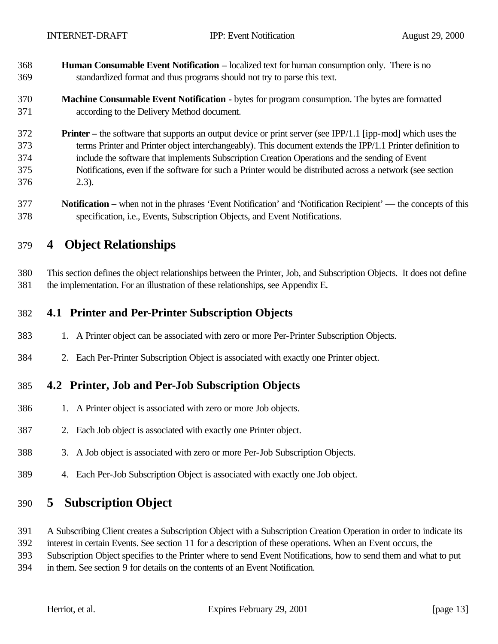- **Human Consumable Event Notification –** localized text for human consumption only. There is no standardized format and thus programs should not try to parse this text.
- **Machine Consumable Event Notification -** bytes for program consumption. The bytes are formatted according to the Delivery Method document.
- **Printer –** the software that supports an output device or print server (see IPP/1.1 [ipp-mod] which uses the terms Printer and Printer object interchangeably). This document extends the IPP/1.1 Printer definition to include the software that implements Subscription Creation Operations and the sending of Event Notifications, even if the software for such a Printer would be distributed across a network (see section 2.3).
- **Notification –** when not in the phrases 'Event Notification' and 'Notification Recipient' the concepts of this specification, i.e., Events, Subscription Objects, and Event Notifications.

# **4 Object Relationships**

 This section defines the object relationships between the Printer, Job, and Subscription Objects. It does not define the implementation. For an illustration of these relationships, see Appendix E.

## **4.1 Printer and Per-Printer Subscription Objects**

- 1. A Printer object can be associated with zero or more Per-Printer Subscription Objects.
- 2. Each Per-Printer Subscription Object is associated with exactly one Printer object.

## **4.2 Printer, Job and Per-Job Subscription Objects**

- 1. A Printer object is associated with zero or more Job objects.
- 2. Each Job object is associated with exactly one Printer object.
- 3. A Job object is associated with zero or more Per-Job Subscription Objects.
- 4. Each Per-Job Subscription Object is associated with exactly one Job object.

# **5 Subscription Object**

A Subscribing Client creates a Subscription Object with a Subscription Creation Operation in order to indicate its

interest in certain Events. See section 11 for a description of these operations. When an Event occurs, the

Subscription Object specifies to the Printer where to send Event Notifications, how to send them and what to put

in them. See section 9 for details on the contents of an Event Notification.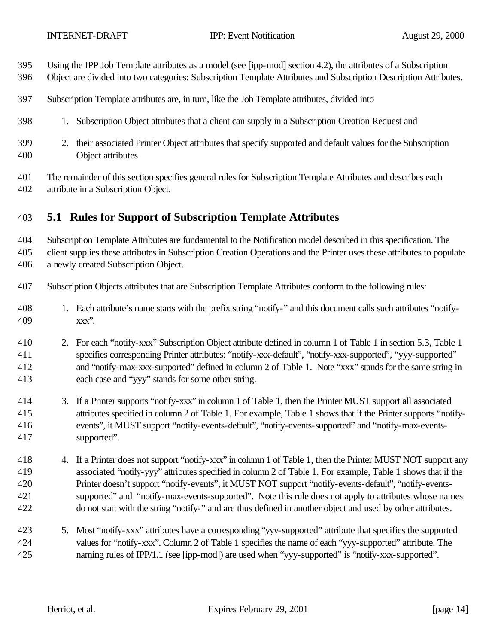- Using the IPP Job Template attributes as a model (see [ipp-mod] section 4.2), the attributes of a Subscription
- Object are divided into two categories: Subscription Template Attributes and Subscription Description Attributes.
- Subscription Template attributes are, in turn, like the Job Template attributes, divided into
- 1. Subscription Object attributes that a client can supply in a Subscription Creation Request and
- 2. their associated Printer Object attributes that specify supported and default values for the Subscription Object attributes
- The remainder of this section specifies general rules for Subscription Template Attributes and describes each attribute in a Subscription Object.

#### **5.1 Rules for Support of Subscription Template Attributes**

Subscription Template Attributes are fundamental to the Notification model described in this specification. The

 client supplies these attributes in Subscription Creation Operations and the Printer uses these attributes to populate a newly created Subscription Object.

- Subscription Objects attributes that are Subscription Template Attributes conform to the following rules:
- 1. Each attribute's name starts with the prefix string "notify-" and this document calls such attributes "notify-xxx".
- 2. For each "notify-xxx" Subscription Object attribute defined in column 1 of Table 1 in section 5.3, Table 1 specifies corresponding Printer attributes: "notify-xxx-default", "notify-xxx-supported", "yyy-supported" and "notify-max-xxx-supported" defined in column 2 of Table 1. Note "xxx" stands for the same string in each case and "yyy" stands for some other string.
- 3. If a Printer supports "notify-xxx" in column 1 of Table 1, then the Printer MUST support all associated attributes specified in column 2 of Table 1. For example, Table 1 shows that if the Printer supports "notify- events", it MUST support "notify-events-default", "notify-events-supported" and "notify-max-events-supported".
- 418 4. If a Printer does not support "notify-xxx" in column 1 of Table 1, then the Printer MUST NOT support any associated "notify-yyy" attributes specified in column 2 of Table 1. For example, Table 1 shows that if the Printer doesn't support "notify-events", it MUST NOT support "notify-events-default", "notify-events- supported" and "notify-max-events-supported". Note this rule does not apply to attributes whose names do not start with the string "notify-" and are thus defined in another object and used by other attributes.
- 5. Most "notify-xxx" attributes have a corresponding "yyy-supported" attribute that specifies the supported values for "notify-xxx". Column 2 of Table 1 specifies the name of each "yyy-supported" attribute. The naming rules of IPP/1.1 (see [ipp-mod]) are used when "yyy-supported" is "notify-xxx-supported".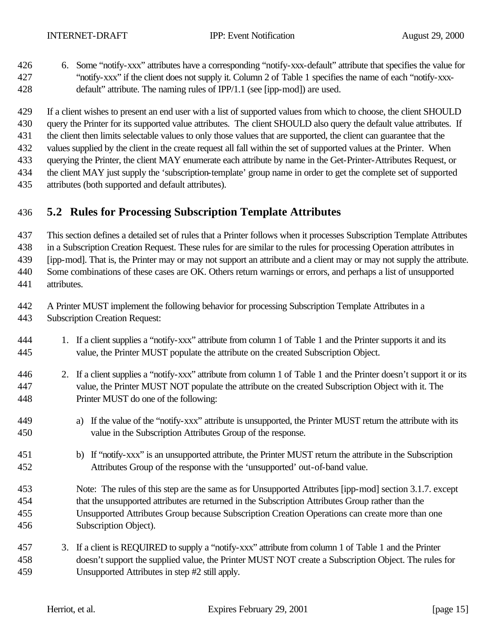- 6. Some "notify-xxx" attributes have a corresponding "notify-xxx-default" attribute that specifies the value for "notify-xxx" if the client does not supply it. Column 2 of Table 1 specifies the name of each "notify-xxx-default" attribute. The naming rules of IPP/1.1 (see [ipp-mod]) are used.
- If a client wishes to present an end user with a list of supported values from which to choose, the client SHOULD query the Printer for its supported value attributes. The client SHOULD also query the default value attributes. If
- the client then limits selectable values to only those values that are supported, the client can guarantee that the
- values supplied by the client in the create request all fall within the set of supported values at the Printer. When
- querying the Printer, the client MAY enumerate each attribute by name in the Get-Printer-Attributes Request, or
- the client MAY just supply the 'subscription-template' group name in order to get the complete set of supported
- attributes (both supported and default attributes).

# **5.2 Rules for Processing Subscription Template Attributes**

This section defines a detailed set of rules that a Printer follows when it processes Subscription Template Attributes

in a Subscription Creation Request. These rules for are similar to the rules for processing Operation attributes in

[ipp-mod]. That is, the Printer may or may not support an attribute and a client may or may not supply the attribute.

 Some combinations of these cases are OK. Others return warnings or errors, and perhaps a list of unsupported attributes.

- A Printer MUST implement the following behavior for processing Subscription Template Attributes in a
- Subscription Creation Request:
- 1. If a client supplies a "notify-xxx" attribute from column 1 of Table 1 and the Printer supports it and its value, the Printer MUST populate the attribute on the created Subscription Object.
- 2. If a client supplies a "notify-xxx" attribute from column 1 of Table 1 and the Printer doesn't support it or its value, the Printer MUST NOT populate the attribute on the created Subscription Object with it. The Printer MUST do one of the following:
- a) If the value of the "notify-xxx" attribute is unsupported, the Printer MUST return the attribute with its value in the Subscription Attributes Group of the response.
- b) If "notify-xxx" is an unsupported attribute, the Printer MUST return the attribute in the Subscription Attributes Group of the response with the 'unsupported' out-of-band value.
- Note: The rules of this step are the same as for Unsupported Attributes [ipp-mod] section 3.1.7. except that the unsupported attributes are returned in the Subscription Attributes Group rather than the Unsupported Attributes Group because Subscription Creation Operations can create more than one Subscription Object).
- 3. If a client is REQUIRED to supply a "notify-xxx" attribute from column 1 of Table 1 and the Printer doesn't support the supplied value, the Printer MUST NOT create a Subscription Object. The rules for Unsupported Attributes in step #2 still apply.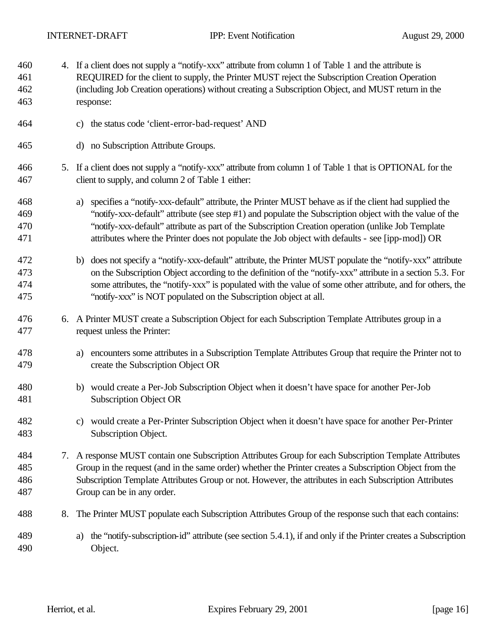| 460<br>461<br>462<br>463 |    | 4. If a client does not supply a "notify-xxx" attribute from column 1 of Table 1 and the attribute is<br>REQUIRED for the client to supply, the Printer MUST reject the Subscription Creation Operation<br>(including Job Creation operations) without creating a Subscription Object, and MUST return in the<br>response:                                                                                                      |
|--------------------------|----|---------------------------------------------------------------------------------------------------------------------------------------------------------------------------------------------------------------------------------------------------------------------------------------------------------------------------------------------------------------------------------------------------------------------------------|
| 464                      |    | the status code 'client-error-bad-request' AND<br>C)                                                                                                                                                                                                                                                                                                                                                                            |
| 465                      |    | d) no Subscription Attribute Groups.                                                                                                                                                                                                                                                                                                                                                                                            |
| 466<br>467               |    | 5. If a client does not supply a "notify-xxx" attribute from column 1 of Table 1 that is OPTIONAL for the<br>client to supply, and column 2 of Table 1 either:                                                                                                                                                                                                                                                                  |
| 468<br>469<br>470<br>471 |    | specifies a "notify-xxx-default" attribute, the Printer MUST behave as if the client had supplied the<br>a)<br>"notify-xxx-default" attribute (see step #1) and populate the Subscription object with the value of the<br>"notify-xxx-default" attribute as part of the Subscription Creation operation (unlike Job Template<br>attributes where the Printer does not populate the Job object with defaults - see [ipp-mod]) OR |
| 472<br>473<br>474<br>475 |    | does not specify a "notify-xxx-default" attribute, the Printer MUST populate the "notify-xxx" attribute<br>b)<br>on the Subscription Object according to the definition of the "notify-xxx" attribute in a section 5.3. For<br>some attributes, the "notify-xxx" is populated with the value of some other attribute, and for others, the<br>"notify-xxx" is NOT populated on the Subscription object at all.                   |
| 476<br>477               |    | 6. A Printer MUST create a Subscription Object for each Subscription Template Attributes group in a<br>request unless the Printer:                                                                                                                                                                                                                                                                                              |
| 478<br>479               |    | encounters some attributes in a Subscription Template Attributes Group that require the Printer not to<br>a)<br>create the Subscription Object OR                                                                                                                                                                                                                                                                               |
| 480<br>481               |    | b) would create a Per-Job Subscription Object when it doesn't have space for another Per-Job<br><b>Subscription Object OR</b>                                                                                                                                                                                                                                                                                                   |
| 482<br>483               |    | c) would create a Per-Printer Subscription Object when it doesn't have space for another Per-Printer<br>Subscription Object.                                                                                                                                                                                                                                                                                                    |
| 484<br>485<br>486<br>487 |    | 7. A response MUST contain one Subscription Attributes Group for each Subscription Template Attributes<br>Group in the request (and in the same order) whether the Printer creates a Subscription Object from the<br>Subscription Template Attributes Group or not. However, the attributes in each Subscription Attributes<br>Group can be in any order.                                                                       |
| 488                      | 8. | The Printer MUST populate each Subscription Attributes Group of the response such that each contains:                                                                                                                                                                                                                                                                                                                           |
| 489<br>490               |    | the "notify-subscription-id" attribute (see section 5.4.1), if and only if the Printer creates a Subscription<br>a)<br>Object.                                                                                                                                                                                                                                                                                                  |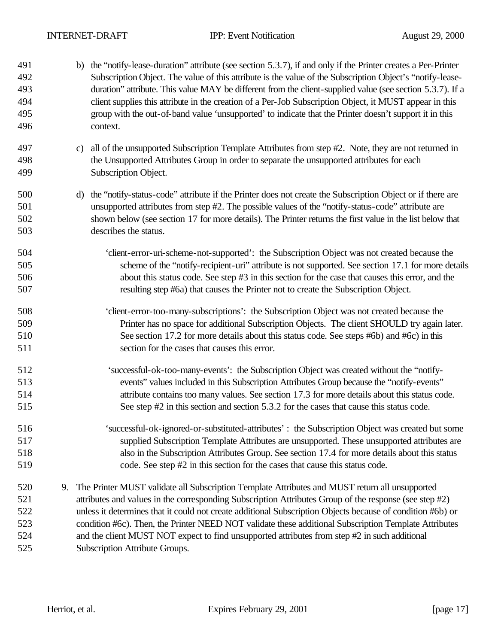| 491<br>492<br>493<br>494<br>495<br>496 | b) the "notify-lease-duration" attribute (see section 5.3.7), if and only if the Printer creates a Per-Printer<br>Subscription Object. The value of this attribute is the value of the Subscription Object's "notify-lease-<br>duration" attribute. This value MAY be different from the client-supplied value (see section 5.3.7). If a<br>client supplies this attribute in the creation of a Per-Job Subscription Object, it MUST appear in this<br>group with the out-of-band value 'unsupported' to indicate that the Printer doesn't support it in this<br>context. |                                                                                                                                                                                                                                                                                                                                                                                                                                                                                                                                                                    |
|----------------------------------------|---------------------------------------------------------------------------------------------------------------------------------------------------------------------------------------------------------------------------------------------------------------------------------------------------------------------------------------------------------------------------------------------------------------------------------------------------------------------------------------------------------------------------------------------------------------------------|--------------------------------------------------------------------------------------------------------------------------------------------------------------------------------------------------------------------------------------------------------------------------------------------------------------------------------------------------------------------------------------------------------------------------------------------------------------------------------------------------------------------------------------------------------------------|
| 497<br>498<br>499                      |                                                                                                                                                                                                                                                                                                                                                                                                                                                                                                                                                                           | all of the unsupported Subscription Template Attributes from step #2. Note, they are not returned in<br>C)<br>the Unsupported Attributes Group in order to separate the unsupported attributes for each<br>Subscription Object.                                                                                                                                                                                                                                                                                                                                    |
| 500<br>501<br>502<br>503               |                                                                                                                                                                                                                                                                                                                                                                                                                                                                                                                                                                           | the "notify-status-code" attribute if the Printer does not create the Subscription Object or if there are<br>d)<br>unsupported attributes from step #2. The possible values of the "notify-status-code" attribute are<br>shown below (see section 17 for more details). The Printer returns the first value in the list below that<br>describes the status.                                                                                                                                                                                                        |
| 504<br>505<br>506<br>507               |                                                                                                                                                                                                                                                                                                                                                                                                                                                                                                                                                                           | 'client-error-uri-scheme-not-supported': the Subscription Object was not created because the<br>scheme of the "notify-recipient-uri" attribute is not supported. See section 17.1 for more details<br>about this status code. See step #3 in this section for the case that causes this error, and the<br>resulting step #6a) that causes the Printer not to create the Subscription Object.                                                                                                                                                                       |
| 508<br>509<br>510<br>511               |                                                                                                                                                                                                                                                                                                                                                                                                                                                                                                                                                                           | 'client-error-too-many-subscriptions': the Subscription Object was not created because the<br>Printer has no space for additional Subscription Objects. The client SHOULD try again later.<br>See section 17.2 for more details about this status code. See steps #6b) and #6c) in this<br>section for the cases that causes this error.                                                                                                                                                                                                                           |
| 512<br>513<br>514<br>515               |                                                                                                                                                                                                                                                                                                                                                                                                                                                                                                                                                                           | 'successful-ok-too-many-events': the Subscription Object was created without the "notify-<br>events" values included in this Subscription Attributes Group because the "notify-events"<br>attribute contains too many values. See section 17.3 for more details about this status code.<br>See step #2 in this section and section 5.3.2 for the cases that cause this status code.                                                                                                                                                                                |
| 516<br>517<br>518<br>519               |                                                                                                                                                                                                                                                                                                                                                                                                                                                                                                                                                                           | successful-ok-ignored-or-substituted-attributes': the Subscription Object was created but some<br>supplied Subscription Template Attributes are unsupported. These unsupported attributes are<br>also in the Subscription Attributes Group. See section 17.4 for more details about this status<br>code. See step #2 in this section for the cases that cause this status code.                                                                                                                                                                                    |
| 520<br>521<br>522<br>523<br>524<br>525 | 9.                                                                                                                                                                                                                                                                                                                                                                                                                                                                                                                                                                        | The Printer MUST validate all Subscription Template Attributes and MUST return all unsupported<br>attributes and values in the corresponding Subscription Attributes Group of the response (see step #2)<br>unless it determines that it could not create additional Subscription Objects because of condition #6b) or<br>condition #6c). Then, the Printer NEED NOT validate these additional Subscription Template Attributes<br>and the client MUST NOT expect to find unsupported attributes from step #2 in such additional<br>Subscription Attribute Groups. |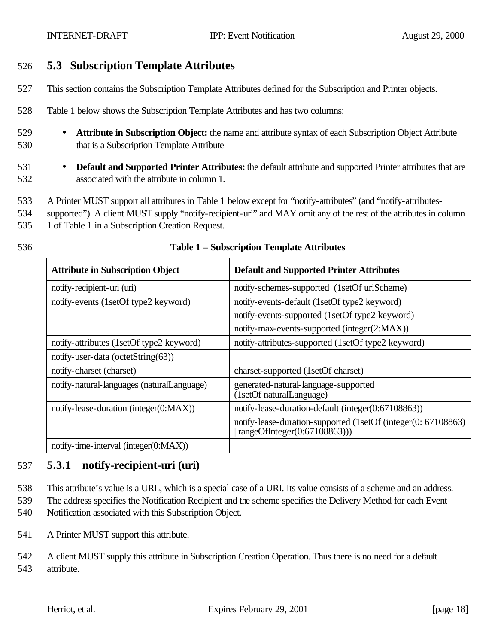#### 526 **5.3 Subscription Template Attributes**

- 527 This section contains the Subscription Template Attributes defined for the Subscription and Printer objects.
- 528 Table 1 below shows the Subscription Template Attributes and has two columns:
- 529 **Attribute in Subscription Object:** the name and attribute syntax of each Subscription Object Attribute 530 that is a Subscription Template Attribute
- 531 **Default and Supported Printer Attributes:** the default attribute and supported Printer attributes that are 532 associated with the attribute in column 1.
- 533 A Printer MUST support all attributes in Table 1 below except for "notify-attributes" (and "notify-attributes-
- 534 supported"). A client MUST supply "notify-recipient-uri" and MAY omit any of the rest of the attributes in column 535 1 of Table 1 in a Subscription Creation Request.
- 

| <b>Attribute in Subscription Object</b>    | <b>Default and Supported Printer Attributes</b>                                                 |
|--------------------------------------------|-------------------------------------------------------------------------------------------------|
| notify-recipient-uri (uri)                 | notify-schemes-supported (1setOf uriScheme)                                                     |
| notify-events (1setOf type2 keyword)       | notify-events-default (1setOf type2 keyword)                                                    |
|                                            | notify-events-supported (1setOf type2 keyword)                                                  |
|                                            | notify-max-events-supported (integer(2:MAX))                                                    |
| notify-attributes (1setOf type2 keyword)   | notify-attributes-supported (1setOf type2 keyword)                                              |
| notify-user-data (octetString $(63)$ )     |                                                                                                 |
| notify-charset (charset)                   | charset-supported (1setOf charset)                                                              |
| notify-natural-languages (naturalLanguage) | generated-natural-language-supported<br>(1setOf naturalLanguage)                                |
| notify-lease-duration (integer(0:MAX))     | notify-lease-duration-default (integer(0:67108863))                                             |
|                                            | notify-lease-duration-supported (1setOf (integer(0: 67108863)<br>rangeOfInteger $(0.67108863))$ |
| notify-time-interval (integer $(0:MAX)$ )  |                                                                                                 |

#### 536 **Table 1 – Subscription Template Attributes**

## 537 **5.3.1 notify-recipient-uri (uri)**

538 This attribute's value is a URL, which is a special case of a URI. Its value consists of a scheme and an address. 539 The address specifies the Notification Recipient and the scheme specifies the Delivery Method for each Event 540 Notification associated with this Subscription Object.

- 541 A Printer MUST support this attribute.
- 542 A client MUST supply this attribute in Subscription Creation Operation. Thus there is no need for a default 543 attribute.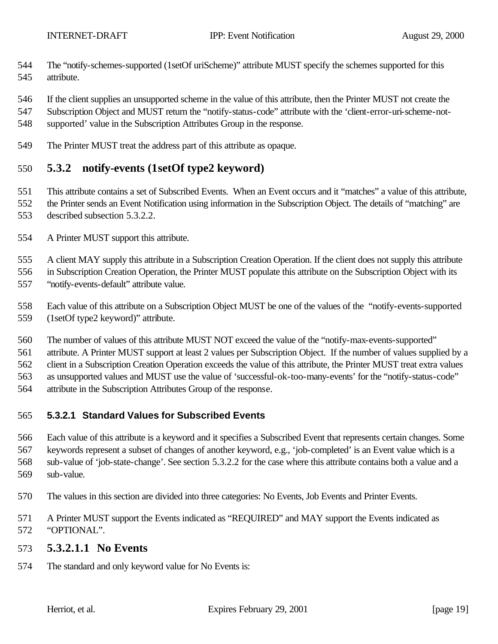- The "notify-schemes-supported (1setOf uriScheme)" attribute MUST specify the schemes supported for this attribute.
- If the client supplies an unsupported scheme in the value of this attribute, then the Printer MUST not create the
- Subscription Object and MUST return the "notify-status-code" attribute with the 'client-error-uri-scheme-not-
- supported' value in the Subscription Attributes Group in the response.
- The Printer MUST treat the address part of this attribute as opaque.

#### **5.3.2 notify-events (1setOf type2 keyword)**

- This attribute contains a set of Subscribed Events. When an Event occurs and it "matches" a value of this attribute, the Printer sends an Event Notification using information in the Subscription Object. The details of "matching" are described subsection 5.3.2.2.
- A Printer MUST support this attribute.

A client MAY supply this attribute in a Subscription Creation Operation. If the client does not supply this attribute

in Subscription Creation Operation, the Printer MUST populate this attribute on the Subscription Object with its

"notify-events-default" attribute value.

Each value of this attribute on a Subscription Object MUST be one of the values of the "notify-events-supported

- (1setOf type2 keyword)" attribute.
- The number of values of this attribute MUST NOT exceed the value of the "notify-max-events-supported"

attribute. A Printer MUST support at least 2 values per Subscription Object. If the number of values supplied by a

client in a Subscription Creation Operation exceeds the value of this attribute, the Printer MUST treat extra values

as unsupported values and MUST use the value of 'successful-ok-too-many-events' for the "notify-status-code"

attribute in the Subscription Attributes Group of the response.

#### **5.3.2.1 Standard Values for Subscribed Events**

 Each value of this attribute is a keyword and it specifies a Subscribed Event that represents certain changes. Some keywords represent a subset of changes of another keyword, e.g., 'job-completed' is an Event value which is a sub-value of 'job-state-change'. See section 5.3.2.2 for the case where this attribute contains both a value and a sub-value.

- The values in this section are divided into three categories: No Events, Job Events and Printer Events.
- A Printer MUST support the Events indicated as "REQUIRED" and MAY support the Events indicated as "OPTIONAL".

#### **5.3.2.1.1 No Events**

The standard and only keyword value for No Events is: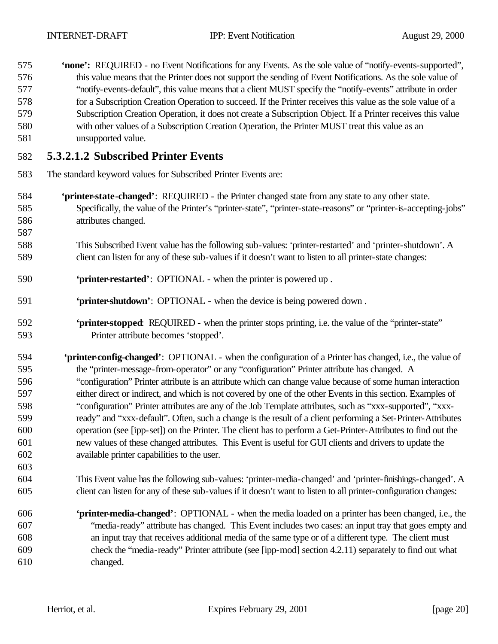**'none':** REQUIRED - no Event Notifications for any Events. As the sole value of "notify-events-supported", this value means that the Printer does not support the sending of Event Notifications. As the sole value of "notify-events-default", this value means that a client MUST specify the "notify-events" attribute in order for a Subscription Creation Operation to succeed. If the Printer receives this value as the sole value of a Subscription Creation Operation, it does not create a Subscription Object. If a Printer receives this value with other values of a Subscription Creation Operation, the Printer MUST treat this value as an unsupported value.

## **5.3.2.1.2 Subscribed Printer Events**

- The standard keyword values for Subscribed Printer Events are:
- **'printer-state-changed'**: REQUIRED the Printer changed state from any state to any other state. Specifically, the value of the Printer's "printer-state", "printer-state-reasons" or "printer-is-accepting-jobs" attributes changed.
- This Subscribed Event value has the following sub-values: 'printer-restarted' and 'printer-shutdown'. A client can listen for any of these sub-values if it doesn't want to listen to all printer-state changes:
- **'printer-restarted'**: OPTIONAL when the printer is powered up .
- **'printer-shutdown'**: OPTIONAL when the device is being powered down .
- **'printer-stopped**: REQUIRED when the printer stops printing, i.e. the value of the "printer-state" Printer attribute becomes 'stopped'.
- **'printer-config-changed'**:OPTIONAL when the configuration of a Printer has changed, i.e., the value of the "printer-message-from-operator" or any "configuration" Printer attribute has changed. A "configuration" Printer attribute is an attribute which can change value because of some human interaction either direct or indirect, and which is not covered by one of the other Events in this section. Examples of "configuration" Printer attributes are any of the Job Template attributes, such as "xxx-supported", "xxx- ready" and "xxx-default". Often, such a change is the result of a client performing a Set-Printer-Attributes operation (see [ipp-set]) on the Printer. The client has to perform a Get-Printer-Attributes to find out the new values of these changed attributes. This Event is useful for GUI clients and drivers to update the available printer capabilities to the user.
- This Event value has the following sub-values: 'printer-media-changed' and 'printer-finishings-changed'. A client can listen for any of these sub-values if it doesn't want to listen to all printer-configuration changes:
- **'printer-media-changed'**:OPTIONAL when the media loaded on a printer has been changed, i.e., the "media-ready" attribute has changed. This Event includes two cases: an input tray that goes empty and an input tray that receives additional media of the same type or of a different type. The client must check the "media-ready" Printer attribute (see [ipp-mod] section 4.2.11) separately to find out what changed.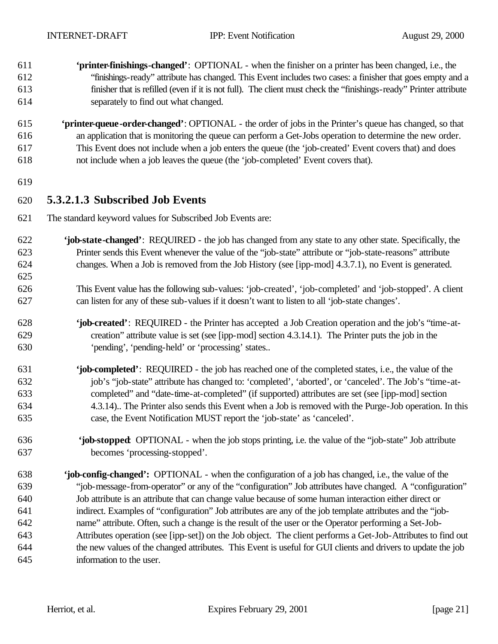- **'printer-finishings-changed'**:OPTIONAL when the finisher on a printer has been changed, i.e., the "finishings-ready" attribute has changed. This Event includes two cases: a finisher that goes empty and a finisher that is refilled (even if it is not full). The client must check the "finishings-ready" Printer attribute separately to find out what changed.
- **'printer-queue-order-changed'**: OPTIONAL the order of jobs in the Printer's queue has changed, so that an application that is monitoring the queue can perform a Get-Jobs operation to determine the new order. This Event does not include when a job enters the queue (the 'job-created' Event covers that) and does not include when a job leaves the queue (the 'job-completed' Event covers that).
- 

#### **5.3.2.1.3 Subscribed Job Events**

- The standard keyword values for Subscribed Job Events are:
- **'job-state-changed'**: REQUIRED the job has changed from any state to any other state. Specifically, the Printer sends this Event whenever the value of the "job-state" attribute or "job-state-reasons" attribute changes. When a Job is removed from the Job History (see [ipp-mod] 4.3.7.1), no Event is generated.
- This Event value has the following sub-values: 'job-created', 'job-completed' and 'job-stopped'. A client can listen for any of these sub-values if it doesn't want to listen to all 'job-state changes'.
- **'job-created'**: REQUIRED the Printer has accepted a Job Creation operation and the job's "time-at- creation" attribute value is set (see [ipp-mod] section 4.3.14.1). The Printer puts the job in the 'pending', 'pending-held' or 'processing' states..
- **'job-completed'**: REQUIRED the job has reached one of the completed states, i.e., the value of the job's "job-state" attribute has changed to: 'completed', 'aborted', or 'canceled'. The Job's "time-at- completed" and "date-time-at-completed" (if supported) attributes are set (see [ipp-mod] section 4.3.14).. The Printer also sends this Event when a Job is removed with the Purge-Job operation. In this case, the Event Notification MUST report the 'job-state' as 'canceled'.
- **'job-stopped**: OPTIONAL when the job stops printing, i.e. the value of the "job-state" Job attribute becomes 'processing-stopped'.
- **'job-config-changed':** OPTIONAL when the configuration of a job has changed, i.e., the value of the "job-message-from-operator" or any of the "configuration" Job attributes have changed. A "configuration" Job attribute is an attribute that can change value because of some human interaction either direct or indirect. Examples of "configuration" Job attributes are any of the job template attributes and the "job- name" attribute. Often, such a change is the result of the user or the Operator performing a Set-Job- Attributes operation (see [ipp-set]) on the Job object. The client performs a Get-Job-Attributes to find out the new values of the changed attributes. This Event is useful for GUI clients and drivers to update the job information to the user.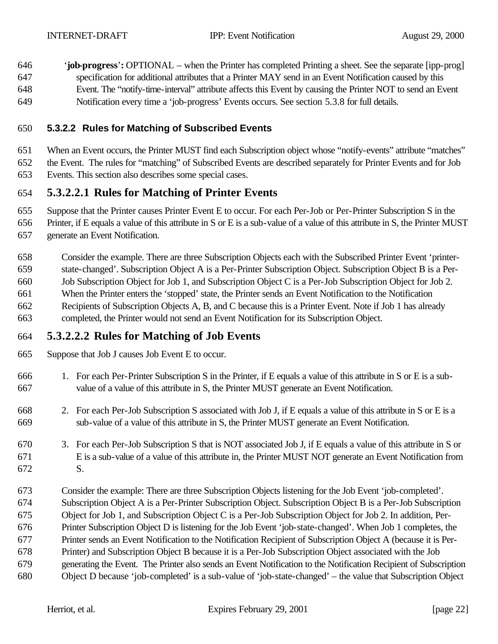646 '**job-progress**'**:** OPTIONAL – when the Printer has completed Printing a sheet. See the separate [ipp-prog] specification for additional attributes that a Printer MAY send in an Event Notification caused by this Event. The "notify-time-interval" attribute affects this Event by causing the Printer NOT to send an Event Notification every time a 'job-progress' Events occurs. See section 5.3.8 for full details.

#### **5.3.2.2 Rules for Matching of Subscribed Events**

 When an Event occurs, the Printer MUST find each Subscription object whose "notify-events" attribute "matches" the Event. The rules for "matching" of Subscribed Events are described separately for Printer Events and for Job Events. This section also describes some special cases.

#### **5.3.2.2.1 Rules for Matching of Printer Events**

Suppose that the Printer causes Printer Event E to occur. For each Per-Job or Per-Printer Subscription S in the

Printer, if E equals a value of this attribute in S or E is a sub-value of a value of this attribute in S, the Printer MUST

generate an Event Notification.

 Consider the example. There are three Subscription Objects each with the Subscribed Printer Event 'printer- state-changed'. Subscription Object A is a Per-Printer Subscription Object. Subscription Object B is a Per- Job Subscription Object for Job 1, and Subscription Object C is a Per-Job Subscription Object for Job 2. When the Printer enters the 'stopped' state, the Printer sends an Event Notification to the Notification Recipients of Subscription Objects A, B, and C because this is a Printer Event. Note if Job 1 has already completed, the Printer would not send an Event Notification for its Subscription Object.

## **5.3.2.2.2 Rules for Matching of Job Events**

Suppose that Job J causes Job Event E to occur.

- 1. For each Per-Printer Subscription S in the Printer, if E equals a value of this attribute in S or E is a sub-value of a value of this attribute in S, the Printer MUST generate an Event Notification.
- 2. For each Per-Job Subscription S associated with Job J, if E equals a value of this attribute in S or E is a sub-value of a value of this attribute in S, the Printer MUST generate an Event Notification.
- 3. For each Per-Job Subscription S that is NOT associated Job J, if E equals a value of this attribute in S or E is a sub-value of a value of this attribute in, the Printer MUST NOT generate an Event Notification from S.
- Consider the example: There are three Subscription Objects listening for the Job Event 'job-completed'. Subscription Object A is a Per-Printer Subscription Object. Subscription Object B is a Per-Job Subscription Object for Job 1, and Subscription Object C is a Per-Job Subscription Object for Job 2. In addition, Per- Printer Subscription Object D is listening for the Job Event 'job-state-changed'. When Job 1 completes, the Printer sends an Event Notification to the Notification Recipient of Subscription Object A (because it is Per- Printer) and Subscription Object B because it is a Per-Job Subscription Object associated with the Job generating the Event. The Printer also sends an Event Notification to the Notification Recipient of Subscription Object D because 'job-completed' is a sub-value of 'job-state-changed' – the value that Subscription Object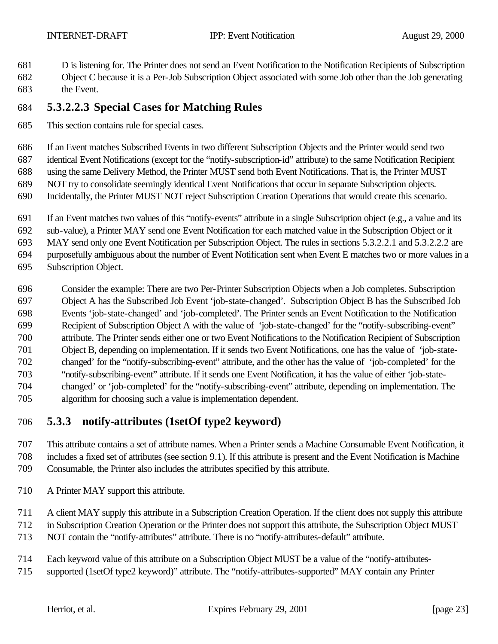- D is listening for. The Printer does not send an Event Notification to the Notification Recipients of Subscription
- Object C because it is a Per-Job Subscription Object associated with some Job other than the Job generating the Event.

## **5.3.2.2.3 Special Cases for Matching Rules**

This section contains rule for special cases.

If an Event matches Subscribed Events in two different Subscription Objects and the Printer would send two

identical Event Notifications (except for the "notify-subscription-id" attribute) to the same Notification Recipient

using the same Delivery Method, the Printer MUST send both Event Notifications. That is, the Printer MUST

- NOT try to consolidate seemingly identical Event Notifications that occur in separate Subscription objects.
- Incidentally, the Printer MUST NOT reject Subscription Creation Operations that would create this scenario.
- If an Event matches two values of this "notify-events" attribute in a single Subscription object (e.g., a value and its
- sub-value), a Printer MAY send one Event Notification for each matched value in the Subscription Object or it

MAY send only one Event Notification per Subscription Object. The rules in sections 5.3.2.2.1 and 5.3.2.2.2 are

purposefully ambiguous about the number of Event Notification sent when Event E matches two or more values in a

- Subscription Object.
- Consider the example: There are two Per-Printer Subscription Objects when a Job completes. Subscription Object A has the Subscribed Job Event 'job-state-changed'. Subscription Object B has the Subscribed Job Events 'job-state-changed' and 'job-completed'. The Printer sends an Event Notification to the Notification Recipient of Subscription Object A with the value of 'job-state-changed' for the "notify-subscribing-event" attribute. The Printer sends either one or two Event Notifications to the Notification Recipient of Subscription Object B, depending on implementation. If it sends two Event Notifications, one has the value of 'job-state- changed' for the "notify-subscribing-event" attribute, and the other has the value of 'job-completed' for the "notify-subscribing-event" attribute. If it sends one Event Notification, it has the value of either 'job-state- changed' or 'job-completed' for the "notify-subscribing-event" attribute, depending on implementation. The algorithm for choosing such a value is implementation dependent.

# **5.3.3 notify-attributes (1setOf type2 keyword)**

 This attribute contains a set of attribute names. When a Printer sends a Machine Consumable Event Notification, it includes a fixed set of attributes (see section 9.1). If this attribute is present and the Event Notification is Machine Consumable, the Printer also includes the attributes specified by this attribute.

A Printer MAY support this attribute.

A client MAY supply this attribute in a Subscription Creation Operation. If the client does not supply this attribute

in Subscription Creation Operation or the Printer does not support this attribute, the Subscription Object MUST

- NOT contain the "notify-attributes" attribute. There is no "notify-attributes-default" attribute.
- Each keyword value of this attribute on a Subscription Object MUST be a value of the "notify-attributes-
- supported (1setOf type2 keyword)" attribute. The "notify-attributes-supported" MAY contain any Printer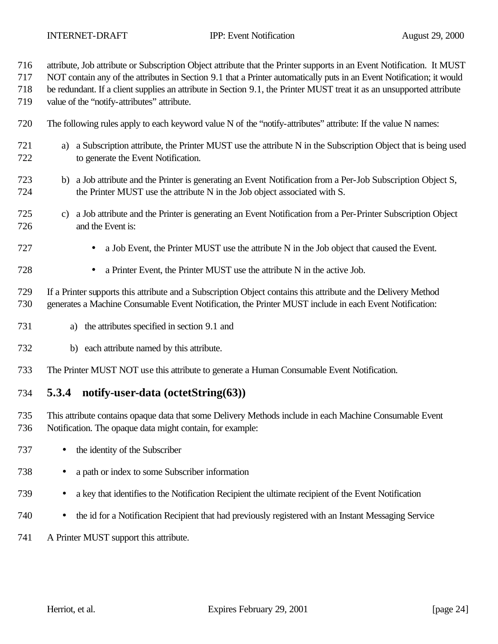- attribute, Job attribute or Subscription Object attribute that the Printer supports in an Event Notification. It MUST
- NOT contain any of the attributes in Section 9.1 that a Printer automatically puts in an Event Notification; it would
- be redundant. If a client supplies an attribute in Section 9.1, the Printer MUST treat it as an unsupported attribute
- value of the "notify-attributes" attribute.
- The following rules apply to each keyword value N of the "notify-attributes" attribute: If the value N names:
- a) a Subscription attribute, the Printer MUST use the attribute N in the Subscription Object that is being used to generate the Event Notification.
- b) a Job attribute and the Printer is generating an Event Notification from a Per-Job Subscription Object S, the Printer MUST use the attribute N in the Job object associated with S.
- c) a Job attribute and the Printer is generating an Event Notification from a Per-Printer Subscription Object and the Event is:
- a Job Event, the Printer MUST use the attribute N in the Job object that caused the Event.
- a Printer Event, the Printer MUST use the attribute N in the active Job.
- If a Printer supports this attribute and a Subscription Object contains this attribute and the Delivery Method generates a Machine Consumable Event Notification, the Printer MUST include in each Event Notification:
- a) the attributes specified in section 9.1 and
- b) each attribute named by this attribute.
- The Printer MUST NOT use this attribute to generate a Human Consumable Event Notification.
- **5.3.4 notify-user-data (octetString(63))**
- This attribute contains opaque data that some Delivery Methods include in each Machine Consumable Event Notification. The opaque data might contain, for example:
- 737 the identity of the Subscriber
- a path or index to some Subscriber information
- a key that identifies to the Notification Recipient the ultimate recipient of the Event Notification
- the id for a Notification Recipient that had previously registered with an Instant Messaging Service
- A Printer MUST support this attribute.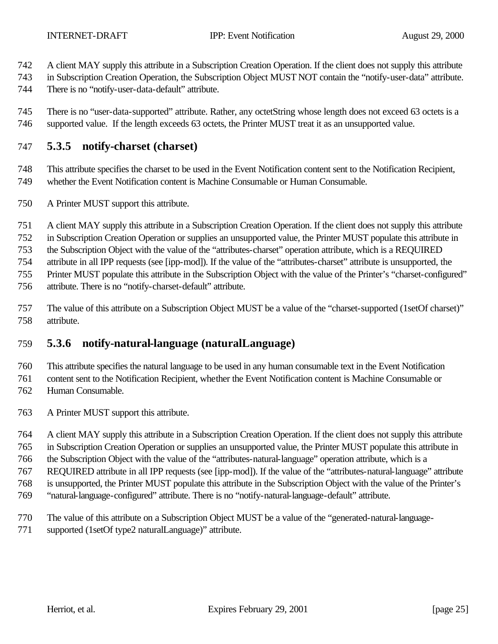- A client MAY supply this attribute in a Subscription Creation Operation. If the client does not supply this attribute
- in Subscription Creation Operation, the Subscription Object MUST NOT contain the "notify-user-data" attribute.
- There is no "notify-user-data-default" attribute.

 There is no "user-data-supported" attribute. Rather, any octetString whose length does not exceed 63 octets is a supported value. If the length exceeds 63 octets, the Printer MUST treat it as an unsupported value.

#### **5.3.5 notify-charset (charset)**

 This attribute specifies the charset to be used in the Event Notification content sent to the Notification Recipient, whether the Event Notification content is Machine Consumable or Human Consumable.

- A Printer MUST support this attribute.
- A client MAY supply this attribute in a Subscription Creation Operation. If the client does not supply this attribute
- in Subscription Creation Operation or supplies an unsupported value, the Printer MUST populate this attribute in

the Subscription Object with the value of the "attributes-charset" operation attribute, which is a REQUIRED

attribute in all IPP requests (see [ipp-mod]). If the value of the "attributes-charset" attribute is unsupported, the

Printer MUST populate this attribute in the Subscription Object with the value of the Printer's "charset-configured"

- attribute. There is no "notify-charset-default" attribute.
- The value of this attribute on a Subscription Object MUST be a value of the "charset-supported (1setOf charset)" attribute.

## **5.3.6 notify-natural-language (naturalLanguage)**

This attribute specifies the natural language to be used in any human consumable text in the Event Notification

content sent to the Notification Recipient, whether the Event Notification content is Machine Consumable or

- Human Consumable.
- A Printer MUST support this attribute.
- A client MAY supply this attribute in a Subscription Creation Operation. If the client does not supply this attribute
- in Subscription Creation Operation or supplies an unsupported value, the Printer MUST populate this attribute in

the Subscription Object with the value of the "attributes-natural-language" operation attribute, which is a

- REQUIRED attribute in all IPP requests (see [ipp-mod]). If the value of the "attributes-natural-language" attribute
- is unsupported, the Printer MUST populate this attribute in the Subscription Object with the value of the Printer's
- "natural-language-configured" attribute. There is no "notify-natural-language-default" attribute.
- The value of this attribute on a Subscription Object MUST be a value of the "generated-natural-language-
- supported (1setOf type2 naturalLanguage)" attribute.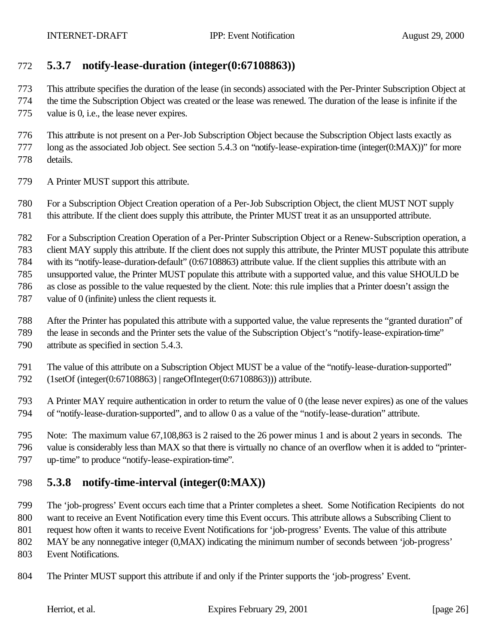## **5.3.7 notify-lease-duration (integer(0:67108863))**

This attribute specifies the duration of the lease (in seconds) associated with the Per-Printer Subscription Object at

 the time the Subscription Object was created or the lease was renewed. The duration of the lease is infinite if the value is 0, i.e., the lease never expires.

 This attribute is not present on a Per-Job Subscription Object because the Subscription Object lasts exactly as long as the associated Job object. See section 5.4.3 on "notify-lease-expiration-time (integer(0:MAX))" for more details.

A Printer MUST support this attribute.

 For a Subscription Object Creation operation of a Per-Job Subscription Object, the client MUST NOT supply this attribute. If the client does supply this attribute, the Printer MUST treat it as an unsupported attribute.

For a Subscription Creation Operation of a Per-Printer Subscription Object or a Renew-Subscription operation, a

client MAY supply this attribute. If the client does not supply this attribute, the Printer MUST populate this attribute

with its "notify-lease-duration-default" (0:67108863) attribute value. If the client supplies this attribute with an

unsupported value, the Printer MUST populate this attribute with a supported value, and this value SHOULD be

as close as possible to the value requested by the client. Note: this rule implies that a Printer doesn't assign the

- value of 0 (infinite) unless the client requests it.
- After the Printer has populated this attribute with a supported value, the value represents the "granted duration" of
- the lease in seconds and the Printer sets the value of the Subscription Object's "notify-lease-expiration-time" attribute as specified in section 5.4.3.
- The value of this attribute on a Subscription Object MUST be a value of the "notify-lease-duration-supported"
- (1setOf (integer(0:67108863) | rangeOfInteger(0:67108863))) attribute.
- A Printer MAY require authentication in order to return the value of 0 (the lease never expires) as one of the values of "notify-lease-duration-supported", and to allow 0 as a value of the "notify-lease-duration" attribute.
- Note: The maximum value 67,108,863 is 2 raised to the 26 power minus 1 and is about 2 years in seconds. The value is considerably less than MAX so that there is virtually no chance of an overflow when it is added to "printer-up-time" to produce "notify-lease-expiration-time".

## **5.3.8 notify-time-interval (integer(0:MAX))**

 The 'job-progress' Event occurs each time that a Printer completes a sheet. Some Notification Recipients do not want to receive an Event Notification every time this Event occurs. This attribute allows a Subscribing Client to

request how often it wants to receive Event Notifications for 'job-progress' Events. The value of this attribute

MAY be any nonnegative integer (0,MAX) indicating the minimum number of seconds between 'job-progress'

- Event Notifications.
- The Printer MUST support this attribute if and only if the Printer supports the 'job-progress' Event.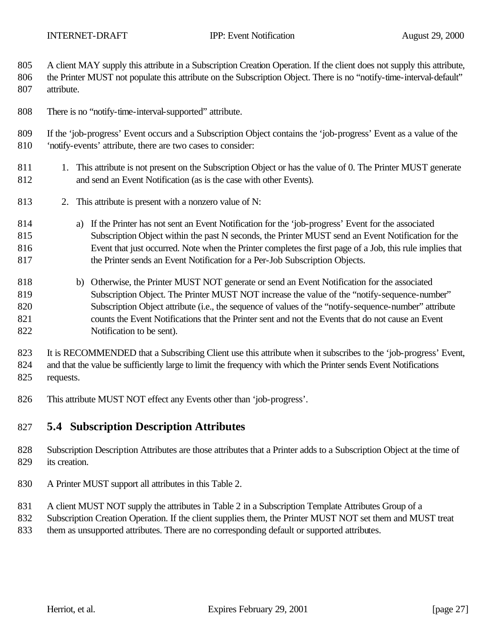A client MAY supply this attribute in a Subscription Creation Operation. If the client does not supply this attribute,

806 the Printer MUST not populate this attribute on the Subscription Object. There is no "notify-time-interval-default" attribute.

There is no "notify-time-interval-supported" attribute.

 If the 'job-progress' Event occurs and a Subscription Object contains the 'job-progress' Event as a value of the 'notify-events' attribute, there are two cases to consider:

- 811 1. This attribute is not present on the Subscription Object or has the value of 0. The Printer MUST generate and send an Event Notification (as is the case with other Events).
- 2. This attribute is present with a nonzero value of N:
- a) If the Printer has not sent an Event Notification for the 'job-progress' Event for the associated Subscription Object within the past N seconds, the Printer MUST send an Event Notification for the Event that just occurred. Note when the Printer completes the first page of a Job, this rule implies that 817 the Printer sends an Event Notification for a Per-Job Subscription Objects.
- b) Otherwise, the Printer MUST NOT generate or send an Event Notification for the associated Subscription Object. The Printer MUST NOT increase the value of the "notify-sequence-number" Subscription Object attribute (i.e., the sequence of values of the "notify-sequence-number" attribute counts the Event Notifications that the Printer sent and not the Events that do not cause an Event Notification to be sent).

 It is RECOMMENDED that a Subscribing Client use this attribute when it subscribes to the 'job-progress' Event, and that the value be sufficiently large to limit the frequency with which the Printer sends Event Notifications requests.

This attribute MUST NOT effect any Events other than 'job-progress'.

## **5.4 Subscription Description Attributes**

 Subscription Description Attributes are those attributes that a Printer adds to a Subscription Object at the time of its creation.

- A Printer MUST support all attributes in this Table 2.
- A client MUST NOT supply the attributes in Table 2 in a Subscription Template Attributes Group of a
- Subscription Creation Operation. If the client supplies them, the Printer MUST NOT set them and MUST treat
- them as unsupported attributes. There are no corresponding default or supported attributes.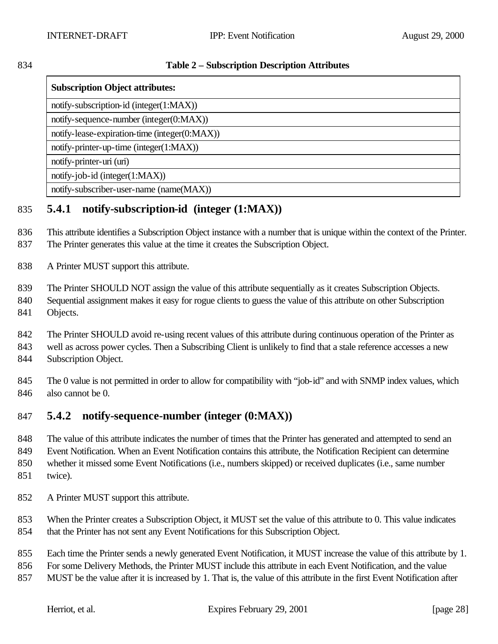#### **Table 2 – Subscription Description Attributes**

| <b>Subscription Object attributes:</b>        |  |
|-----------------------------------------------|--|
| notify-subscription-id (integer(1:MAX))       |  |
| notify-sequence-number (integer(0:MAX))       |  |
| notify-lease-expiration-time (integer(0:MAX)) |  |
| notify-printer-up-time (integer(1:MAX))       |  |
| notify-printer-uri (uri)                      |  |
| notify-job-id (integer $(1:MAX)$ )            |  |
| notify-subscriber-user-name (name(MAX))       |  |

# **5.4.1 notify-subscription-id (integer (1:MAX))**

 This attribute identifies a Subscription Object instance with a number that is unique within the context of the Printer. The Printer generates this value at the time it creates the Subscription Object.

A Printer MUST support this attribute.

The Printer SHOULD NOT assign the value of this attribute sequentially as it creates Subscription Objects.

 Sequential assignment makes it easy for rogue clients to guess the value of this attribute on other Subscription Objects.

The Printer SHOULD avoid re-using recent values of this attribute during continuous operation of the Printer as

well as across power cycles. Then a Subscribing Client is unlikely to find that a stale reference accesses a new

Subscription Object.

 The 0 value is not permitted in order to allow for compatibility with "job-id" and with SNMP index values, which also cannot be 0.

## **5.4.2 notify-sequence-number (integer (0:MAX))**

The value of this attribute indicates the number of times that the Printer has generated and attempted to send an

Event Notification. When an Event Notification contains this attribute, the Notification Recipient can determine

whether it missed some Event Notifications (i.e., numbers skipped) or received duplicates (i.e., same number

- twice).
- A Printer MUST support this attribute.

 When the Printer creates a Subscription Object, it MUST set the value of this attribute to 0. This value indicates that the Printer has not sent any Event Notifications for this Subscription Object.

Each time the Printer sends a newly generated Event Notification, it MUST increase the value of this attribute by 1.

For some Delivery Methods, the Printer MUST include this attribute in each Event Notification, and the value

MUST be the value after it is increased by 1. That is, the value of this attribute in the first Event Notification after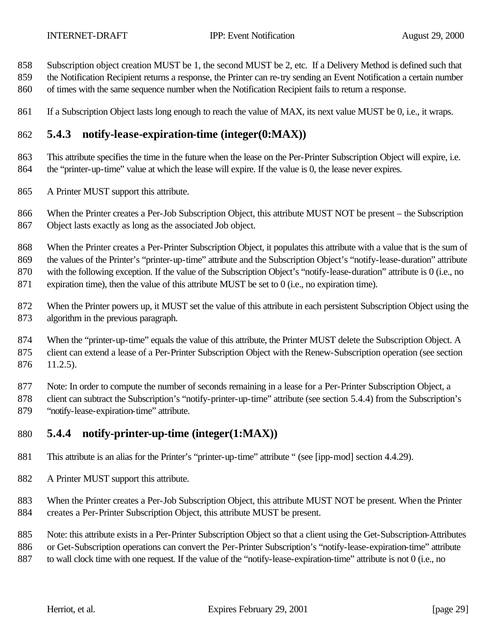- Subscription object creation MUST be 1, the second MUST be 2, etc. If a Delivery Method is defined such that
- the Notification Recipient returns a response, the Printer can re-try sending an Event Notification a certain number
- of times with the same sequence number when the Notification Recipient fails to return a response.
- 861 If a Subscription Object lasts long enough to reach the value of MAX, its next value MUST be 0, i.e., it wraps.

## **5.4.3 notify-lease-expiration-time (integer(0:MAX))**

 This attribute specifies the time in the future when the lease on the Per-Printer Subscription Object will expire, i.e. the "printer-up-time" value at which the lease will expire. If the value is 0, the lease never expires.

A Printer MUST support this attribute.

 When the Printer creates a Per-Job Subscription Object, this attribute MUST NOT be present – the Subscription Object lasts exactly as long as the associated Job object.

 When the Printer creates a Per-Printer Subscription Object, it populates this attribute with a value that is the sum of the values of the Printer's "printer-up-time" attribute and the Subscription Object's "notify-lease-duration" attribute with the following exception. If the value of the Subscription Object's "notify-lease-duration" attribute is 0 (i.e., no 871 expiration time), then the value of this attribute MUST be set to 0 (i.e., no expiration time).

 When the Printer powers up, it MUST set the value of this attribute in each persistent Subscription Object using the algorithm in the previous paragraph.

874 When the "printer-up-time" equals the value of this attribute, the Printer MUST delete the Subscription Object. A client can extend a lease of a Per-Printer Subscription Object with the Renew-Subscription operation (see section 11.2.5).

Note: In order to compute the number of seconds remaining in a lease for a Per-Printer Subscription Object, a

 client can subtract the Subscription's "notify-printer-up-time" attribute (see section 5.4.4) from the Subscription's "notify-lease-expiration-time" attribute.

## **5.4.4 notify-printer-up-time (integer(1:MAX))**

This attribute is an alias for the Printer's "printer-up-time" attribute " (see [ipp-mod] section 4.4.29).

A Printer MUST support this attribute.

 When the Printer creates a Per-Job Subscription Object, this attribute MUST NOT be present. When the Printer creates a Per-Printer Subscription Object, this attribute MUST be present.

Note: this attribute exists in a Per-Printer Subscription Object so that a client using the Get-Subscription-Attributes

886 or Get-Subscription operations can convert the Per-Printer Subscription's "notify-lease-expiration-time" attribute

to wall clock time with one request. If the value of the "notify-lease-expiration-time" attribute is not 0 (i.e., no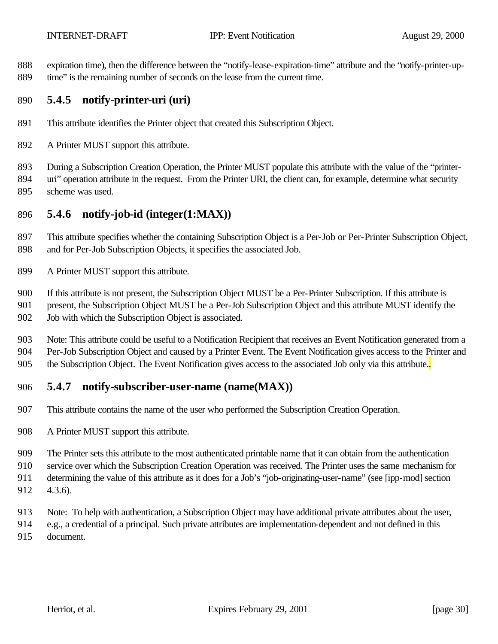expiration time), then the difference between the "notify-lease-expiration-time" attribute and the "notify-printer-up-time" is the remaining number of seconds on the lease from the current time.

#### **5.4.5 notify-printer-uri (uri)**

- This attribute identifies the Printer object that created this Subscription Object.
- A Printer MUST support this attribute.
- During a Subscription Creation Operation, the Printer MUST populate this attribute with the value of the "printer-894 uri" operation attribute in the request. From the Printer URI, the client can, for example, determine what security scheme was used.

#### **5.4.6 notify-job-id (integer(1:MAX))**

 This attribute specifies whether the containing Subscription Object is a Per-Job or Per-Printer Subscription Object, and for Per-Job Subscription Objects, it specifies the associated Job.

A Printer MUST support this attribute.

If this attribute is not present, the Subscription Object MUST be a Per-Printer Subscription. If this attribute is

 present, the Subscription Object MUST be a Per-Job Subscription Object and this attribute MUST identify the Job with which the Subscription Object is associated.

 Note: This attribute could be useful to a Notification Recipient that receives an Event Notification generated from a Per-Job Subscription Object and caused by a Printer Event. The Event Notification gives access to the Printer and 905 the Subscription Object. The Event Notification gives access to the associated Job only via this attribute.

#### **5.4.7 notify-subscriber-user-name (name(MAX))**

- This attribute contains the name of the user who performed the Subscription Creation Operation.
- A Printer MUST support this attribute.

The Printer sets this attribute to the most authenticated printable name that it can obtain from the authentication

service over which the Subscription Creation Operation was received. The Printer uses the same mechanism for

- determining the value of this attribute as it does for a Job's "job-originating-user-name" (see [ipp-mod] section 4.3.6).
- Note: To help with authentication, a Subscription Object may have additional private attributes about the user,
- e.g., a credential of a principal. Such private attributes are implementation-dependent and not defined in this
- document.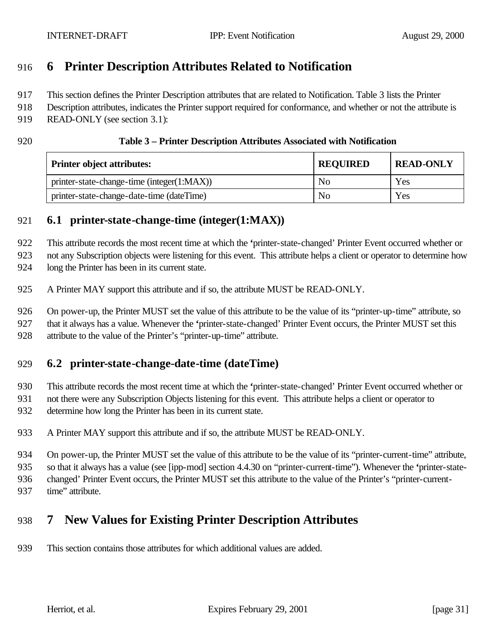# **6 Printer Description Attributes Related to Notification**

This section defines the Printer Description attributes that are related to Notification. Table 3 lists the Printer

Description attributes, indicates the Printer support required for conformance, and whether or not the attribute is

- READ-ONLY (see section 3.1):
- 

#### **Table 3 – Printer Description Attributes Associated with Notification**

| <b>Printer object attributes:</b>          | <b>REQUIRED</b> | <b>READ-ONLY</b> |
|--------------------------------------------|-----------------|------------------|
| printer-state-change-time (integer(1:MAX)) | N <sub>0</sub>  | Yes              |
| printer-state-change-date-time (dateTime)  | N <sub>0</sub>  | Yes              |

#### **6.1 printer-state-change-time (integer(1:MAX))**

This attribute records the most recent time at which the **'**printer-state-changed' Printer Event occurred whether or

not any Subscription objects were listening for this event. This attribute helps a client or operator to determine how

long the Printer has been in its current state.

A Printer MAY support this attribute and if so, the attribute MUST be READ-ONLY.

 On power-up, the Printer MUST set the value of this attribute to be the value of its "printer-up-time" attribute, so that it always has a value. Whenever the **'**printer-state-changed' Printer Event occurs, the Printer MUST set this attribute to the value of the Printer's "printer-up-time" attribute.

## **6.2 printer-state-change-date-time (dateTime)**

This attribute records the most recent time at which the **'**printer-state-changed' Printer Event occurred whether or

 not there were any Subscription Objects listening for this event. This attribute helps a client or operator to determine how long the Printer has been in its current state.

A Printer MAY support this attribute and if so, the attribute MUST be READ-ONLY.

 On power-up, the Printer MUST set the value of this attribute to be the value of its "printer-current-time" attribute, so that it always has a value (see [ipp-mod] section 4.4.30 on "printer-current-time"). Whenever the **'**printer-state-

changed' Printer Event occurs, the Printer MUST set this attribute to the value of the Printer's "printer-current-

- - 937 time" attribute.

# **7 New Values for Existing Printer Description Attributes**

This section contains those attributes for which additional values are added.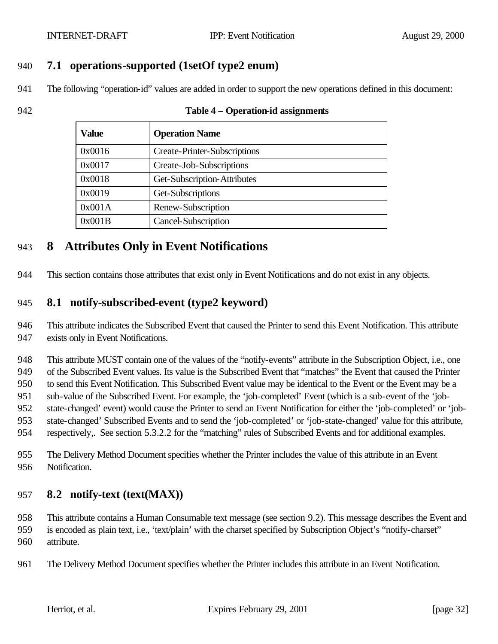#### **7.1 operations-supported (1setOf type2 enum)**

The following "operation-id" values are added in order to support the new operations defined in this document:

#### **Table 4 – Operation-id assignments**

| Value  | <b>Operation Name</b>               |
|--------|-------------------------------------|
| 0x0016 | <b>Create-Printer-Subscriptions</b> |
| 0x0017 | Create-Job-Subscriptions            |
| 0x0018 | Get-Subscription-Attributes         |
| 0x0019 | Get-Subscriptions                   |
| 0x001A | Renew-Subscription                  |
| 0x001B | Cancel-Subscription                 |

## **8 Attributes Only in Event Notifications**

This section contains those attributes that exist only in Event Notifications and do not exist in any objects.

#### **8.1 notify-subscribed-event (type2 keyword)**

 This attribute indicates the Subscribed Event that caused the Printer to send this Event Notification. This attribute exists only in Event Notifications.

 This attribute MUST contain one of the values of the "notify-events" attribute in the Subscription Object, i.e., one of the Subscribed Event values. Its value is the Subscribed Event that "matches" the Event that caused the Printer to send this Event Notification. This Subscribed Event value may be identical to the Event or the Event may be a sub-value of the Subscribed Event. For example, the 'job-completed' Event (which is a sub-event of the 'job- state-changed' event) would cause the Printer to send an Event Notification for either the 'job-completed' or 'job- state-changed' Subscribed Events and to send the 'job-completed' or 'job-state-changed' value for this attribute, respectively,. See section 5.3.2.2 for the "matching" rules of Subscribed Events and for additional examples.

 The Delivery Method Document specifies whether the Printer includes the value of this attribute in an Event Notification.

#### **8.2 notify-text (text(MAX))**

 This attribute contains a Human Consumable text message (see section 9.2). This message describes the Event and is encoded as plain text, i.e., 'text/plain' with the charset specified by Subscription Object's "notify-charset" attribute.

The Delivery Method Document specifies whether the Printer includes this attribute in an Event Notification.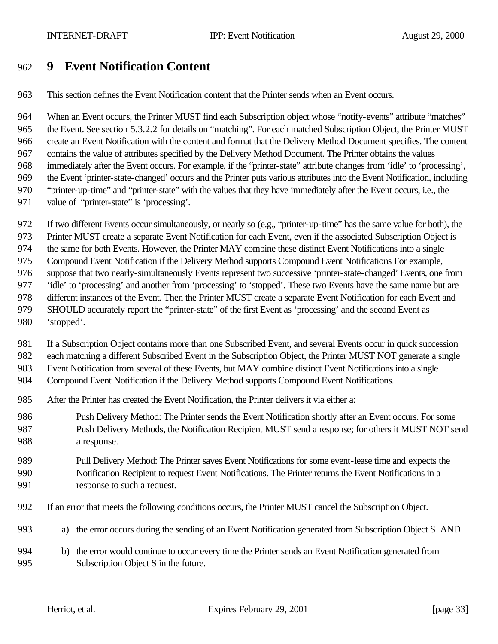# **9 Event Notification Content**

This section defines the Event Notification content that the Printer sends when an Event occurs.

 When an Event occurs, the Printer MUST find each Subscription object whose "notify-events" attribute "matches" the Event. See section 5.3.2.2 for details on "matching". For each matched Subscription Object, the Printer MUST create an Event Notification with the content and format that the Delivery Method Document specifies. The content contains the value of attributes specified by the Delivery Method Document. The Printer obtains the values immediately after the Event occurs. For example, if the "printer-state" attribute changes from 'idle' to 'processing', the Event 'printer-state-changed' occurs and the Printer puts various attributes into the Event Notification, including "printer-up-time" and "printer-state" with the values that they have immediately after the Event occurs, i.e., the 971 value of "printer-state" is 'processing'.

- If two different Events occur simultaneously, or nearly so (e.g., "printer-up-time" has the same value for both), the
- Printer MUST create a separate Event Notification for each Event, even if the associated Subscription Object is

the same for both Events. However, the Printer MAY combine these distinct Event Notifications into a single

Compound Event Notification if the Delivery Method supports Compound Event Notifications For example,

suppose that two nearly-simultaneously Events represent two successive 'printer-state-changed' Events, one from

- 'idle' to 'processing' and another from 'processing' to 'stopped'. These two Events have the same name but are
- different instances of the Event. Then the Printer MUST create a separate Event Notification for each Event and
- SHOULD accurately report the "printer-state" of the first Event as 'processing' and the second Event as
- 'stopped'.

If a Subscription Object contains more than one Subscribed Event, and several Events occur in quick succession

each matching a different Subscribed Event in the Subscription Object, the Printer MUST NOT generate a single

Event Notification from several of these Events, but MAY combine distinct Event Notifications into a single

- Compound Event Notification if the Delivery Method supports Compound Event Notifications.
- After the Printer has created the Event Notification, the Printer delivers it via either a:
- Push Delivery Method: The Printer sends the Event Notification shortly after an Event occurs. For some Push Delivery Methods, the Notification Recipient MUST send a response; for others it MUST NOT send a response.

#### Pull Delivery Method: The Printer saves Event Notifications for some event-lease time and expects the Notification Recipient to request Event Notifications. The Printer returns the Event Notifications in a response to such a request.

- If an error that meets the following conditions occurs, the Printer MUST cancel the Subscription Object.
- a) the error occurs during the sending of an Event Notification generated from Subscription Object S AND
- b) the error would continue to occur every time the Printer sends an Event Notification generated from Subscription Object S in the future.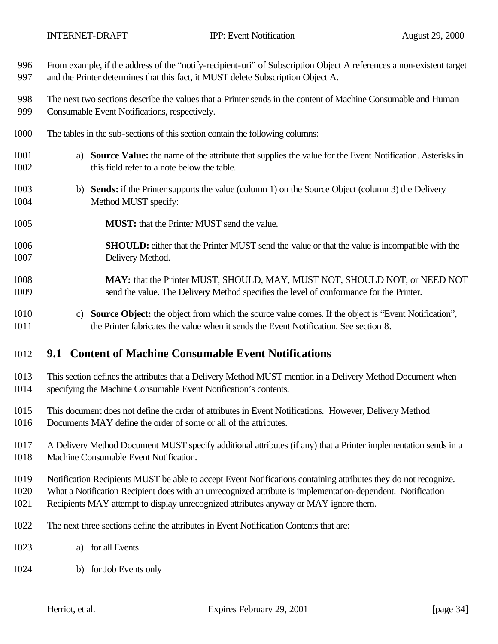| 996          | From example, if the address of the "notify-recipient-uri" of Subscription Object A references a non-existent target                                                                                            |
|--------------|-----------------------------------------------------------------------------------------------------------------------------------------------------------------------------------------------------------------|
| 997          | and the Printer determines that this fact, it MUST delete Subscription Object A.                                                                                                                                |
| 998          | The next two sections describe the values that a Printer sends in the content of Machine Consumable and Human                                                                                                   |
| 999          | Consumable Event Notifications, respectively.                                                                                                                                                                   |
| 1000         | The tables in the sub-sections of this section contain the following columns:                                                                                                                                   |
| 1001         | a) Source Value: the name of the attribute that supplies the value for the Event Notification. Asterisks in                                                                                                     |
| 1002         | this field refer to a note below the table.                                                                                                                                                                     |
| 1003<br>1004 | <b>Sends:</b> if the Printer supports the value (column 1) on the Source Object (column 3) the Delivery<br>b)<br>Method MUST specify:                                                                           |
| 1005         | <b>MUST:</b> that the Printer MUST send the value.                                                                                                                                                              |
| 1006         | <b>SHOULD:</b> either that the Printer MUST send the value or that the value is incompatible with the                                                                                                           |
| 1007         | Delivery Method.                                                                                                                                                                                                |
| 1008         | MAY: that the Printer MUST, SHOULD, MAY, MUST NOT, SHOULD NOT, or NEED NOT                                                                                                                                      |
| 1009         | send the value. The Delivery Method specifies the level of conformance for the Printer.                                                                                                                         |
| 1010<br>1011 | Source Object: the object from which the source value comes. If the object is "Event Notification",<br>$\mathcal{C}$ )<br>the Printer fabricates the value when it sends the Event Notification. See section 8. |
| 1012         | 9.1 Content of Machine Consumable Event Notifications                                                                                                                                                           |
| 1013         | This section defines the attributes that a Delivery Method MUST mention in a Delivery Method Document when                                                                                                      |
| 1014         | specifying the Machine Consumable Event Notification's contents.                                                                                                                                                |
| 1015         | This document does not define the order of attributes in Event Notifications. However, Delivery Method                                                                                                          |
| 1016         | Documents MAY define the order of some or all of the attributes.                                                                                                                                                |
| 1017         | A Delivery Method Document MUST specify additional attributes (if any) that a Printer implementation sends in a                                                                                                 |
| 1018         | Machine Consumable Event Notification.                                                                                                                                                                          |

Notification Recipients MUST be able to accept Event Notifications containing attributes they do not recognize.

What a Notification Recipient does with an unrecognized attribute is implementation-dependent. Notification

- Recipients MAY attempt to display unrecognized attributes anyway or MAY ignore them.
- The next three sections define the attributes in Event Notification Contents that are:
- a) for all Events
- b) for Job Events only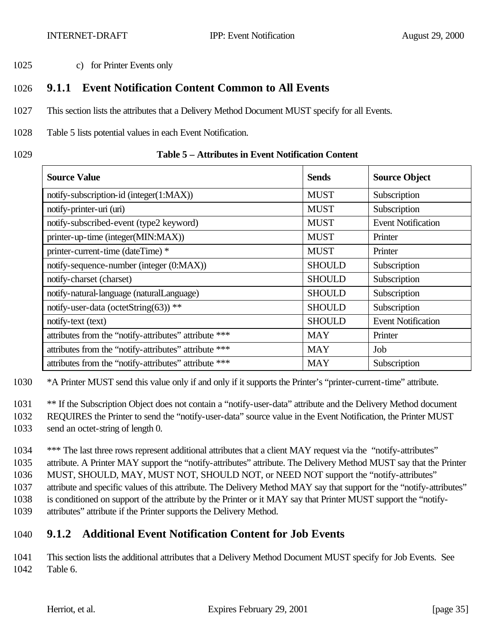1025 c) for Printer Events only

## 1026 **9.1.1 Event Notification Content Common to All Events**

- 1027 This section lists the attributes that a Delivery Method Document MUST specify for all Events.
- 1028 Table 5 lists potential values in each Event Notification.
- 

#### 1029 **Table 5 – Attributes in Event Notification Content**

| <b>Source Value</b>                                   | <b>Sends</b>  | <b>Source Object</b>      |
|-------------------------------------------------------|---------------|---------------------------|
| notify-subscription-id (integer(1:MAX))               | <b>MUST</b>   | Subscription              |
| notify-printer-uri (uri)                              | <b>MUST</b>   | Subscription              |
| notify-subscribed-event (type2 keyword)               | <b>MUST</b>   | <b>Event Notification</b> |
| printer-up-time (integer(MIN:MAX))                    | <b>MUST</b>   | Printer                   |
| printer-current-time (dateTime) *                     | <b>MUST</b>   | Printer                   |
| notify-sequence-number (integer (0:MAX))              | <b>SHOULD</b> | Subscription              |
| notify-charset (charset)                              | <b>SHOULD</b> | Subscription              |
| notify-natural-language (naturalLanguage)             | <b>SHOULD</b> | Subscription              |
| notify-user-data (octetString(63)) **                 | <b>SHOULD</b> | Subscription              |
| notify-text (text)                                    | <b>SHOULD</b> | <b>Event Notification</b> |
| attributes from the "notify-attributes" attribute *** | <b>MAY</b>    | Printer                   |
| attributes from the "notify-attributes" attribute *** | <b>MAY</b>    | Job                       |
| attributes from the "notify-attributes" attribute *** | <b>MAY</b>    | Subscription              |

1030 \*A Printer MUST send this value only if and only if it supports the Printer's "printer-current-time" attribute.

1031 \*\* If the Subscription Object does not contain a "notify-user-data" attribute and the Delivery Method document

- 1032 REQUIRES the Printer to send the "notify-user-data" source value in the Event Notification, the Printer MUST
- 1033 send an octet-string of length 0.

1034 \*\*\* The last three rows represent additional attributes that a client MAY request via the "notify-attributes" attribute. A Printer MAY support the "notify-attributes" attribute. The Delivery Method MUST say that the Printer MUST, SHOULD, MAY, MUST NOT, SHOULD NOT, or NEED NOT support the "notify-attributes" attribute and specific values of this attribute. The Delivery Method MAY say that support for the "notify-attributes" is conditioned on support of the attribute by the Printer or it MAY say that Printer MUST support the "notify-

1039 attributes" attribute if the Printer supports the Delivery Method.

# 1040 **9.1.2 Additional Event Notification Content for Job Events**

1041 This section lists the additional attributes that a Delivery Method Document MUST specify for Job Events. See 1042 Table 6.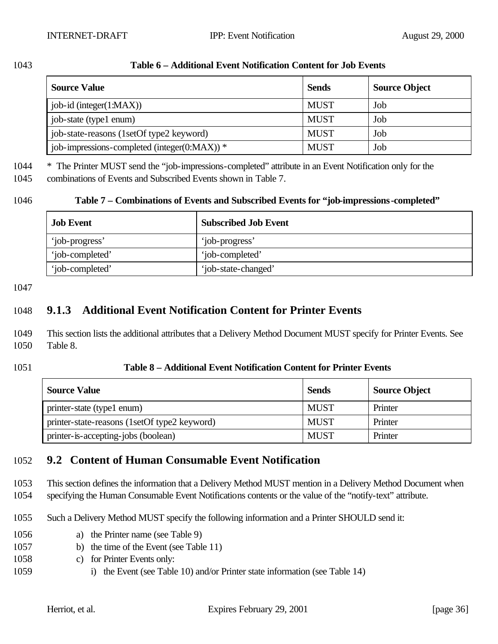| 1043 | Table 6 – Additional Event Notification Content for Job Events |
|------|----------------------------------------------------------------|
|------|----------------------------------------------------------------|

| <b>Source Value</b>                          | <b>Sends</b> | <b>Source Object</b> |
|----------------------------------------------|--------------|----------------------|
| $job-id$ (integer $(1:MAX)$ )                | <b>MUST</b>  | Job                  |
| job-state (type1 enum)                       | <b>MUST</b>  | Job                  |
| job-state-reasons (1setOf type2 keyword)     | <b>MUST</b>  | Job                  |
| job-impressions-completed (integer(0:MAX)) * | <b>MUST</b>  | Job                  |

1044 \* The Printer MUST send the "job-impressions-completed" attribute in an Event Notification only for the

1045 combinations of Events and Subscribed Events shown in Table 7.

#### 1046 **Table 7 – Combinations of Events and Subscribed Events for "job-impressions-completed"**

| <b>Job Event</b> | <b>Subscribed Job Event</b> |
|------------------|-----------------------------|
| 'job-progress'   | 'job-progress'              |
| 'job-completed'  | 'job-completed'             |
| 'job-completed'  | 'job-state-changed'         |

#### 1047

# 1048 **9.1.3 Additional Event Notification Content for Printer Events**

- 1049 This section lists the additional attributes that a Delivery Method Document MUST specify for Printer Events. See 1050 Table 8.
- 

#### 1051 **Table 8 – Additional Event Notification Content for Printer Events**

| <b>Source Value</b>                          | <b>Sends</b> | <b>Source Object</b> |
|----------------------------------------------|--------------|----------------------|
| printer-state (type1 enum)                   | <b>MUST</b>  | Printer              |
| printer-state-reasons (1setOf type2 keyword) | <b>MUST</b>  | Printer              |
| printer-is-accepting-jobs (boolean)          | <b>MUST</b>  | Printer              |

## 1052 **9.2 Content of Human Consumable Event Notification**

1053 This section defines the information that a Delivery Method MUST mention in a Delivery Method Document when

1054 specifying the Human Consumable Event Notifications contents or the value of the "notify-text" attribute.

- 1055 Such a Delivery Method MUST specify the following information and a Printer SHOULD send it:
- 1056 a) the Printer name (see Table 9)
- 1057 b) the time of the Event (see Table 11)
- 1058 c) for Printer Events only:
- 1059 i) the Event (see Table 10) and/or Printer state information (see Table 14)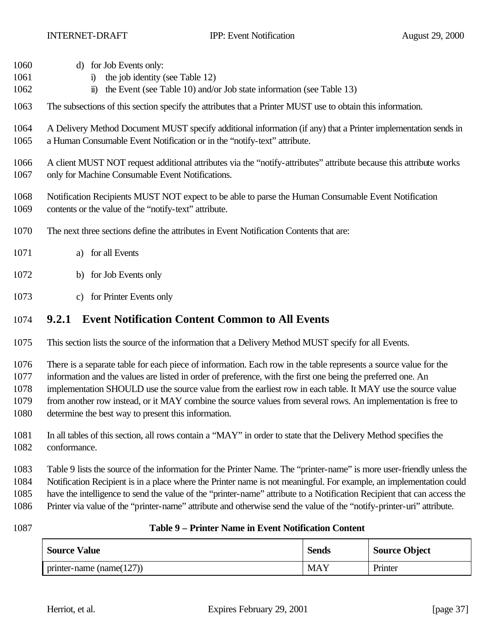- d) for Job Events only:
- 1061 i) the job identity (see Table 12)
- ii) the Event (see Table 10) and/or Job state information (see Table 13)
- The subsections of this section specify the attributes that a Printer MUST use to obtain this information.
- A Delivery Method Document MUST specify additional information (if any) that a Printer implementation sends in a Human Consumable Event Notification or in the "notify-text" attribute.
- A client MUST NOT request additional attributes via the "notify-attributes" attribute because this attribute works only for Machine Consumable Event Notifications.
- Notification Recipients MUST NOT expect to be able to parse the Human Consumable Event Notification contents or the value of the "notify-text" attribute.
- The next three sections define the attributes in Event Notification Contents that are:
- a) for all Events
- b) for Job Events only
- c) for Printer Events only

#### **9.2.1 Event Notification Content Common to All Events**

This section lists the source of the information that a Delivery Method MUST specify for all Events.

There is a separate table for each piece of information. Each row in the table represents a source value for the

information and the values are listed in order of preference, with the first one being the preferred one. An

implementation SHOULD use the source value from the earliest row in each table. It MAY use the source value

- from another row instead, or it MAY combine the source values from several rows. An implementation is free to
- determine the best way to present this information.
- In all tables of this section, all rows contain a "MAY" in order to state that the Delivery Method specifies the conformance.

Table 9 lists the source of the information for the Printer Name. The "printer-name" is more user-friendly unless the

Notification Recipient is in a place where the Printer name is not meaningful. For example, an implementation could

have the intelligence to send the value of the "printer-name" attribute to a Notification Recipient that can access the

Printer via value of the "printer-name" attribute and otherwise send the value of the "notify-printer-uri" attribute.

#### **Table 9 – Printer Name in Event Notification Content**

| <b>Source Value</b>          | <b>Sends</b> | <b>Source Object</b> |
|------------------------------|--------------|----------------------|
| printer-name (name $(127)$ ) | <b>MAY</b>   | Printer              |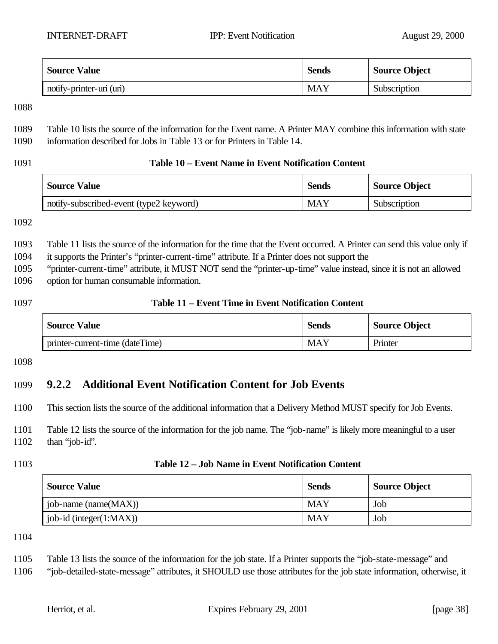| <b>Source Value</b>      | <b>Sends</b> | <b>Source Object</b> |
|--------------------------|--------------|----------------------|
| notify-printer-uri (uri) | <b>MAY</b>   | Subscription         |

 Table 10 lists the source of the information for the Event name. A Printer MAY combine this information with state information described for Jobs in Table 13 or for Printers in Table 14.

#### **Table 10 – Event Name in Event Notification Content**

| <b>Source Value</b>                     | <b>Sends</b> | <b>Source Object</b> |
|-----------------------------------------|--------------|----------------------|
| notify-subscribed-event (type2 keyword) | MAY          | Subscription         |

 Table 11 lists the source of the information for the time that the Event occurred. A Printer can send this value only if it supports the Printer's "printer-current-time" attribute. If a Printer does not support the

"printer-current-time" attribute, it MUST NOT send the "printer-up-time" value instead, since it is not an allowed

option for human consumable information.

#### **Table 11 – Event Time in Event Notification Content**

| <b>Source Value</b>             | <b>Sends</b> | <b>Source Object</b> |
|---------------------------------|--------------|----------------------|
| printer-current-time (dateTime) | MAY          | Printer              |

## **9.2.2 Additional Event Notification Content for Job Events**

This section lists the source of the additional information that a Delivery Method MUST specify for Job Events.

 Table 12 lists the source of the information for the job name. The "job-name" is likely more meaningful to a user than "job-id".

#### **Table 12 – Job Name in Event Notification Content**

| <b>Source Value</b>         | <b>Sends</b> | <b>Source Object</b> |
|-----------------------------|--------------|----------------------|
| job-name (name $(MAX)$ )    | <b>MAY</b>   | Job                  |
| job-id (integer $(1:MAX)$ ) | <b>MAY</b>   | Job                  |

Table 13 lists the source of the information for the job state. If a Printer supports the "job-state-message" and

"job-detailed-state-message" attributes, it SHOULD use those attributes for the job state information, otherwise, it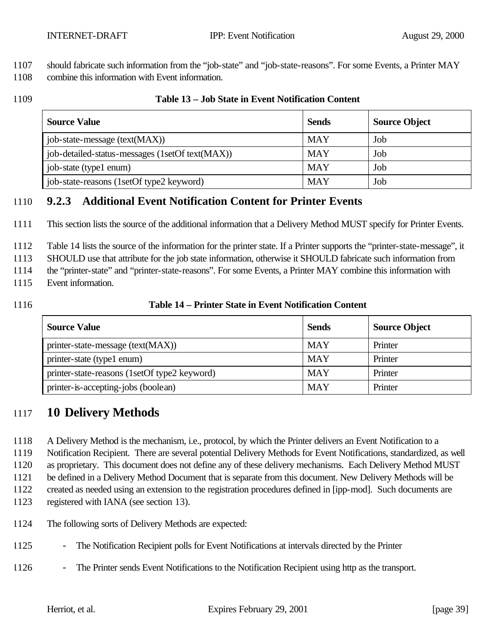1107 should fabricate such information from the "job-state" and "job-state-reasons". For some Events, a Printer MAY

- 1108 combine this information with Event information.
- 

#### 1109 **Table 13 – Job State in Event Notification Content**

| <b>Source Value</b>                             | <b>Sends</b> | <b>Source Object</b> |
|-------------------------------------------------|--------------|----------------------|
| job-state-message (text(MAX))                   | <b>MAY</b>   | Job                  |
| job-detailed-status-messages (1setOf text(MAX)) | <b>MAY</b>   | Job                  |
| job-state (type1 enum)                          | <b>MAY</b>   | Job                  |
| job-state-reasons (1setOf type2 keyword)        | MAY          | Job                  |

## 1110 **9.2.3 Additional Event Notification Content for Printer Events**

1111 This section lists the source of the additional information that a Delivery Method MUST specify for Printer Events.

1112 Table 14 lists the source of the information for the printer state. If a Printer supports the "printer-state-message", it

1113 SHOULD use that attribute for the job state information, otherwise it SHOULD fabricate such information from

1114 the "printer-state" and "printer-state-reasons". For some Events, a Printer MAY combine this information with

- 1115 Event information.
- 

#### 1116 **Table 14 – Printer State in Event Notification Content**

| <b>Source Value</b>                          | <b>Sends</b> | <b>Source Object</b> |
|----------------------------------------------|--------------|----------------------|
| printer-state-message (text(MAX))            | <b>MAY</b>   | Printer              |
| printer-state (type1 enum)                   | <b>MAY</b>   | Printer              |
| printer-state-reasons (1setOf type2 keyword) | <b>MAY</b>   | Printer              |
| printer-is-accepting-jobs (boolean)          | <b>MAY</b>   | Printer              |

# 1117 **10 Delivery Methods**

1118 A Delivery Method is the mechanism, i.e., protocol, by which the Printer delivers an Event Notification to a

1119 Notification Recipient. There are several potential Delivery Methods for Event Notifications, standardized, as well

1120 as proprietary. This document does not define any of these delivery mechanisms. Each Delivery Method MUST

1121 be defined in a Delivery Method Document that is separate from this document. New Delivery Methods will be

1122 created as needed using an extension to the registration procedures defined in [ipp-mod]. Such documents are

1123 registered with IANA (see section 13).

- 1124 The following sorts of Delivery Methods are expected:
- 1125 The Notification Recipient polls for Event Notifications at intervals directed by the Printer
- 1126 The Printer sends Event Notifications to the Notification Recipient using http as the transport.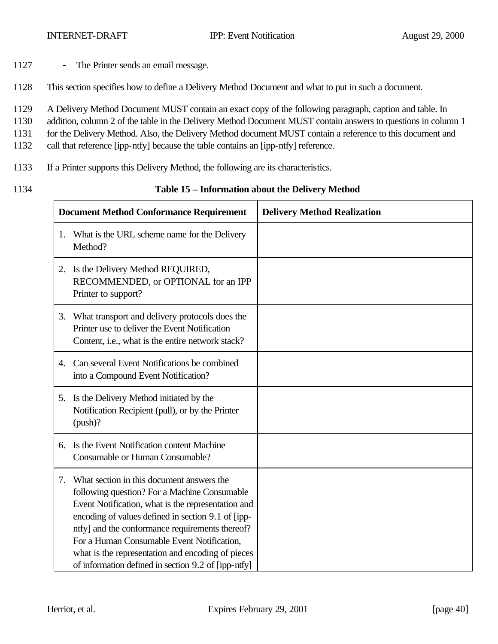- 1127 The Printer sends an email message.
- 1128 This section specifies how to define a Delivery Method Document and what to put in such a document.
- 1129 A Delivery Method Document MUST contain an exact copy of the following paragraph, caption and table. In
- 1130 addition, column 2 of the table in the Delivery Method Document MUST contain answers to questions in column 1
- 1131 for the Delivery Method. Also, the Delivery Method document MUST contain a reference to this document and
- 1132 call that reference [ipp-ntfy] because the table contains an [ipp-ntfy] reference.
- 1133 If a Printer supports this Delivery Method, the following are its characteristics.
- 

#### 1134 **Table 15 – Information about the Delivery Method**

| <b>Document Method Conformance Requirement</b> |                                                                                                                                                                                                                                                                                                                                                                                                                    | <b>Delivery Method Realization</b> |
|------------------------------------------------|--------------------------------------------------------------------------------------------------------------------------------------------------------------------------------------------------------------------------------------------------------------------------------------------------------------------------------------------------------------------------------------------------------------------|------------------------------------|
|                                                | 1. What is the URL scheme name for the Delivery<br>Method?                                                                                                                                                                                                                                                                                                                                                         |                                    |
| 2.                                             | Is the Delivery Method REQUIRED,<br>RECOMMENDED, or OPTIONAL for an IPP<br>Printer to support?                                                                                                                                                                                                                                                                                                                     |                                    |
| 3.                                             | What transport and delivery protocols does the<br>Printer use to deliver the Event Notification<br>Content, i.e., what is the entire network stack?                                                                                                                                                                                                                                                                |                                    |
|                                                | 4. Can several Event Notifications be combined<br>into a Compound Event Notification?                                                                                                                                                                                                                                                                                                                              |                                    |
| 5.                                             | Is the Delivery Method initiated by the<br>Notification Recipient (pull), or by the Printer<br>$(push)$ ?                                                                                                                                                                                                                                                                                                          |                                    |
|                                                | Is the Event Notification content Machine<br>Consumable or Human Consumable?                                                                                                                                                                                                                                                                                                                                       |                                    |
| $7_{\scriptscriptstyle{\ddots}}$               | What section in this document answers the<br>following question? For a Machine Consumable<br>Event Notification, what is the representation and<br>encoding of values defined in section 9.1 of [ipp-<br>ntfy] and the conformance requirements thereof?<br>For a Human Consumable Event Notification,<br>what is the representation and encoding of pieces<br>of information defined in section 9.2 of [ipp-ntfy] |                                    |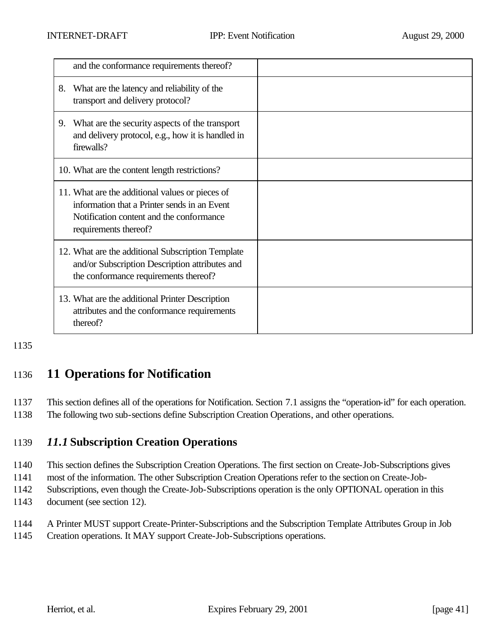| and the conformance requirements thereof?                                                                                                                            |  |
|----------------------------------------------------------------------------------------------------------------------------------------------------------------------|--|
| What are the latency and reliability of the<br>8.<br>transport and delivery protocol?                                                                                |  |
| What are the security aspects of the transport<br>9.<br>and delivery protocol, e.g., how it is handled in<br>firewalls?                                              |  |
| 10. What are the content length restrictions?                                                                                                                        |  |
| 11. What are the additional values or pieces of<br>information that a Printer sends in an Event<br>Notification content and the conformance<br>requirements thereof? |  |
| 12. What are the additional Subscription Template<br>and/or Subscription Description attributes and<br>the conformance requirements thereof?                         |  |
| 13. What are the additional Printer Description<br>attributes and the conformance requirements<br>thereof?                                                           |  |

1135

# 1136 **11 Operations for Notification**

1137 This section defines all of the operations for Notification. Section 7.1 assigns the "operation-id" for each operation.

1138 The following two sub-sections define Subscription Creation Operations, and other operations.

# 1139 *11.1* **Subscription Creation Operations**

1140 This section defines the Subscription Creation Operations. The first section on Create-Job-Subscriptions gives

1141 most of the information. The other Subscription Creation Operations refer to the section on Create-Job-

1142 Subscriptions, even though the Create-Job-Subscriptions operation is the only OPTIONAL operation in this

1143 document (see section 12).

1144 A Printer MUST support Create-Printer-Subscriptions and the Subscription Template Attributes Group in Job

1145 Creation operations. It MAY support Create-Job-Subscriptions operations.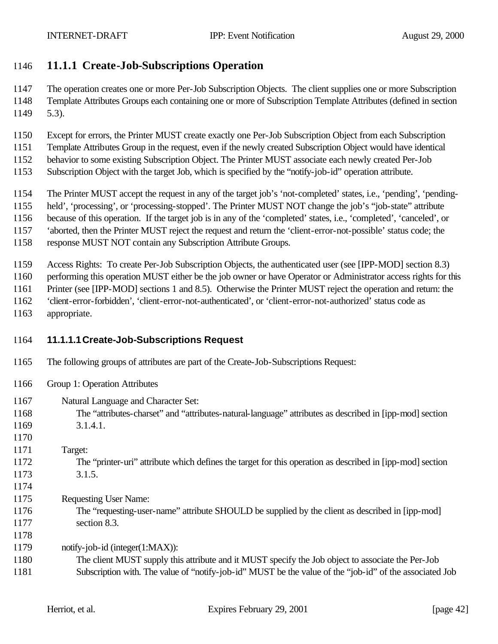## **11.1.1 Create-Job-Subscriptions Operation**

 The operation creates one or more Per-Job Subscription Objects. The client supplies one or more Subscription Template Attributes Groups each containing one or more of Subscription Template Attributes (defined in section 5.3).

- Except for errors, the Printer MUST create exactly one Per-Job Subscription Object from each Subscription
- Template Attributes Group in the request, even if the newly created Subscription Object would have identical
- behavior to some existing Subscription Object. The Printer MUST associate each newly created Per-Job
- Subscription Object with the target Job, which is specified by the "notify-job-id" operation attribute.
- The Printer MUST accept the request in any of the target job's 'not-completed' states, i.e., 'pending', 'pending-
- held', 'processing', or 'processing-stopped'. The Printer MUST NOT change the job's "job-state" attribute
- because of this operation. If the target job is in any of the 'completed' states, i.e., 'completed', 'canceled', or
- 'aborted, then the Printer MUST reject the request and return the 'client-error-not-possible' status code; the
- response MUST NOT contain any Subscription Attribute Groups.

Access Rights: To create Per-Job Subscription Objects, the authenticated user (see [IPP-MOD] section 8.3)

performing this operation MUST either be the job owner or have Operator or Administrator access rights for this

- Printer (see [IPP-MOD] sections 1 and 8.5). Otherwise the Printer MUST reject the operation and return: the
- 'client-error-forbidden', 'client-error-not-authenticated', or 'client-error-not-authorized' status code as
- appropriate.

# **11.1.1.1Create-Job-Subscriptions Request**

- The following groups of attributes are part of the Create-Job-Subscriptions Request:
- Group 1: Operation Attributes
- Natural Language and Character Set:
- The "attributes-charset" and "attributes-natural-language" attributes as described in [ipp-mod] section 3.1.4.1.
- 

- Target:
- The "printer-uri" attribute which defines the target for this operation as described in [ipp-mod] section 3.1.5.
- 
- Requesting User Name:
- The "requesting-user-name" attribute SHOULD be supplied by the client as described in [ipp-mod] 1177 section 8.3.

notify-job-id (integer(1:MAX)):

 The client MUST supply this attribute and it MUST specify the Job object to associate the Per-Job Subscription with. The value of "notify-job-id" MUST be the value of the "job-id" of the associated Job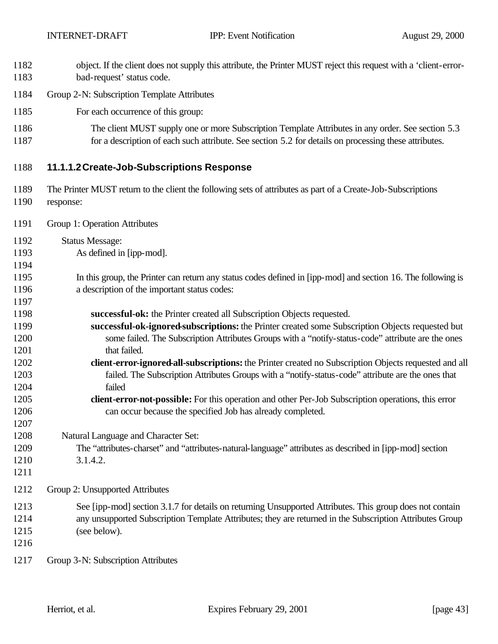- object. If the client does not supply this attribute, the Printer MUST reject this request with a 'client-error-bad-request' status code.
- Group 2-N: Subscription Template Attributes
- For each occurrence of this group:
- 1186 The client MUST supply one or more Subscription Template Attributes in any order. See section 5.3 for a description of each such attribute. See section 5.2 for details on processing these attributes.
- **11.1.1.2Create-Job-Subscriptions Response**
- The Printer MUST return to the client the following sets of attributes as part of a Create-Job-Subscriptions response:
- Group 1: Operation Attributes
- Status Message:
- As defined in [ipp-mod].
- In this group, the Printer can return any status codes defined in [ipp-mod] and section 16. The following is a description of the important status codes:
- **successful-ok:** the Printer created all Subscription Objects requested.
- **successful-ok-ignored-subscriptions:** the Printer created some Subscription Objects requested but some failed. The Subscription Attributes Groups with a "notify-status-code" attribute are the ones 1201 that failed.
- **client-error-ignored-all-subscriptions:** the Printer created no Subscription Objects requested and all failed. The Subscription Attributes Groups with a "notify-status-code" attribute are the ones that failed
- **client-error-not-possible:** For this operation and other Per-Job Subscription operations, this error can occur because the specified Job has already completed.
- Natural Language and Character Set:
- The "attributes-charset" and "attributes-natural-language" attributes as described in [ipp-mod] section 3.1.4.2.
- 

- Group 2: Unsupported Attributes
- See [ipp-mod] section 3.1.7 for details on returning Unsupported Attributes. This group does not contain any unsupported Subscription Template Attributes; they are returned in the Subscription Attributes Group (see below).
- 
- Group 3-N: Subscription Attributes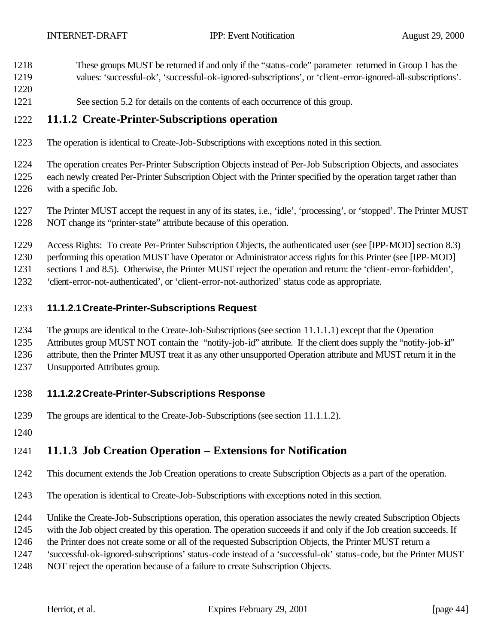- These groups MUST be returned if and only if the "status-code" parameter returned in Group 1 has the
- values: 'successful-ok', 'successful-ok-ignored-subscriptions', or 'client-error-ignored-all-subscriptions'.
- See section 5.2 for details on the contents of each occurrence of this group.

#### **11.1.2 Create-Printer-Subscriptions operation**

The operation is identical to Create-Job-Subscriptions with exceptions noted in this section.

 The operation creates Per-Printer Subscription Objects instead of Per-Job Subscription Objects, and associates each newly created Per-Printer Subscription Object with the Printer specified by the operation target rather than with a specific Job.

- The Printer MUST accept the request in any of its states, i.e., 'idle', 'processing', or 'stopped'. The Printer MUST NOT change its "printer-state" attribute because of this operation.
- Access Rights: To create Per-Printer Subscription Objects, the authenticated user (see [IPP-MOD] section 8.3)
- performing this operation MUST have Operator or Administrator access rights for this Printer (see [IPP-MOD]
- sections 1 and 8.5). Otherwise, the Printer MUST reject the operation and return: the 'client-error-forbidden',
- 'client-error-not-authenticated', or 'client-error-not-authorized' status code as appropriate.

#### **11.1.2.1Create-Printer-Subscriptions Request**

- The groups are identical to the Create-Job-Subscriptions (see section 11.1.1.1) except that the Operation
- Attributes group MUST NOT contain the "notify-job-id" attribute. If the client does supply the "notify-job-id"
- attribute, then the Printer MUST treat it as any other unsupported Operation attribute and MUST return it in the
- Unsupported Attributes group.

#### **11.1.2.2Create-Printer-Subscriptions Response**

- The groups are identical to the Create-Job-Subscriptions (see section 11.1.1.2).
- 

# **11.1.3 Job Creation Operation – Extensions for Notification**

- This document extends the Job Creation operations to create Subscription Objects as a part of the operation.
- The operation is identical to Create-Job-Subscriptions with exceptions noted in this section.
- Unlike the Create-Job-Subscriptions operation, this operation associates the newly created Subscription Objects
- with the Job object created by this operation. The operation succeeds if and only if the Job creation succeeds. If
- the Printer does not create some or all of the requested Subscription Objects, the Printer MUST return a
- 'successful-ok-ignored-subscriptions' status-code instead of a 'successful-ok' status-code, but the Printer MUST
- NOT reject the operation because of a failure to create Subscription Objects.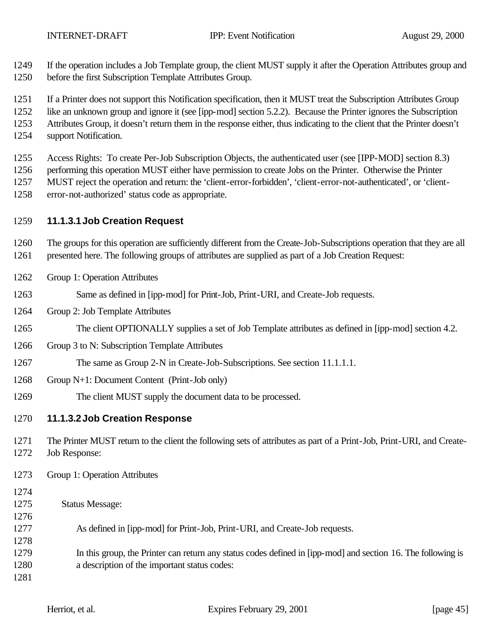If the operation includes a Job Template group, the client MUST supply it after the Operation Attributes group and

- before the first Subscription Template Attributes Group.
- If a Printer does not support this Notification specification, then it MUST treat the Subscription Attributes Group
- like an unknown group and ignore it (see [ipp-mod] section 5.2.2). Because the Printer ignores the Subscription
- Attributes Group, it doesn't return them in the response either, thus indicating to the client that the Printer doesn't
- support Notification.

Access Rights: To create Per-Job Subscription Objects, the authenticated user (see [IPP-MOD] section 8.3)

1256 performing this operation MUST either have permission to create Jobs on the Printer. Otherwise the Printer

MUST reject the operation and return: the 'client-error-forbidden', 'client-error-not-authenticated', or 'client-

error-not-authorized' status code as appropriate.

## **11.1.3.1Job Creation Request**

 The groups for this operation are sufficiently different from the Create-Job-Subscriptions operation that they are all presented here. The following groups of attributes are supplied as part of a Job Creation Request:

- Group 1: Operation Attributes
- Same as defined in [ipp-mod] for Print-Job, Print-URI, and Create-Job requests.
- Group 2: Job Template Attributes
- The client OPTIONALLY supplies a set of Job Template attributes as defined in [ipp-mod] section 4.2.
- Group 3 to N: Subscription Template Attributes
- 1267 The same as Group 2-N in Create-Job-Subscriptions. See section 11.1.1.1.
- Group N+1: Document Content (Print-Job only)
- The client MUST supply the document data to be processed.

# **11.1.3.2Job Creation Response**

 The Printer MUST return to the client the following sets of attributes as part of a Print-Job, Print-URI, and Create-Job Response:

Group 1: Operation Attributes

 Status Message: As defined in [ipp-mod] for Print-Job, Print-URI, and Create-Job requests. In this group, the Printer can return any status codes defined in [ipp-mod] and section 16. The following is a description of the important status codes: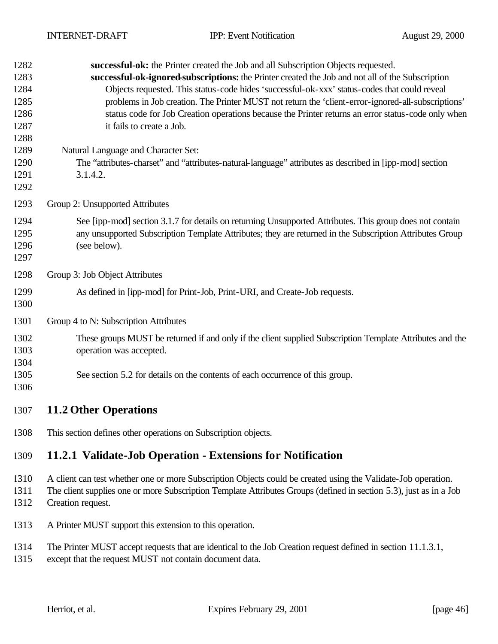| 1282<br>1283<br>1284<br>1285<br>1286<br>1287<br>1288<br>1289 | successful-ok: the Printer created the Job and all Subscription Objects requested.<br>successful-ok-ignored-subscriptions: the Printer created the Job and not all of the Subscription<br>Objects requested. This status-code hides 'successful-ok-xxx' status-codes that could reveal<br>problems in Job creation. The Printer MUST not return the 'client-error-ignored-all-subscriptions'<br>status code for Job Creation operations because the Printer returns an error status-code only when<br>it fails to create a Job.<br>Natural Language and Character Set: |
|--------------------------------------------------------------|------------------------------------------------------------------------------------------------------------------------------------------------------------------------------------------------------------------------------------------------------------------------------------------------------------------------------------------------------------------------------------------------------------------------------------------------------------------------------------------------------------------------------------------------------------------------|
| 1290<br>1291<br>1292                                         | The "attributes-charset" and "attributes-natural-language" attributes as described in [ipp-mod] section<br>3.1.4.2.                                                                                                                                                                                                                                                                                                                                                                                                                                                    |
| 1293                                                         | Group 2: Unsupported Attributes                                                                                                                                                                                                                                                                                                                                                                                                                                                                                                                                        |
| 1294<br>1295<br>1296<br>1297                                 | See [ipp-mod] section 3.1.7 for details on returning Unsupported Attributes. This group does not contain<br>any unsupported Subscription Template Attributes; they are returned in the Subscription Attributes Group<br>(see below).                                                                                                                                                                                                                                                                                                                                   |
| 1298                                                         | Group 3: Job Object Attributes                                                                                                                                                                                                                                                                                                                                                                                                                                                                                                                                         |
| 1299<br>1300                                                 | As defined in [ipp-mod] for Print-Job, Print-URI, and Create-Job requests.                                                                                                                                                                                                                                                                                                                                                                                                                                                                                             |
| 1301                                                         | Group 4 to N: Subscription Attributes                                                                                                                                                                                                                                                                                                                                                                                                                                                                                                                                  |
| 1302<br>1303<br>1304                                         | These groups MUST be returned if and only if the client supplied Subscription Template Attributes and the<br>operation was accepted.                                                                                                                                                                                                                                                                                                                                                                                                                                   |
| 1305<br>1306                                                 | See section 5.2 for details on the contents of each occurrence of this group.                                                                                                                                                                                                                                                                                                                                                                                                                                                                                          |
| 1307                                                         | <b>11.2 Other Operations</b>                                                                                                                                                                                                                                                                                                                                                                                                                                                                                                                                           |
| 1308                                                         | This section defines other operations on Subscription objects.                                                                                                                                                                                                                                                                                                                                                                                                                                                                                                         |
| 1309                                                         | 11.2.1 Validate-Job Operation - Extensions for Notification                                                                                                                                                                                                                                                                                                                                                                                                                                                                                                            |
| 1310<br>1311<br>1312                                         | A client can test whether one or more Subscription Objects could be created using the Validate-Job operation.<br>The client supplies one or more Subscription Template Attributes Groups (defined in section 5.3), just as in a Job<br>Creation request.                                                                                                                                                                                                                                                                                                               |

- A Printer MUST support this extension to this operation.
- The Printer MUST accept requests that are identical to the Job Creation request defined in section 11.1.3.1,
- except that the request MUST not contain document data.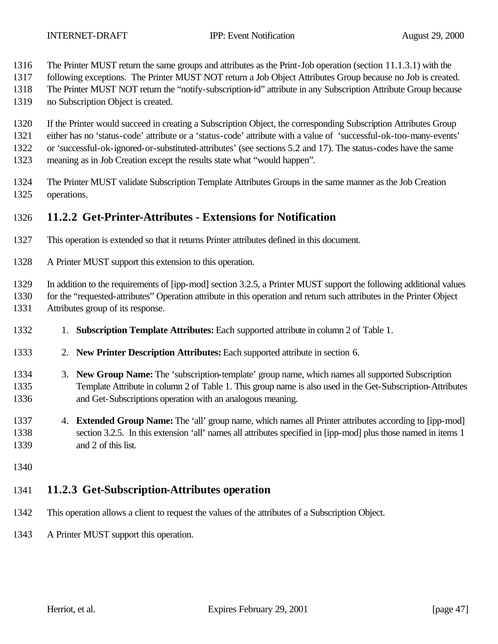- The Printer MUST return the same groups and attributes as the Print-Job operation (section 11.1.3.1) with the
- following exceptions. The Printer MUST NOT return a Job Object Attributes Group because no Job is created.
- The Printer MUST NOT return the "notify-subscription-id" attribute in any Subscription Attribute Group because
- no Subscription Object is created.
- If the Printer would succeed in creating a Subscription Object, the corresponding Subscription Attributes Group
- either has no 'status-code' attribute or a 'status-code' attribute with a value of 'successful-ok-too-many-events'
- or 'successful-ok-ignored-or-substituted-attributes' (see sections 5.2 and 17). The status-codes have the same
- meaning as in Job Creation except the results state what "would happen".
- The Printer MUST validate Subscription Template Attributes Groups in the same manner as the Job Creation operations.

#### **11.2.2 Get-Printer-Attributes - Extensions for Notification**

- This operation is extended so that it returns Printer attributes defined in this document.
- A Printer MUST support this extension to this operation.

In addition to the requirements of [ipp-mod] section 3.2.5, a Printer MUST support the following additional values

for the "requested-attributes" Operation attribute in this operation and return such attributes in the Printer Object

- Attributes group of its response.
- 1. **Subscription Template Attributes:** Each supported attribute in column 2 of Table 1.
- 2. **New Printer Description Attributes:** Each supported attribute in section 6.
- 3. **New Group Name:** The 'subscription-template' group name, which names all supported Subscription Template Attribute in column 2 of Table 1. This group name is also used in the Get-Subscription-Attributes and Get-Subscriptions operation with an analogous meaning.
- 4. **Extended Group Name:** The 'all' group name, which names all Printer attributes according to [ipp-mod] section 3.2.5. In this extension 'all' names all attributes specified in [ipp-mod] plus those named in items 1 and 2 of this list.
- 

# **11.2.3 Get-Subscription-Attributes operation**

- This operation allows a client to request the values of the attributes of a Subscription Object.
- A Printer MUST support this operation.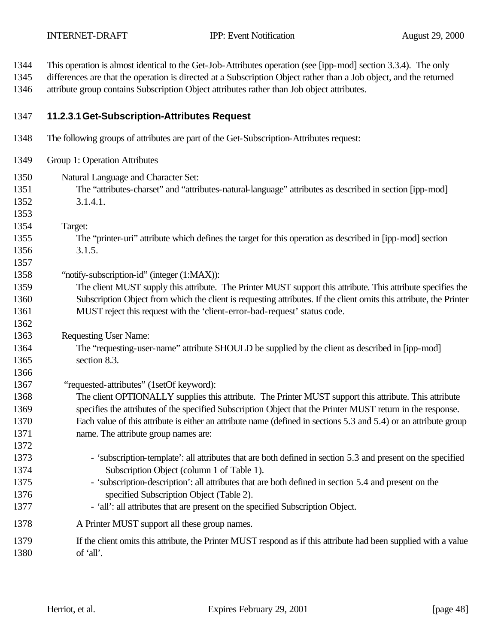This operation is almost identical to the Get-Job-Attributes operation (see [ipp-mod] section 3.3.4). The only

 differences are that the operation is directed at a Subscription Object rather than a Job object, and the returned attribute group contains Subscription Object attributes rather than Job object attributes.

#### **11.2.3.1Get-Subscription-Attributes Request**

- The following groups of attributes are part of the Get-Subscription-Attributes request:
- Group 1: Operation Attributes
- Natural Language and Character Set: The "attributes-charset" and "attributes-natural-language" attributes as described in section [ipp-mod] 3.1.4.1.
- Target:

- The "printer-uri" attribute which defines the target for this operation as described in [ipp-mod] section 3.1.5.
- "notify-subscription-id" (integer (1:MAX)):
- The client MUST supply this attribute. The Printer MUST support this attribute. This attribute specifies the Subscription Object from which the client is requesting attributes. If the client omits this attribute, the Printer MUST reject this request with the 'client-error-bad-request' status code.
- Requesting User Name:
- The "requesting-user-name" attribute SHOULD be supplied by the client as described in [ipp-mod] section 8.3.
- 1367 "requested-attributes" (1setOf keyword):
- The client OPTIONALLY supplies this attribute. The Printer MUST support this attribute. This attribute specifies the attributes of the specified Subscription Object that the Printer MUST return in the response. Each value of this attribute is either an attribute name (defined in sections 5.3 and 5.4) or an attribute group name. The attribute group names are:
- 1373 'subscription-template': all attributes that are both defined in section 5.3 and present on the specified Subscription Object (column 1 of Table 1).
- 1375 'subscription-description': all attributes that are both defined in section 5.4 and present on the specified Subscription Object (Table 2).
- 'all': all attributes that are present on the specified Subscription Object.
- A Printer MUST support all these group names.
- If the client omits this attribute, the Printer MUST respond as if this attribute had been supplied with a value of 'all'.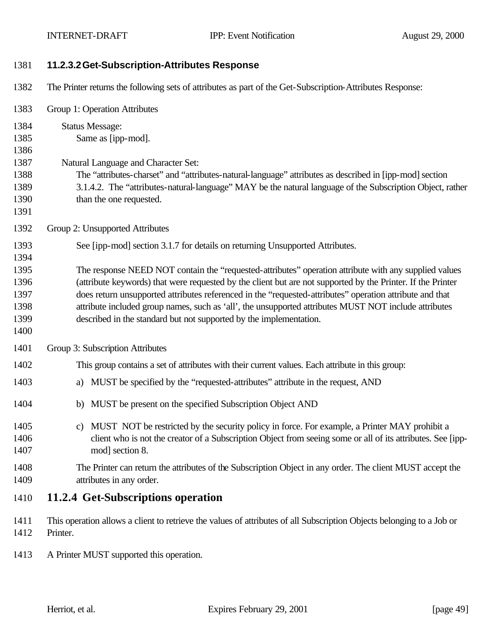| 1381                                                         | 11.2.3.2 Get-Subscription-Attributes Response                                                                                                                                                                                                                                                                                                                                                                                                                                                                                                                                                   |
|--------------------------------------------------------------|-------------------------------------------------------------------------------------------------------------------------------------------------------------------------------------------------------------------------------------------------------------------------------------------------------------------------------------------------------------------------------------------------------------------------------------------------------------------------------------------------------------------------------------------------------------------------------------------------|
| 1382                                                         | The Printer returns the following sets of attributes as part of the Get-Subscription-Attributes Response:                                                                                                                                                                                                                                                                                                                                                                                                                                                                                       |
| 1383                                                         | Group 1: Operation Attributes                                                                                                                                                                                                                                                                                                                                                                                                                                                                                                                                                                   |
| 1384<br>1385<br>1386<br>1387<br>1388<br>1389<br>1390<br>1391 | <b>Status Message:</b><br>Same as [ipp-mod].<br>Natural Language and Character Set:<br>The "attributes-charset" and "attributes-natural-language" attributes as described in [ipp-mod] section<br>3.1.4.2. The "attributes-natural-language" MAY be the natural language of the Subscription Object, rather<br>than the one requested.                                                                                                                                                                                                                                                          |
| 1392                                                         | Group 2: Unsupported Attributes                                                                                                                                                                                                                                                                                                                                                                                                                                                                                                                                                                 |
| 1393<br>1394<br>1395<br>1396<br>1397<br>1398<br>1399<br>1400 | See [ipp-mod] section 3.1.7 for details on returning Unsupported Attributes.<br>The response NEED NOT contain the "requested-attributes" operation attribute with any supplied values<br>(attribute keywords) that were requested by the client but are not supported by the Printer. If the Printer<br>does return unsupported attributes referenced in the "requested-attributes" operation attribute and that<br>attribute included group names, such as 'all', the unsupported attributes MUST NOT include attributes<br>described in the standard but not supported by the implementation. |
| 1401                                                         | Group 3: Subscription Attributes                                                                                                                                                                                                                                                                                                                                                                                                                                                                                                                                                                |
| 1402                                                         | This group contains a set of attributes with their current values. Each attribute in this group:                                                                                                                                                                                                                                                                                                                                                                                                                                                                                                |
| 1403                                                         | MUST be specified by the "requested-attributes" attribute in the request, AND<br>a)                                                                                                                                                                                                                                                                                                                                                                                                                                                                                                             |
| 1404                                                         | MUST be present on the specified Subscription Object AND<br>b)                                                                                                                                                                                                                                                                                                                                                                                                                                                                                                                                  |
| 1405<br>1406<br>1407                                         | c) MUST NOT be restricted by the security policy in force. For example, a Printer MAY prohibit a<br>client who is not the creator of a Subscription Object from seeing some or all of its attributes. See [ipp-<br>mod] section 8.                                                                                                                                                                                                                                                                                                                                                              |
| 1408<br>1409                                                 | The Printer can return the attributes of the Subscription Object in any order. The client MUST accept the<br>attributes in any order.                                                                                                                                                                                                                                                                                                                                                                                                                                                           |
| 1410                                                         | 11.2.4 Get-Subscriptions operation                                                                                                                                                                                                                                                                                                                                                                                                                                                                                                                                                              |
| 1411<br>1412                                                 | This operation allows a client to retrieve the values of attributes of all Subscription Objects belonging to a Job or<br>Printer.                                                                                                                                                                                                                                                                                                                                                                                                                                                               |
| 1413                                                         | A Printer MUST supported this operation.                                                                                                                                                                                                                                                                                                                                                                                                                                                                                                                                                        |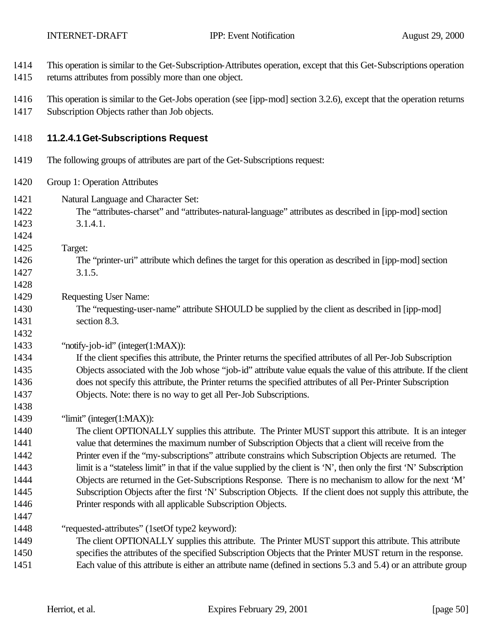- This operation is similar to the Get-Subscription-Attributes operation, except that this Get-Subscriptions operation returns attributes from possibly more than one object. This operation is similar to the Get-Jobs operation (see [ipp-mod] section 3.2.6), except that the operation returns Subscription Objects rather than Job objects. **11.2.4.1Get-Subscriptions Request** The following groups of attributes are part of the Get-Subscriptions request: Group 1: Operation Attributes
- Natural Language and Character Set:
- The "attributes-charset" and "attributes-natural-language" attributes as described in [ipp-mod] section 3.1.4.1.
- 

- Target:
- The "printer-uri" attribute which defines the target for this operation as described in [ipp-mod] section 3.1.5.
- Requesting User Name:
- The "requesting-user-name" attribute SHOULD be supplied by the client as described in [ipp-mod] section 8.3.
- "notify-job-id" (integer(1:MAX)):

#### If the client specifies this attribute, the Printer returns the specified attributes of all Per-Job Subscription Objects associated with the Job whose "job-id" attribute value equals the value of this attribute. If the client does not specify this attribute, the Printer returns the specified attributes of all Per-Printer Subscription Objects. Note: there is no way to get all Per-Job Subscriptions.

"limit" (integer(1:MAX)):

 The client OPTIONALLY supplies this attribute. The Printer MUST support this attribute. It is an integer value that determines the maximum number of Subscription Objects that a client will receive from the Printer even if the "my-subscriptions" attribute constrains which Subscription Objects are returned. The limit is a "stateless limit" in that if the value supplied by the client is 'N', then only the first 'N' Subscription Objects are returned in the Get-Subscriptions Response. There is no mechanism to allow for the next 'M' Subscription Objects after the first 'N' Subscription Objects. If the client does not supply this attribute, the Printer responds with all applicable Subscription Objects.

"requested-attributes" (1setOf type2 keyword):

- The client OPTIONALLY supplies this attribute. The Printer MUST support this attribute. This attribute specifies the attributes of the specified Subscription Objects that the Printer MUST return in the response. Each value of this attribute is either an attribute name (defined in sections 5.3 and 5.4) or an attribute group
	-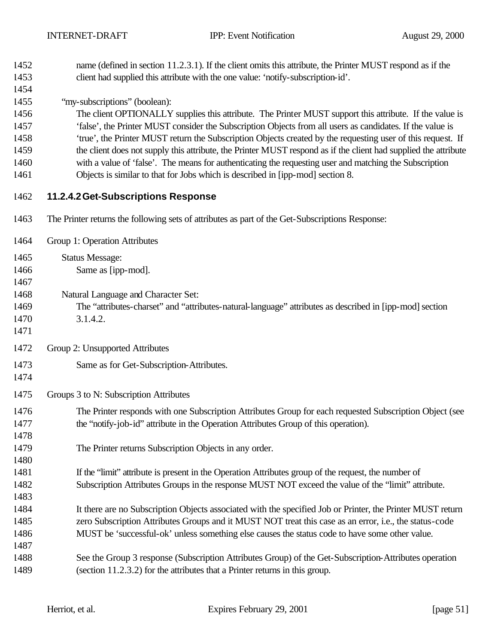| 1452<br>1453 | name (defined in section 11.2.3.1). If the client omits this attribute, the Printer MUST respond as if the<br>client had supplied this attribute with the one value: 'notify-subscription-id'. |
|--------------|------------------------------------------------------------------------------------------------------------------------------------------------------------------------------------------------|
| 1454         |                                                                                                                                                                                                |
| 1455         | "my-subscriptions" (boolean):                                                                                                                                                                  |
| 1456         | The client OPTIONALLY supplies this attribute. The Printer MUST support this attribute. If the value is                                                                                        |
| 1457         | 'false', the Printer MUST consider the Subscription Objects from all users as candidates. If the value is                                                                                      |
| 1458         | 'true', the Printer MUST return the Subscription Objects created by the requesting user of this request. If                                                                                    |
| 1459         | the client does not supply this attribute, the Printer MUST respond as if the client had supplied the attribute                                                                                |
| 1460         | with a value of 'false'. The means for authenticating the requesting user and matching the Subscription                                                                                        |
| 1461         | Objects is similar to that for Jobs which is described in [ipp-mod] section 8.                                                                                                                 |
| 1462         | 11.2.4.2 Get-Subscriptions Response                                                                                                                                                            |
| 1463         | The Printer returns the following sets of attributes as part of the Get-Subscriptions Response:                                                                                                |
| 1464         | Group 1: Operation Attributes                                                                                                                                                                  |
| 1465         | <b>Status Message:</b>                                                                                                                                                                         |
| 1466         | Same as [ipp-mod].                                                                                                                                                                             |
| 1467         |                                                                                                                                                                                                |
| 1468         | Natural Language and Character Set:                                                                                                                                                            |
| 1469         | The "attributes-charset" and "attributes-natural-language" attributes as described in [ipp-mod] section                                                                                        |
| 1470         | 3.1.4.2.                                                                                                                                                                                       |
| 1471         |                                                                                                                                                                                                |
| 1472         | Group 2: Unsupported Attributes                                                                                                                                                                |
| 1473<br>1474 | Same as for Get-Subscription-Attributes.                                                                                                                                                       |
| 1475         | Groups 3 to N: Subscription Attributes                                                                                                                                                         |
| 1476         |                                                                                                                                                                                                |
| 1477         | The Printer responds with one Subscription Attributes Group for each requested Subscription Object (see<br>the "notify-job-id" attribute in the Operation Attributes Group of this operation). |
| 1478         |                                                                                                                                                                                                |
| 1479         | The Printer returns Subscription Objects in any order.                                                                                                                                         |
| 1480         |                                                                                                                                                                                                |
| 1481         | If the "limit" attribute is present in the Operation Attributes group of the request, the number of                                                                                            |
| 1482         | Subscription Attributes Groups in the response MUST NOT exceed the value of the "limit" attribute.                                                                                             |
| 1483         |                                                                                                                                                                                                |
| 1484         | It there are no Subscription Objects associated with the specified Job or Printer, the Printer MUST return                                                                                     |
| 1485         | zero Subscription Attributes Groups and it MUST NOT treat this case as an error, i.e., the status-code                                                                                         |
| 1486         | MUST be 'successful-ok' unless something else causes the status code to have some other value.                                                                                                 |
| 1487         |                                                                                                                                                                                                |
| 1488         | See the Group 3 response (Subscription Attributes Group) of the Get-Subscription-Attributes operation                                                                                          |
| 1489         | (section 11.2.3.2) for the attributes that a Printer returns in this group.                                                                                                                    |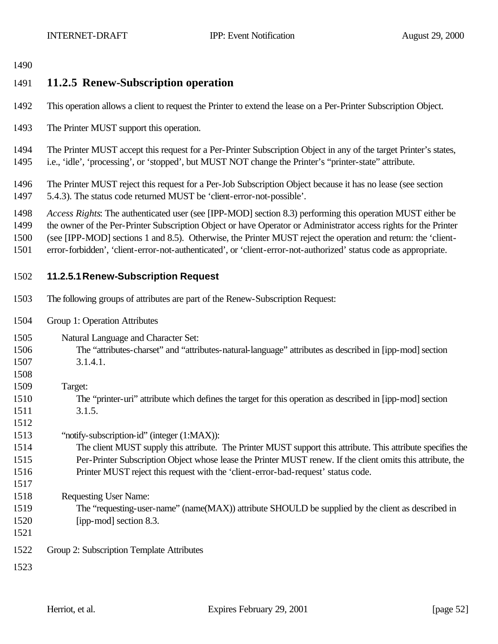## **11.2.5 Renew-Subscription operation**

- This operation allows a client to request the Printer to extend the lease on a Per-Printer Subscription Object.
- The Printer MUST support this operation.

 The Printer MUST accept this request for a Per-Printer Subscription Object in any of the target Printer's states, i.e., 'idle', 'processing', or 'stopped', but MUST NOT change the Printer's "printer-state" attribute.

 The Printer MUST reject this request for a Per-Job Subscription Object because it has no lease (see section 5.4.3). The status code returned MUST be 'client-error-not-possible'.

*Access Rights*: The authenticated user (see [IPP-MOD] section 8.3) performing this operation MUST either be

the owner of the Per-Printer Subscription Object or have Operator or Administrator access rights for the Printer

- (see [IPP-MOD] sections 1 and 8.5). Otherwise, the Printer MUST reject the operation and return: the 'client-
- error-forbidden', 'client-error-not-authenticated', or 'client-error-not-authorized' status code as appropriate.

#### **11.2.5.1Renew-Subscription Request**

- The following groups of attributes are part of the Renew-Subscription Request:
- Group 1: Operation Attributes
- Natural Language and Character Set:
- The "attributes-charset" and "attributes-natural-language" attributes as described in [ipp-mod] section 3.1.4.1.
- Target: The "printer-uri" attribute which defines the target for this operation as described in [ipp-mod] section
- 3.1.5.
- "notify-subscription-id" (integer (1:MAX)):
- The client MUST supply this attribute. The Printer MUST support this attribute. This attribute specifies the Per-Printer Subscription Object whose lease the Printer MUST renew. If the client omits this attribute, the Printer MUST reject this request with the 'client-error-bad-request' status code.
- Requesting User Name:
- The "requesting-user-name" (name(MAX)) attribute SHOULD be supplied by the client as described in [ipp-mod] section 8.3.
- 

Group 2: Subscription Template Attributes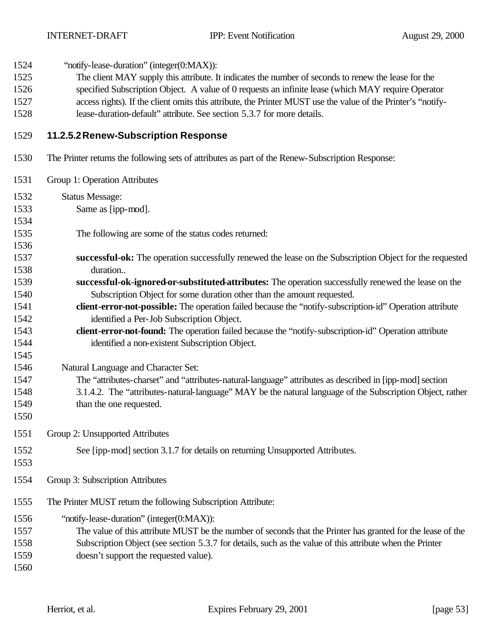1524 "notify-lease-duration" (integer(0:MAX)):

- The client MAY supply this attribute. It indicates the number of seconds to renew the lease for the
- specified Subscription Object. A value of 0 requests an infinite lease (which MAY require Operator
- access rights). If the client omits this attribute, the Printer MUST use the value of the Printer's "notify-lease-duration-default" attribute. See section 5.3.7 for more details.
- 

#### **11.2.5.2Renew-Subscription Response**

- The Printer returns the following sets of attributes as part of the Renew-Subscription Response:
- Group 1: Operation Attributes Status Message: Same as [ipp-mod]. The following are some of the status codes returned: **successful-ok:** The operation successfully renewed the lease on the Subscription Object for the requested duration.. **successful-ok-ignored-or-substituted-attributes:** The operation successfully renewed the lease on the Subscription Object for some duration other than the amount requested. **client-error-not-possible:** The operation failed because the "notify-subscription-id" Operation attribute identified a Per-Job Subscription Object. **client-error-not-found:** The operation failed because the "notify-subscription-id" Operation attribute identified a non-existent Subscription Object. Natural Language and Character Set: The "attributes-charset" and "attributes-natural-language" attributes as described in [ipp-mod] section 3.1.4.2. The "attributes-natural-language" MAY be the natural language of the Subscription Object, rather than the one requested. Group 2: Unsupported Attributes See [ipp-mod] section 3.1.7 for details on returning Unsupported Attributes. Group 3: Subscription Attributes The Printer MUST return the following Subscription Attribute: "notify-lease-duration" (integer(0:MAX)): The value of this attribute MUST be the number of seconds that the Printer has granted for the lease of the Subscription Object (see section 5.3.7 for details, such as the value of this attribute when the Printer doesn't support the requested value).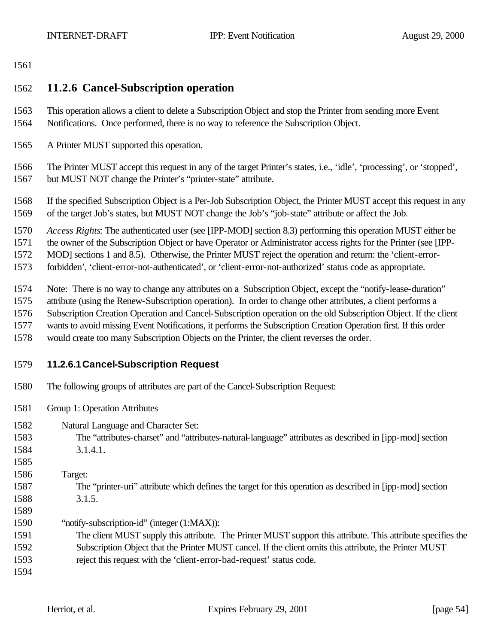#### 

#### **11.2.6 Cancel-Subscription operation**

- This operation allows a client to delete a Subscription Object and stop the Printer from sending more Event Notifications. Once performed, there is no way to reference the Subscription Object.
- A Printer MUST supported this operation.

 The Printer MUST accept this request in any of the target Printer's states, i.e., 'idle', 'processing', or 'stopped', but MUST NOT change the Printer's "printer-state" attribute.

 If the specified Subscription Object is a Per-Job Subscription Object, the Printer MUST accept this request in any of the target Job's states, but MUST NOT change the Job's "job-state" attribute or affect the Job.

*Access Rights*: The authenticated user (see [IPP-MOD] section 8.3) performing this operation MUST either be

the owner of the Subscription Object or have Operator or Administrator access rights for the Printer (see [IPP-

MOD] sections 1 and 8.5). Otherwise, the Printer MUST reject the operation and return: the 'client-error-

forbidden', 'client-error-not-authenticated', or 'client-error-not-authorized' status code as appropriate.

- Note: There is no way to change any attributes on a Subscription Object, except the "notify-lease-duration"
- attribute (using the Renew-Subscription operation). In order to change other attributes, a client performs a
- Subscription Creation Operation and Cancel-Subscription operation on the old Subscription Object. If the client
- wants to avoid missing Event Notifications, it performs the Subscription Creation Operation first. If this order
- would create too many Subscription Objects on the Printer, the client reverses the order.
- 

#### **11.2.6.1Cancel-Subscription Request**

- The following groups of attributes are part of the Cancel-Subscription Request:
- Group 1: Operation Attributes
- Natural Language and Character Set:
- The "attributes-charset" and "attributes-natural-language" attributes as described in [ipp-mod] section 3.1.4.1.
- 
- Target:
- The "printer-uri" attribute which defines the target for this operation as described in [ipp-mod] section 3.1.5.
- "notify-subscription-id" (integer (1:MAX)):
- The client MUST supply this attribute. The Printer MUST support this attribute. This attribute specifies the Subscription Object that the Printer MUST cancel. If the client omits this attribute, the Printer MUST
- reject this request with the 'client-error-bad-request' status code.
-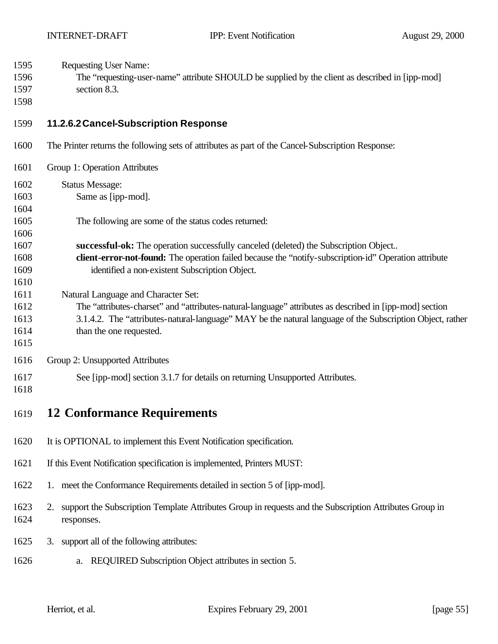| 1595<br><b>Requesting User Name:</b> |
|--------------------------------------|
|--------------------------------------|

- The "requesting-user-name" attribute SHOULD be supplied by the client as described in [ipp-mod]
- section 8.3.
- 

#### **11.2.6.2Cancel-Subscription Response**

- The Printer returns the following sets of attributes as part of the Cancel-Subscription Response:
- Group 1: Operation Attributes Status Message: Same as [ipp-mod]. The following are some of the status codes returned: **successful-ok:** The operation successfully canceled (deleted) the Subscription Object.. **client-error-not-found:** The operation failed because the "notify-subscription-id" Operation attribute identified a non-existent Subscription Object. Natural Language and Character Set: The "attributes-charset" and "attributes-natural-language" attributes as described in [ipp-mod] section 3.1.4.2. The "attributes-natural-language" MAY be the natural language of the Subscription Object, rather 1614 than the one requested. Group 2: Unsupported Attributes
- See [ipp-mod] section 3.1.7 for details on returning Unsupported Attributes.
- 

# **12 Conformance Requirements**

- It is OPTIONAL to implement this Event Notification specification.
- If this Event Notification specification is implemented, Printers MUST:
- 1. meet the Conformance Requirements detailed in section 5 of [ipp-mod].
- 2. support the Subscription Template Attributes Group in requests and the Subscription Attributes Group in responses.
- 3. support all of the following attributes:
- a. REQUIRED Subscription Object attributes in section 5.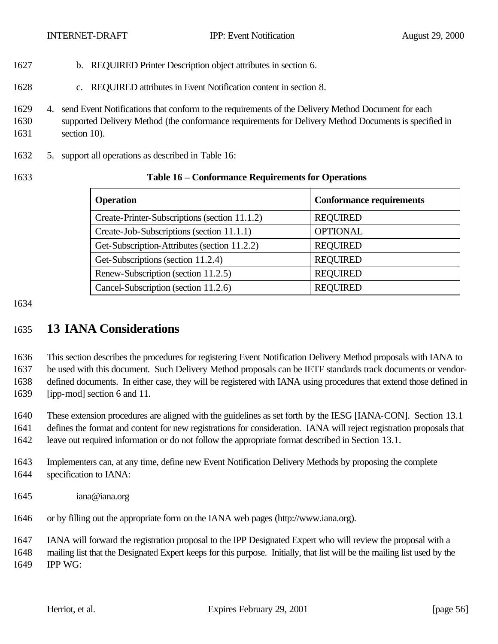- b. REQUIRED Printer Description object attributes in section 6.
- c. REQUIRED attributes in Event Notification content in section 8.
- 4. send Event Notifications that conform to the requirements of the Delivery Method Document for each
- supported Delivery Method (the conformance requirements for Delivery Method Documents is specified in section 10).
- 5. support all operations as described in Table 16:

#### **Table 16 – Conformance Requirements for Operations**

| <b>Operation</b>                              | <b>Conformance requirements</b> |
|-----------------------------------------------|---------------------------------|
| Create-Printer-Subscriptions (section 11.1.2) | <b>REQUIRED</b>                 |
| Create-Job-Subscriptions (section 11.1.1)     | <b>OPTIONAL</b>                 |
| Get-Subscription-Attributes (section 11.2.2)  | <b>REQUIRED</b>                 |
| Get-Subscriptions (section 11.2.4)            | <b>REQUIRED</b>                 |
| Renew-Subscription (section 11.2.5)           | <b>REQUIRED</b>                 |
| Cancel-Subscription (section 11.2.6)          | <b>REQUIRED</b>                 |

# **13 IANA Considerations**

 This section describes the procedures for registering Event Notification Delivery Method proposals with IANA to be used with this document. Such Delivery Method proposals can be IETF standards track documents or vendor- defined documents. In either case, they will be registered with IANA using procedures that extend those defined in [ipp-mod] section 6 and 11.

These extension procedures are aligned with the guidelines as set forth by the IESG [IANA-CON]. Section 13.1

defines the format and content for new registrations for consideration. IANA will reject registration proposals that

leave out required information or do not follow the appropriate format described in Section 13.1.

- Implementers can, at any time, define new Event Notification Delivery Methods by proposing the complete specification to IANA:
- iana@iana.org
- or by filling out the appropriate form on the IANA web pages (http://www.iana.org).

IANA will forward the registration proposal to the IPP Designated Expert who will review the proposal with a

 mailing list that the Designated Expert keeps for this purpose. Initially, that list will be the mailing list used by the IPP WG: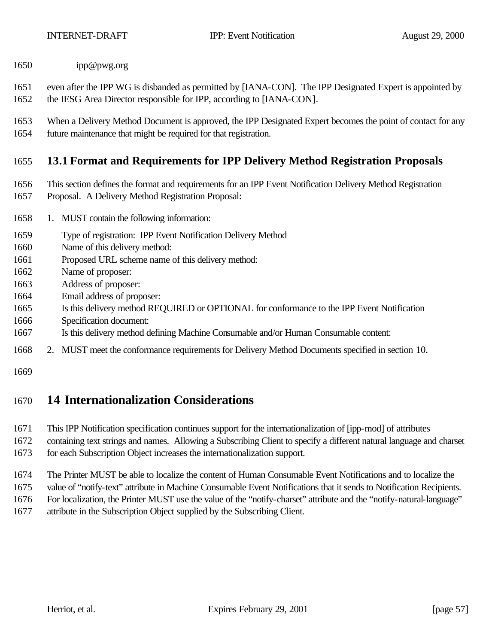- ipp@pwg.org
- even after the IPP WG is disbanded as permitted by [IANA-CON]. The IPP Designated Expert is appointed by
- the IESG Area Director responsible for IPP, according to [IANA-CON].
- When a Delivery Method Document is approved, the IPP Designated Expert becomes the point of contact for any
- future maintenance that might be required for that registration.

## **13.1 Format and Requirements for IPP Delivery Method Registration Proposals**

- This section defines the format and requirements for an IPP Event Notification Delivery Method Registration
- Proposal. A Delivery Method Registration Proposal:
- 1. MUST contain the following information:
- Type of registration: IPP Event Notification Delivery Method
- Name of this delivery method:
- Proposed URL scheme name of this delivery method:
- Name of proposer:
- Address of proposer:
- Email address of proposer:
- Is this delivery method REQUIRED or OPTIONAL for conformance to the IPP Event Notification
- Specification document:
- Is this delivery method defining Machine Consumable and/or Human Consumable content:
- 2. MUST meet the conformance requirements for Delivery Method Documents specified in section 10.
- 

# **14 Internationalization Considerations**

- This IPP Notification specification continues support for the internationalization of [ipp-mod] of attributes
- containing text strings and names. Allowing a Subscribing Client to specify a different natural language and charset for each Subscription Object increases the internationalization support.
- The Printer MUST be able to localize the content of Human Consumable Event Notifications and to localize the
- value of "notify-text" attribute in Machine Consumable Event Notifications that it sends to Notification Recipients.
- For localization, the Printer MUST use the value of the "notify-charset" attribute and the "notify-natural-language"
- attribute in the Subscription Object supplied by the Subscribing Client.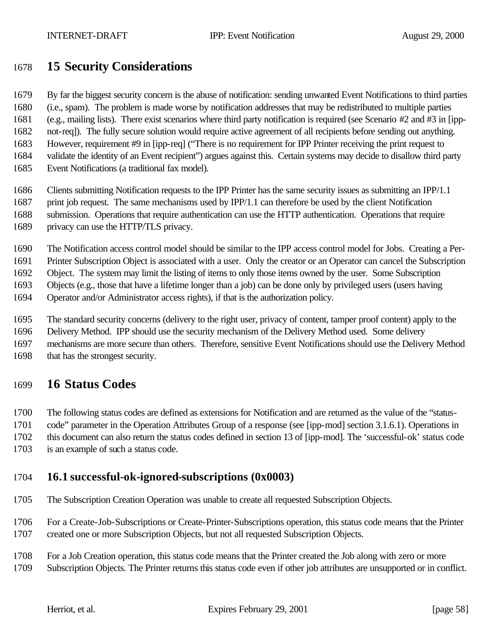# **15 Security Considerations**

 By far the biggest security concern is the abuse of notification: sending unwanted Event Notifications to third parties (i.e., spam). The problem is made worse by notification addresses that may be redistributed to multiple parties (e.g., mailing lists). There exist scenarios where third party notification is required (see Scenario #2 and #3 in [ipp-not-req]). The fully secure solution would require active agreement of all recipients before sending out anything.

 However, requirement #9 in [ipp-req] ("There is no requirement for IPP Printer receiving the print request to validate the identity of an Event recipient") argues against this. Certain systems may decide to disallow third party

- Event Notifications (a traditional fax model).
- Clients submitting Notification requests to the IPP Printer has the same security issues as submitting an IPP/1.1
- print job request. The same mechanisms used by IPP/1.1 can therefore be used by the client Notification submission. Operations that require authentication can use the HTTP authentication. Operations that require
- - privacy can use the HTTP/TLS privacy.
	- The Notification access control model should be similar to the IPP access control model for Jobs. Creating a Per-

Printer Subscription Object is associated with a user. Only the creator or an Operator can cancel the Subscription

Object. The system may limit the listing of items to only those items owned by the user. Some Subscription

Objects (e.g., those that have a lifetime longer than a job) can be done only by privileged users (users having

Operator and/or Administrator access rights), if that is the authorization policy.

The standard security concerns (delivery to the right user, privacy of content, tamper proof content) apply to the

Delivery Method. IPP should use the security mechanism of the Delivery Method used. Some delivery

 mechanisms are more secure than others. Therefore, sensitive Event Notifications should use the Delivery Method that has the strongest security.

# **16 Status Codes**

The following status codes are defined as extensions for Notification and are returned as the value of the "status-

code" parameter in the Operation Attributes Group of a response (see [ipp-mod] section 3.1.6.1). Operations in

this document can also return the status codes defined in section 13 of [ipp-mod]. The 'successful-ok' status code

is an example of such a status code.

## **16.1 successful-ok-ignored-subscriptions (0x0003)**

The Subscription Creation Operation was unable to create all requested Subscription Objects.

 For a Create-Job-Subscriptions or Create-Printer-Subscriptions operation, this status code means that the Printer created one or more Subscription Objects, but not all requested Subscription Objects.

For a Job Creation operation, this status code means that the Printer created the Job along with zero or more

Subscription Objects. The Printer returns this status code even if other job attributes are unsupported or in conflict.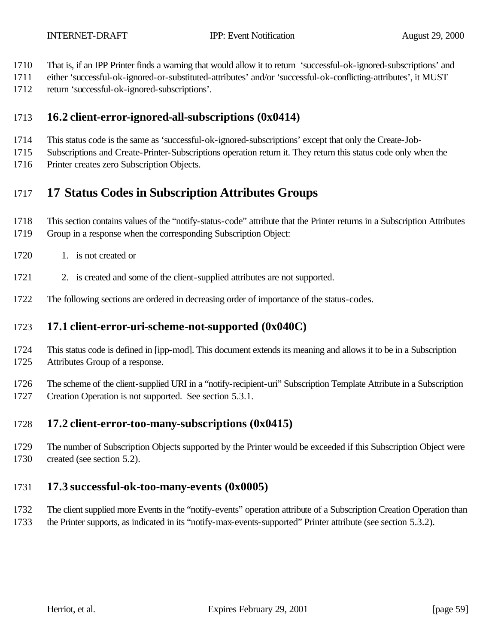- That is, if an IPP Printer finds a warning that would allow it to return 'successful-ok-ignored-subscriptions' and
- either 'successful-ok-ignored-or-substituted-attributes' and/or 'successful-ok-conflicting-attributes', it MUST
- return 'successful-ok-ignored-subscriptions'.

## **16.2 client-error-ignored-all-subscriptions (0x0414)**

- This status code is the same as 'successful-ok-ignored-subscriptions' except that only the Create-Job-
- Subscriptions and Create-Printer-Subscriptions operation return it. They return this status code only when the
- Printer creates zero Subscription Objects.

# **17 Status Codes in Subscription Attributes Groups**

- This section contains values of the "notify-status-code" attribute that the Printer returns in a Subscription Attributes
- Group in a response when the corresponding Subscription Object:
- 1720 1. is not created or
- 1721 2. is created and some of the client-supplied attributes are not supported.
- The following sections are ordered in decreasing order of importance of the status-codes.

## **17.1 client-error-uri-scheme-not-supported (0x040C)**

- This status code is defined in [ipp-mod]. This document extends its meaning and allows it to be in a Subscription Attributes Group of a response.
- The scheme of the client-supplied URI in a "notify-recipient-uri" Subscription Template Attribute in a Subscription Creation Operation is not supported. See section 5.3.1.

## **17.2 client-error-too-many-subscriptions (0x0415)**

 The number of Subscription Objects supported by the Printer would be exceeded if this Subscription Object were created (see section 5.2).

## **17.3 successful-ok-too-many-events (0x0005)**

- The client supplied more Events in the "notify-events" operation attribute of a Subscription Creation Operation than
- the Printer supports, as indicated in its "notify-max-events-supported" Printer attribute (see section 5.3.2).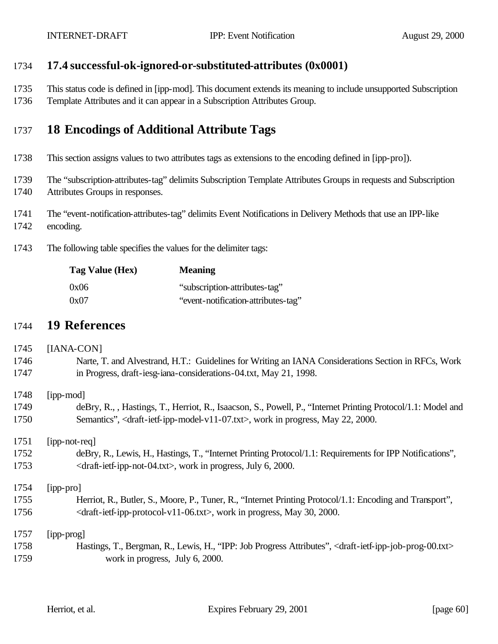#### **17.4 successful-ok-ignored-or-substituted-attributes (0x0001)**

- This status code is defined in [ipp-mod]. This document extends its meaning to include unsupported Subscription
- Template Attributes and it can appear in a Subscription Attributes Group.

# **18 Encodings of Additional Attribute Tags**

- This section assigns values to two attributes tags as extensions to the encoding defined in [ipp-pro]).
- The "subscription-attributes-tag" delimits Subscription Template Attributes Groups in requests and Subscription Attributes Groups in responses.
- The "event-notification-attributes-tag" delimits Event Notifications in Delivery Methods that use an IPP-like
- encoding.
- The following table specifies the values for the delimiter tags:

| Tag Value (Hex) | <b>Meaning</b>                      |
|-----------------|-------------------------------------|
| 0x06            | "subscription-attributes-tag"       |
| 0x07            | "event-notification-attributes-tag" |

## **19 References**

# [IANA-CON] Narte, T. and Alvestrand, H.T.: Guidelines for Writing an IANA Considerations Section in RFCs, Work in Progress, draft-iesg-iana-considerations-04.txt, May 21, 1998. [ipp-mod] deBry, R., , Hastings, T., Herriot, R., Isaacson, S., Powell, P., "Internet Printing Protocol/1.1: Model and 1750 Semantics", <draft-ietf-ipp-model-v11-07.txt>, work in progress, May 22, 2000. [ipp-not-req] deBry, R., Lewis, H., Hastings, T., "Internet Printing Protocol/1.1: Requirements for IPP Notifications", 1753 <draft-ietf-ipp-not-04.txt>, work in progress, July 6, 2000. [ipp-pro] Herriot, R., Butler, S., Moore, P., Tuner, R., "Internet Printing Protocol/1.1: Encoding and Transport", 1756  $\langle \text{draff-ietf-ipp-protocol-v11-06.txt} \rangle$ , work in progress, May 30, 2000. [ipp-prog] Hastings, T., Bergman, R., Lewis, H., "IPP: Job Progress Attributes", <draft-ietf-ipp-job-prog-00.txt> work in progress, July 6, 2000.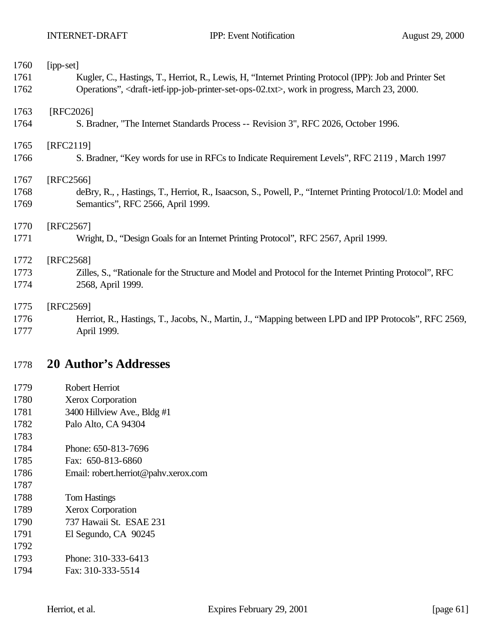| 1760 | [ipp-set]                                                                                                                               |
|------|-----------------------------------------------------------------------------------------------------------------------------------------|
| 1761 | Kugler, C., Hastings, T., Herriot, R., Lewis, H. "Internet Printing Protocol (IPP): Job and Printer Set                                 |
| 1762 | Operations", <draft-ietf-ipp-job-printer-set-ops-02.txt>, work in progress, March 23, 2000.</draft-ietf-ipp-job-printer-set-ops-02.txt> |
| 1763 | [RFC2026]                                                                                                                               |
| 1764 | S. Bradner, "The Internet Standards Process -- Revision 3", RFC 2026, October 1996.                                                     |
| 1765 | [RFC2119]                                                                                                                               |
| 1766 | S. Bradner, "Key words for use in RFCs to Indicate Requirement Levels", RFC 2119, March 1997                                            |
| 1767 | [RFC2566]                                                                                                                               |
| 1768 | deBry, R., , Hastings, T., Herriot, R., Isaacson, S., Powell, P., "Internet Printing Protocol/1.0: Model and                            |
| 1769 | Semantics", RFC 2566, April 1999.                                                                                                       |
| 1770 | [RFC2567]                                                                                                                               |
| 1771 | Wright, D., "Design Goals for an Internet Printing Protocol", RFC 2567, April 1999.                                                     |
| 1772 | [RFC2568]                                                                                                                               |
| 1773 | Zilles, S., "Rationale for the Structure and Model and Protocol for the Internet Printing Protocol", RFC                                |
| 1774 | 2568, April 1999.                                                                                                                       |
| 1775 | [RFC2569]                                                                                                                               |
| 1776 | Herriot, R., Hastings, T., Jacobs, N., Martin, J., "Mapping between LPD and IPP Protocols", RFC 2569,                                   |
| 1777 | April 1999.                                                                                                                             |

# **20 Author's Addresses**

- Robert Herriot
- Xerox Corporation
- 3400 Hillview Ave., Bldg #1
- Palo Alto, CA 94304
- Phone: 650-813-7696
- Fax: 650-813-6860
- Email: robert.herriot@pahv.xerox.com
- Tom Hastings
- Xerox Corporation
- 737 Hawaii St. ESAE 231
- El Segundo, CA 90245
- Phone: 310-333-6413
- Fax: 310-333-5514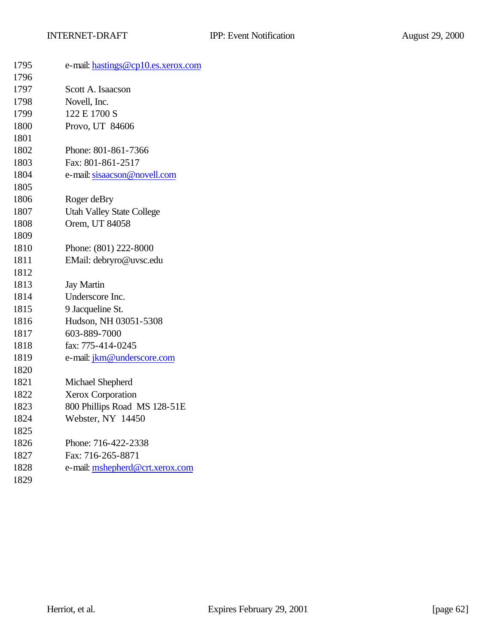| 1795 | e-mail: hastings@cp10.es.xerox.com |
|------|------------------------------------|
| 1796 |                                    |
| 1797 | Scott A. Isaacson                  |
| 1798 | Novell, Inc.                       |
| 1799 | 122 E 1700 S                       |
| 1800 | Provo, UT 84606                    |
| 1801 |                                    |
| 1802 | Phone: 801-861-7366                |
| 1803 | Fax: 801-861-2517                  |
| 1804 | e-mail: sisaacson@novell.com       |
| 1805 |                                    |
| 1806 | Roger deBry                        |
| 1807 | <b>Utah Valley State College</b>   |
| 1808 | Orem, UT 84058                     |
| 1809 |                                    |
| 1810 | Phone: (801) 222-8000              |
| 1811 | EMail: debryro@uvsc.edu            |
| 1812 |                                    |
| 1813 | <b>Jay Martin</b>                  |
| 1814 | Underscore Inc.                    |
| 1815 | 9 Jacqueline St.                   |
| 1816 | Hudson, NH 03051-5308              |
| 1817 | 603-889-7000                       |
| 1818 | fax: 775-414-0245                  |
| 1819 | e-mail: jkm@underscore.com         |
| 1820 |                                    |
| 1821 | Michael Shepherd                   |
| 1822 | <b>Xerox Corporation</b>           |
| 1823 | 800 Phillips Road MS 128-51E       |
| 1824 | Webster, NY 14450                  |
| 1825 |                                    |
| 1826 | Phone: 716-422-2338                |
| 1827 | Fax: 716-265-8871                  |
| 1828 | e-mail: mshepherd@crt.xerox.com    |
| 1829 |                                    |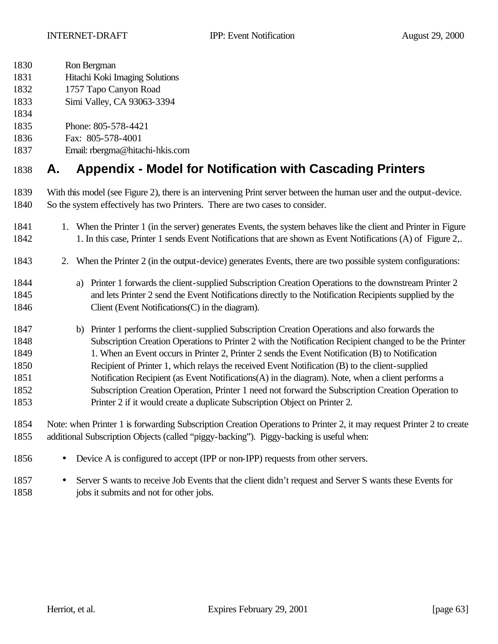- Ron Bergman
- Hitachi Koki Imaging Solutions
- 1757 Tapo Canyon Road
- Simi Valley, CA 93063-3394
- 
- Phone: 805-578-4421
- Fax: 805-578-4001
- Email: rbergma@hitachi-hkis.com

# **A. Appendix - Model for Notification with Cascading Printers**

- With this model (see Figure 2), there is an intervening Print server between the human user and the output-device. So the system effectively has two Printers. There are two cases to consider.
- 1. When the Printer 1 (in the server) generates Events, the system behaves like the client and Printer in Figure 1. In this case, Printer 1 sends Event Notifications that are shown as Event Notifications (A) of Figure 2,.
- 2. When the Printer 2 (in the output-device) generates Events, there are two possible system configurations:
- a) Printer 1 forwards the client-supplied Subscription Creation Operations to the downstream Printer 2 and lets Printer 2 send the Event Notifications directly to the Notification Recipients supplied by the 1846 Client (Event Notifications C) in the diagram).
- b) Printer 1 performs the client-supplied Subscription Creation Operations and also forwards the Subscription Creation Operations to Printer 2 with the Notification Recipient changed to be the Printer 1849 1. When an Event occurs in Printer 2, Printer 2 sends the Event Notification (B) to Notification Recipient of Printer 1, which relays the received Event Notification (B) to the client-supplied Notification Recipient (as Event Notifications(A) in the diagram). Note, when a client performs a Subscription Creation Operation, Printer 1 need not forward the Subscription Creation Operation to Printer 2 if it would create a duplicate Subscription Object on Printer 2.
- Note: when Printer 1 is forwarding Subscription Creation Operations to Printer 2, it may request Printer 2 to create additional Subscription Objects (called "piggy-backing"). Piggy-backing is useful when:
- Device A is configured to accept (IPP or non-IPP) requests from other servers.
- Server S wants to receive Job Events that the client didn't request and Server S wants these Events for jobs it submits and not for other jobs.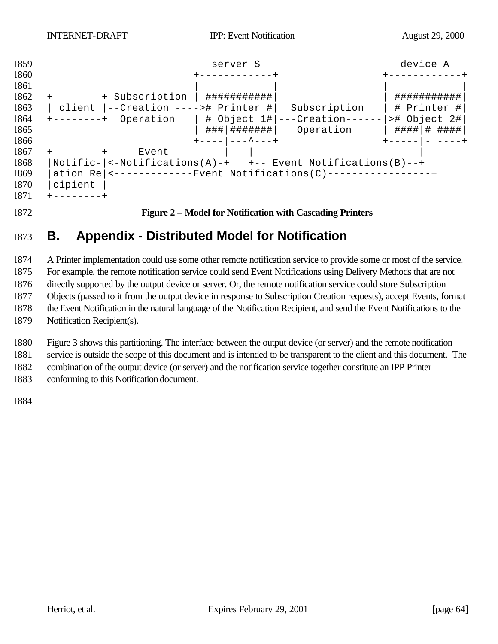

**Figure 2 – Model for Notification with Cascading Printers**

# **B. Appendix - Distributed Model for Notification**

 A Printer implementation could use some other remote notification service to provide some or most of the service. For example, the remote notification service could send Event Notifications using Delivery Methods that are not directly supported by the output device or server. Or, the remote notification service could store Subscription Objects (passed to it from the output device in response to Subscription Creation requests), accept Events, format the Event Notification in the natural language of the Notification Recipient, and send the Event Notifications to the Notification Recipient(s).

 Figure 3 shows this partitioning. The interface between the output device (or server) and the remote notification service is outside the scope of this document and is intended to be transparent to the client and this document. The

combination of the output device (or server) and the notification service together constitute an IPP Printer

conforming to this Notification document.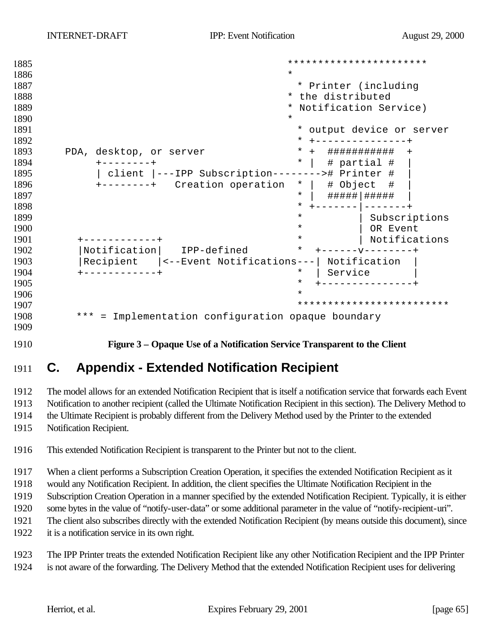```
1885 ***********************
1886 *
1887 * Printer (including
1888 * the distributed
1889 * Notification Service)
1890 *
1891 * output device or server
1892 * +---------------+
1893 PDA, desktop, or server * + ############# +
1894 +--------+ * | # partial # |
1895 | client |---IPP Subscription--------># Printer # |
1896 +-----++ Creation operation * | \# Object \#1897 * | #####|##### |
1898 * +-------|-------+
1899 \overline{ } | Subscriptions \overline{ } | Subscriptions | Subscriptions | Subscriptions | Subscriptions | Subscriptions | \overline{ } | \overline{ } | \overline{ } | \overline{ } | \overline{ } | \overline{ } | \overline{ } | \overline{ } | \overline{ } | \overline{ } | \over1900 * | OR Event
1901 +------------+ * | Notifications
1902 |Notification | IPP-defined
1903 |Recipient |<--Event Notifications---| Notification |
1904 +------------+ * | Service |
1905 * +---------------+
1906 *
1907 *************************
1908 *** = Implementation configuration opaque boundary
1909
```
**Figure 3 – Opaque Use of a Notification Service Transparent to the Client**

# **C. Appendix - Extended Notification Recipient**

 The model allows for an extended Notification Recipient that is itself a notification service that forwards each Event Notification to another recipient (called the Ultimate Notification Recipient in this section). The Delivery Method to

the Ultimate Recipient is probably different from the Delivery Method used by the Printer to the extended

Notification Recipient.

This extended Notification Recipient is transparent to the Printer but not to the client.

When a client performs a Subscription Creation Operation, it specifies the extended Notification Recipient as it

would any Notification Recipient. In addition, the client specifies the Ultimate Notification Recipient in the

Subscription Creation Operation in a manner specified by the extended Notification Recipient. Typically, it is either

some bytes in the value of "notify-user-data" or some additional parameter in the value of "notify-recipient-uri".

The client also subscribes directly with the extended Notification Recipient (by means outside this document), since

it is a notification service in its own right.

 The IPP Printer treats the extended Notification Recipient like any other Notification Recipient and the IPP Printer is not aware of the forwarding. The Delivery Method that the extended Notification Recipient uses for delivering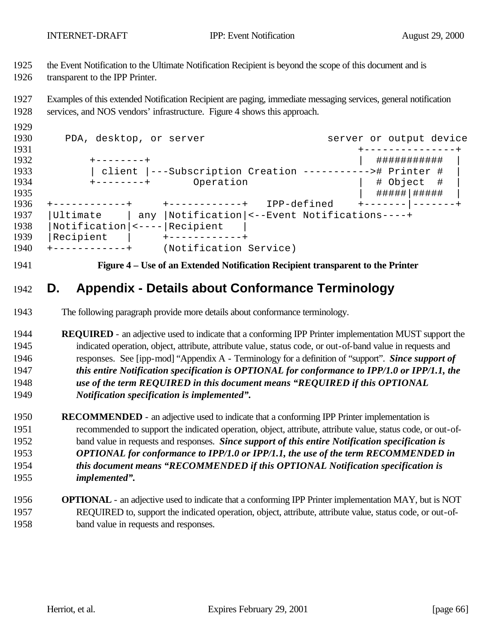the Event Notification to the Ultimate Notification Recipient is beyond the scope of this document and is

transparent to the IPP Printer.

 Examples of this extended Notification Recipient are paging, immediate messaging services, general notification services, and NOS vendors' infrastructure. Figure 4 shows this approach.

| 1930 | PDA, desktop, or server                                  |                        |                                                | server or output device |  |
|------|----------------------------------------------------------|------------------------|------------------------------------------------|-------------------------|--|
| 1931 |                                                          |                        |                                                |                         |  |
| 1932 |                                                          |                        |                                                | ###########             |  |
| 1933 | client  ---Subscription Creation -----------># Printer # |                        |                                                |                         |  |
| 1934 | Operation<br>$+ - - - - - - - +$                         |                        |                                                | # Object #              |  |
| 1935 |                                                          |                        |                                                | #####   #####           |  |
| 1936 |                                                          |                        | IPP-defined                                    |                         |  |
| 1937 | Ultimate                                                 |                        | any  Notification  <--Event Notifications----+ |                         |  |
| 1938 |                                                          |                        |                                                |                         |  |
| 1939 | Recipient                                                |                        |                                                |                         |  |
| 1940 |                                                          | (Notification Service) |                                                |                         |  |

**Figure 4 – Use of an Extended Notification Recipient transparent to the Printer**

# **D. Appendix - Details about Conformance Terminology**

- The following paragraph provide more details about conformance terminology.
- **REQUIRED**  an adjective used to indicate that a conforming IPP Printer implementation MUST support the indicated operation, object, attribute, attribute value, status code, or out-of-band value in requests and responses. See [ipp-mod] "Appendix A - Terminology for a definition of "support". *Since support of this entire Notification specification is OPTIONAL for conformance to IPP/1.0 or IPP/1.1, the use of the term REQUIRED in this document means "REQUIRED if this OPTIONAL Notification specification is implemented".*
- **RECOMMENDED**  an adjective used to indicate that a conforming IPP Printer implementation is recommended to support the indicated operation, object, attribute, attribute value, status code, or out-of- band value in requests and responses. *Since support of this entire Notification specification is OPTIONAL for conformance to IPP/1.0 or IPP/1.1, the use of the term RECOMMENDED in this document means "RECOMMENDED if this OPTIONAL Notification specification is implemented".*
- **OPTIONAL**  an adjective used to indicate that a conforming IPP Printer implementation MAY, but is NOT REQUIRED to, support the indicated operation, object, attribute, attribute value, status code, or out-of-band value in requests and responses.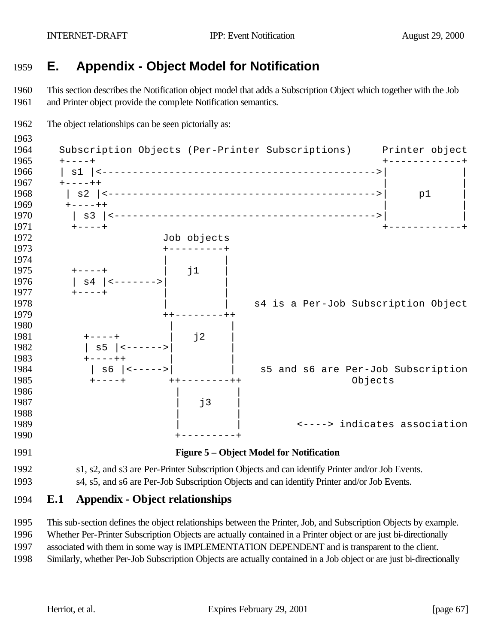# **E. Appendix - Object Model for Notification**

 This section describes the Notification object model that adds a Subscription Object which together with the Job and Printer object provide the complete Notification semantics.



 This sub-section defines the object relationships between the Printer, Job, and Subscription Objects by example. Whether Per-Printer Subscription Objects are actually contained in a Printer object or are just bi-directionally

associated with them in some way is IMPLEMENTATION DEPENDENT and is transparent to the client.

Similarly, whether Per-Job Subscription Objects are actually contained in a Job object or are just bi-directionally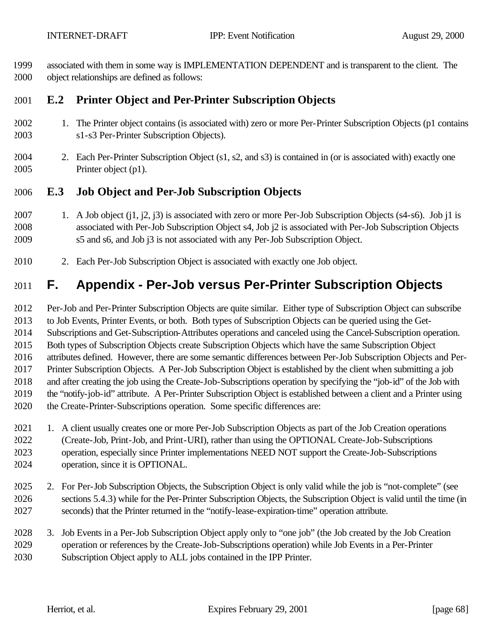associated with them in some way is IMPLEMENTATION DEPENDENT and is transparent to the client. The object relationships are defined as follows:

## **E.2 Printer Object and Per-Printer Subscription Objects**

- 1. The Printer object contains (is associated with) zero or more Per-Printer Subscription Objects (p1 contains s1-s3 Per-Printer Subscription Objects).
- 2. Each Per-Printer Subscription Object (s1, s2, and s3) is contained in (or is associated with) exactly one Printer object (p1).

#### **E.3 Job Object and Per-Job Subscription Objects**

- 1. A Job object (j1, j2, j3) is associated with zero or more Per-Job Subscription Objects (s4-s6). Job j1 is associated with Per-Job Subscription Object s4, Job j2 is associated with Per-Job Subscription Objects s5 and s6, and Job j3 is not associated with any Per-Job Subscription Object.
- 2. Each Per-Job Subscription Object is associated with exactly one Job object.

# **F. Appendix - Per-Job versus Per-Printer Subscription Objects**

 Per-Job and Per-Printer Subscription Objects are quite similar. Either type of Subscription Object can subscribe to Job Events, Printer Events, or both. Both types of Subscription Objects can be queried using the Get- Subscriptions and Get-Subscription-Attributes operations and canceled using the Cancel-Subscription operation. Both types of Subscription Objects create Subscription Objects which have the same Subscription Object attributes defined. However, there are some semantic differences between Per-Job Subscription Objects and Per- Printer Subscription Objects. A Per-Job Subscription Object is established by the client when submitting a job and after creating the job using the Create-Job-Subscriptions operation by specifying the "job-id" of the Job with the "notify-job-id" attribute. A Per-Printer Subscription Object is established between a client and a Printer using the Create-Printer-Subscriptions operation. Some specific differences are:

- 1. A client usually creates one or more Per-Job Subscription Objects as part of the Job Creation operations (Create-Job, Print-Job, and Print-URI), rather than using the OPTIONAL Create-Job-Subscriptions operation, especially since Printer implementations NEED NOT support the Create-Job-Subscriptions operation, since it is OPTIONAL.
- 2. For Per-Job Subscription Objects, the Subscription Object is only valid while the job is "not-complete" (see sections 5.4.3) while for the Per-Printer Subscription Objects, the Subscription Object is valid until the time (in seconds) that the Printer returned in the "notify-lease-expiration-time" operation attribute.
- 3. Job Events in a Per-Job Subscription Object apply only to "one job" (the Job created by the Job Creation operation or references by the Create-Job-Subscriptions operation) while Job Events in a Per-Printer Subscription Object apply to ALL jobs contained in the IPP Printer.